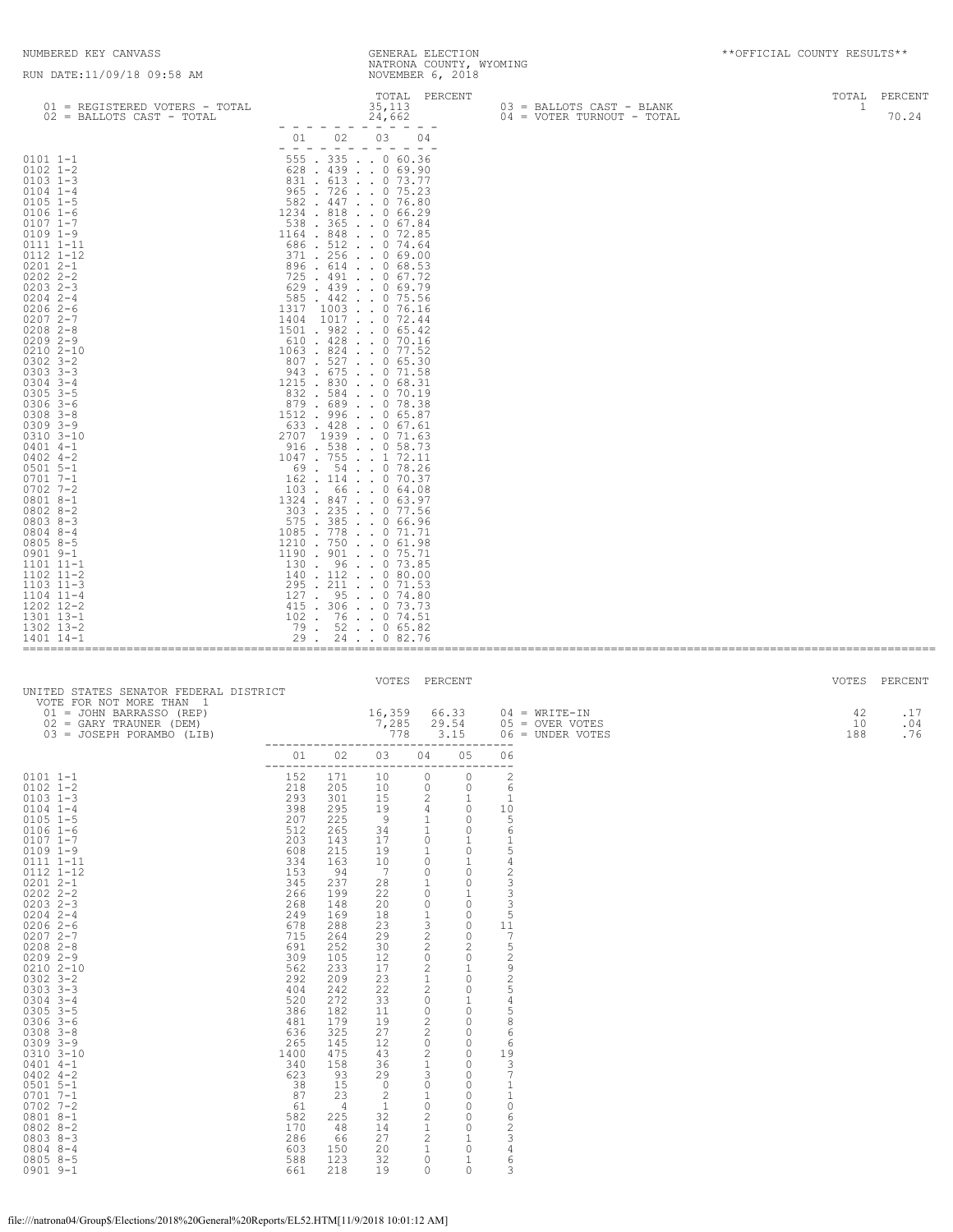====================================================================================================================================

| 01 = REGISTERED VOTERS - TOTAL                                                                                                                                                                                                                                                                                                                                                                                                                                                                                                                                                                                                                                                               | TOTAL PERCENT<br>35,113                                                                                                                                                                                                                                                                                                                                                                                                                                                                                                                                                                                                                                                                                                                                                                                                                                                                                                                                                                                                                                                                                                                                                                                                                                                                                                                                                                                                                                                                                                                                                                                                                                                                                                                                                                                                                                                                                                                                                                                                                                          | 03 = BALLOTS CAST - BLANK  | TOTAL<br>PERCENT<br>$\mathbf{1}$ |
|----------------------------------------------------------------------------------------------------------------------------------------------------------------------------------------------------------------------------------------------------------------------------------------------------------------------------------------------------------------------------------------------------------------------------------------------------------------------------------------------------------------------------------------------------------------------------------------------------------------------------------------------------------------------------------------------|------------------------------------------------------------------------------------------------------------------------------------------------------------------------------------------------------------------------------------------------------------------------------------------------------------------------------------------------------------------------------------------------------------------------------------------------------------------------------------------------------------------------------------------------------------------------------------------------------------------------------------------------------------------------------------------------------------------------------------------------------------------------------------------------------------------------------------------------------------------------------------------------------------------------------------------------------------------------------------------------------------------------------------------------------------------------------------------------------------------------------------------------------------------------------------------------------------------------------------------------------------------------------------------------------------------------------------------------------------------------------------------------------------------------------------------------------------------------------------------------------------------------------------------------------------------------------------------------------------------------------------------------------------------------------------------------------------------------------------------------------------------------------------------------------------------------------------------------------------------------------------------------------------------------------------------------------------------------------------------------------------------------------------------------------------------|----------------------------|----------------------------------|
| 02 = BALLOTS CAST - TOTAL                                                                                                                                                                                                                                                                                                                                                                                                                                                                                                                                                                                                                                                                    | 24,662                                                                                                                                                                                                                                                                                                                                                                                                                                                                                                                                                                                                                                                                                                                                                                                                                                                                                                                                                                                                                                                                                                                                                                                                                                                                                                                                                                                                                                                                                                                                                                                                                                                                                                                                                                                                                                                                                                                                                                                                                                                           | 04 = VOTER TURNOUT - TOTAL | 70.24                            |
|                                                                                                                                                                                                                                                                                                                                                                                                                                                                                                                                                                                                                                                                                              | $\qquad \qquad - \qquad -$<br>$  -$<br>03<br>04<br>02<br>01                                                                                                                                                                                                                                                                                                                                                                                                                                                                                                                                                                                                                                                                                                                                                                                                                                                                                                                                                                                                                                                                                                                                                                                                                                                                                                                                                                                                                                                                                                                                                                                                                                                                                                                                                                                                                                                                                                                                                                                                      |                            |                                  |
| $0101 1 - 1$<br>$0102$ $1 - 2$<br>$0103$ $1-3$<br>$0104$ $1-4$<br>$0105$ 1-5<br>$0106$ 1-6<br>$0107$ $1-7$<br>$0109$ $1-9$<br>0111 1-11<br>0112 1-12<br>$02012 - -1$<br>$0202$ $2 - 2$<br>$0203$ 2-3<br>$0204$ 2-4<br>$02062-6$<br>$02072 - -7$<br>$0208$ 2-8<br>$02092 - -9$<br>$02102 - 10$<br>$0302$ 3-2<br>$0303$ $3 - 3$<br>$0304$ 3-4<br>$0305$ $3-5$<br>$0306$ 3-6<br>$0308$ $3 - 8$<br>$0309$ $3 - 9$<br>0310 3-10<br>$0401$ 4-1<br>$0402$ 4-2<br>$0501$ 5-1<br>$0701$ 7-1<br>$0702$ 7-2<br>$08018 - -1$<br>$0802$ 8-2<br>$08038 - 3$<br>$0804$ 8-4<br>$0805$ 8-5<br>0901 9-1<br>1101 11-1<br>$1102$ $11-2$<br>$1103$ $11-3$<br>$1104$ $11-4$<br>1202 12-2<br>1301 13-1<br>1302 13-2 | $\frac{1}{2} \left( \frac{1}{2} \right) \frac{1}{2} \left( \frac{1}{2} \right) \frac{1}{2} \left( \frac{1}{2} \right)$<br>$\frac{1}{2} \frac{1}{2} \frac{1}{2} \frac{1}{2} \frac{1}{2} \frac{1}{2} \frac{1}{2} \frac{1}{2} \frac{1}{2} \frac{1}{2} \frac{1}{2} \frac{1}{2} \frac{1}{2} \frac{1}{2} \frac{1}{2} \frac{1}{2} \frac{1}{2} \frac{1}{2} \frac{1}{2} \frac{1}{2} \frac{1}{2} \frac{1}{2} \frac{1}{2} \frac{1}{2} \frac{1}{2} \frac{1}{2} \frac{1}{2} \frac{1}{2} \frac{1}{2} \frac{1}{2} \frac{1}{2} \frac{$<br>$\frac{1}{2} \frac{1}{2} \frac{1}{2} \frac{1}{2} \frac{1}{2} \frac{1}{2} \frac{1}{2} \frac{1}{2} \frac{1}{2} \frac{1}{2} \frac{1}{2} \frac{1}{2} \frac{1}{2} \frac{1}{2} \frac{1}{2} \frac{1}{2} \frac{1}{2} \frac{1}{2} \frac{1}{2} \frac{1}{2} \frac{1}{2} \frac{1}{2} \frac{1}{2} \frac{1}{2} \frac{1}{2} \frac{1}{2} \frac{1}{2} \frac{1}{2} \frac{1}{2} \frac{1}{2} \frac{1}{2} \frac{$<br>$\overline{\phantom{a}}$<br>$\overline{\phantom{0}}$<br>555 . 335 0 60.36<br>$628$ . 439 0 69.90<br>831 . 613 0 73.77<br>965 . 726 0 75.23<br>582 . 447 0 76.80<br>1234 . 818<br>. 066.29<br>$538$ $365$ $\ldots$ 0 67.84<br>1164 . 848<br>$\cdot$ 0 72.85<br>686.512074.64<br>$371$ . 256 0 69.00<br>896.614068.53<br>725 . 491 0 67.72<br>$629$ $.439$ $.069.79$<br>585 . 442 0 75.56<br>1317<br>$1003$ 0 76.16<br>1404 1017 0 72.44<br>$1501$ . 982 0 65.42<br>610 . 428 0 70.16<br>1063 . 824 0 77.52<br>$807$ . 527 0 65.30<br>943 . 675 0 71.58<br>1215 . 830<br>. . 0 68.31<br>832 . 584 0 70.19<br>879 . 689 0 78.38<br>1512, 996, 065.87<br>$633$ . $428$ 0 67.61<br>2707 1939 0 71.63<br>$916$ . 538 0 58.73<br>1047 . 755<br>$\ldots$ 1 72.11<br>69 . 54 0 78.26<br>162 . 114 0 70.37<br>103.<br>66.064.08<br>1324 . 847 0 63.97<br>303 . 235 0 77.56<br>$575$ $.385$ $.066.96$<br>1085 . 778<br>$\ldots$ 0 71.71<br>$1210$ , 750 , , 0 61,98<br>1190 . 901 0 75.71<br>130. 96. . 0 73.85<br>$140$ . $112$ 0 80.00<br>295 . 211 0 71.53<br>$127$ . $95$ 0 74.80<br>415 . 306 0 73.73<br>102 . 76 0 74.51<br>79 . 52 0 65.82 |                            |                                  |
| 1401 14-1                                                                                                                                                                                                                                                                                                                                                                                                                                                                                                                                                                                                                                                                                    | $29$ .<br>24. 0 82.76                                                                                                                                                                                                                                                                                                                                                                                                                                                                                                                                                                                                                                                                                                                                                                                                                                                                                                                                                                                                                                                                                                                                                                                                                                                                                                                                                                                                                                                                                                                                                                                                                                                                                                                                                                                                                                                                                                                                                                                                                                            |                            |                                  |

| UNITED STATES SENATOR FEDERAL DISTRICT                                                                                                                                                                                                                                                                                                                                                                                                                                                                                                                                                                                |                                                                                                                                                                                                                                                                      |                                                                                                                                                                                                                                                                  | VOTES PERCENT                                                                                                                                                                                                                                                           |                                                                                                                                                                                                                                                                                                                                                                                                                                                            |                                                                                                                                                                                                                                                                                                                                                                                                                                                            |                                                                                                                                                                                                                                                                                                                                                                                                          |                                                          | VOTES           | PERCENT           |
|-----------------------------------------------------------------------------------------------------------------------------------------------------------------------------------------------------------------------------------------------------------------------------------------------------------------------------------------------------------------------------------------------------------------------------------------------------------------------------------------------------------------------------------------------------------------------------------------------------------------------|----------------------------------------------------------------------------------------------------------------------------------------------------------------------------------------------------------------------------------------------------------------------|------------------------------------------------------------------------------------------------------------------------------------------------------------------------------------------------------------------------------------------------------------------|-------------------------------------------------------------------------------------------------------------------------------------------------------------------------------------------------------------------------------------------------------------------------|------------------------------------------------------------------------------------------------------------------------------------------------------------------------------------------------------------------------------------------------------------------------------------------------------------------------------------------------------------------------------------------------------------------------------------------------------------|------------------------------------------------------------------------------------------------------------------------------------------------------------------------------------------------------------------------------------------------------------------------------------------------------------------------------------------------------------------------------------------------------------------------------------------------------------|----------------------------------------------------------------------------------------------------------------------------------------------------------------------------------------------------------------------------------------------------------------------------------------------------------------------------------------------------------------------------------------------------------|----------------------------------------------------------|-----------------|-------------------|
| VOTE FOR NOT MORE THAN 1<br>01 = JOHN BARRASSO (REP)<br>$02 = GARY TRAUNER (DEM)$<br>03 = JOSEPH PORAMBO (LIB)                                                                                                                                                                                                                                                                                                                                                                                                                                                                                                        |                                                                                                                                                                                                                                                                      |                                                                                                                                                                                                                                                                  | 16,359<br>7,285<br>778                                                                                                                                                                                                                                                  |                                                                                                                                                                                                                                                                                                                                                                                                                                                            | 66.33<br>29.54<br>3.15                                                                                                                                                                                                                                                                                                                                                                                                                                     | $- - -$                                                                                                                                                                                                                                                                                                                                                                                                  | $04 = WRITE-IN$<br>$05 =$ OVER VOTES<br>06 = UNDER VOTES | 42<br>10<br>188 | .17<br>.04<br>.76 |
|                                                                                                                                                                                                                                                                                                                                                                                                                                                                                                                                                                                                                       | 01<br>--------------                                                                                                                                                                                                                                                 | 02                                                                                                                                                                                                                                                               | 03                                                                                                                                                                                                                                                                      | 04                                                                                                                                                                                                                                                                                                                                                                                                                                                         | 05                                                                                                                                                                                                                                                                                                                                                                                                                                                         | 06<br>---                                                                                                                                                                                                                                                                                                                                                                                                |                                                          |                 |                   |
| $0101 1 - 1$<br>$0102$ $1 - 2$<br>$0103$ $1-3$<br>$0104$ $1-4$<br>$0105$ $1-5$<br>$0106$ 1-6<br>$0107$ $1-7$<br>$0109$ $1-9$<br>0111 1-11<br>$0112$ $1-12$<br>$02012 - -1$<br>$0202$ $2 - 2$<br>$0203$ $2-3$<br>$02042 - -4$<br>$02062-6$<br>$02072 - -7$<br>$0208$ $2 - 8$<br>$02092 - -9$<br>$0210$ $2 - 10$<br>$0302$ $3 - 2$<br>$0303$ $3-3$<br>$0304$ 3-4<br>$0305$ 3-5<br>$0306$ 3-6<br>$0308$ $3 - 8$<br>$0309$ $3 - 9$<br>$0310$ $3 - 10$<br>$0401$ 4-1<br>$0402$ 4-2<br>$0501$ 5-1<br>$0701 7 - 1$<br>$0702$ 7-2<br>$08018 - -1$<br>$0802 8 - 2$<br>$08038 - 3$<br>$0804$ 8-4<br>$08058 - 5$<br>$0901$ $9-1$ | 152<br>218<br>293<br>398<br>207<br>512<br>203<br>608<br>334<br>153<br>345<br>266<br>268<br>249<br>678<br>715<br>691<br>309<br>562<br>292<br>404<br>520<br>386<br>481<br>636<br>265<br>1400<br>340<br>623<br>38<br>87<br>61<br>582<br>170<br>286<br>603<br>588<br>661 | 171<br>205<br>301<br>295<br>225<br>265<br>143<br>215<br>163<br>- 94<br>237<br>199<br>148<br>169<br>288<br>264<br>252<br>105<br>233<br>209<br>242<br>272<br>182<br>179<br>325<br>145<br>475<br>158<br>93<br>15<br>23<br>4<br>225<br>48<br>66<br>150<br>123<br>218 | 10<br>10<br>15<br>19<br>9<br>34<br>17<br>19<br>10<br>$\overline{7}$<br>28<br>22<br>20<br>18<br>23<br>29<br>30<br>12<br>17<br>23<br>22<br>33<br>11<br>19<br>27<br>12<br>43<br>36<br>29<br>$\Omega$<br>$\overline{c}$<br>$\mathbf{1}$<br>32<br>14<br>27<br>20<br>32<br>19 | 0<br>$\Omega$<br>$\overline{c}$<br>$\overline{4}$<br>$\mathbf{1}$<br>$\mathbf{1}$<br>$\circ$<br>$\mathbf{1}$<br>$\Omega$<br>$\circ$<br>$\mathbf{1}$<br>$\circ$<br>$\circ$<br>$\mathbf{1}$<br>3<br>$\mathbf{2}$<br>2<br>$\circ$<br>2<br>$\mathbf{1}$<br>2<br>$\Omega$<br>$\circ$<br>$\overline{c}$<br>2<br>$\circ$<br>2<br>$\mathbf{1}$<br>3<br>$\Omega$<br>$\mathbf{1}$<br>$\circ$<br>$\sqrt{2}$<br>$\mathbf{1}$<br>$\mathbf{2}$<br>1<br>$\circ$<br>$\cap$ | $\circ$<br>$\Omega$<br>$\mathbf{1}$<br>$\circ$<br>$\circ$<br>$\circ$<br>$\mathbf{1}$<br>$\circ$<br>$\mathbf{1}$<br>$\circ$<br>$\Omega$<br>$\mathbf{1}$<br>$\circ$<br>$\circ$<br>$\circ$<br>$\circ$<br>$\overline{c}$<br>$\circ$<br>$\mathbf{1}$<br>$\Omega$<br>$\circ$<br>$\mathbf{1}$<br>$\circ$<br>$\circ$<br>$\circ$<br>$\circ$<br>0<br>$\circ$<br>$\circ$<br>$\Omega$<br>$\circ$<br>$\circ$<br>$\circ$<br>$\circ$<br>$\mathbf{1}$<br>0<br>1<br>$\circ$ | $\sqrt{2}$<br>6<br>1<br>10<br>5<br>6<br>$\mathbf{1}$<br>5<br>$\overline{4}$<br>$\overline{c}$<br>$\mathsf 3$<br>$\mathsf 3$<br>$\ensuremath{\mathsf{3}}$<br>5<br>11<br>7<br>5<br>$\overline{c}$<br>9<br>$\sqrt{2}$<br>5<br>$\overline{4}$<br>5<br>8<br>6<br>6<br>19<br>3<br>7<br>$\mathbf{1}$<br>$\mathbf{1}$<br>$\mathbb O$<br>6<br>$\sqrt{2}$<br>$\ensuremath{\mathsf{3}}$<br>$\overline{4}$<br>6<br>3 |                                                          |                 |                   |

1401 14-1 29 . 24 . . 0 82.76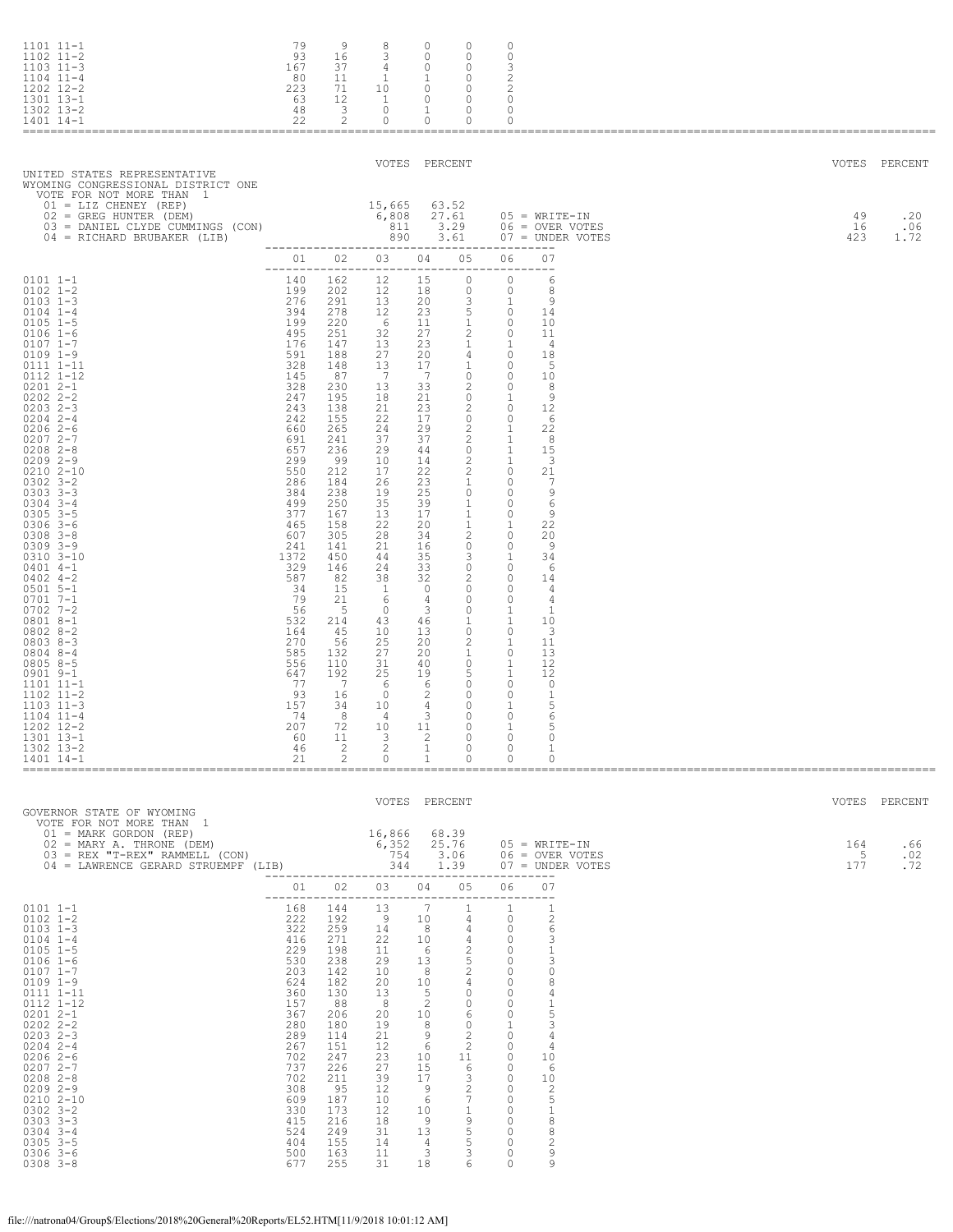| $1101$ $11-1$<br>$1102$ $11-2$<br>$1103$ $11-3$<br>$1104$ $11-4$<br>1202 12-2<br>1301 13-1<br>1302 13-2<br>1401 14-1                                                                                                                                                                                                                                                                                                                                                                                                                                                                                                                                                                                            | 79<br>93<br>167<br>80<br>223<br>63<br>48<br>22                                                                                                                                                                                                                                                                             | 9<br>16<br>37<br>11<br>71<br>12<br>3<br>2                                                                                                                                                                                                                                                                                          | 8<br>3<br>4<br>1<br>10<br>$\overline{1}$<br>$\circ$<br>0                                                                                                                                                                                                                                                                          | 0<br>$\Omega$<br>0<br>-1<br>0<br>0<br>1<br>0                                                                                                                                                                                                                                                                                    | 0<br>$\Omega$<br>$\circ$<br>0<br>0<br>$\circ$<br>$\circ$<br>0                                                                                                                                                                                                                                                                                                                                                                                                                                                                  | 0<br>$\Omega$<br>3<br>2<br>2<br>$\mathbf{0}$<br>0<br>0                                                                                                                                                                                                                                                                                                                                                                                                                                                        |                                                                                                                                                                                                                                                                                        |  |                          |                                    |
|-----------------------------------------------------------------------------------------------------------------------------------------------------------------------------------------------------------------------------------------------------------------------------------------------------------------------------------------------------------------------------------------------------------------------------------------------------------------------------------------------------------------------------------------------------------------------------------------------------------------------------------------------------------------------------------------------------------------|----------------------------------------------------------------------------------------------------------------------------------------------------------------------------------------------------------------------------------------------------------------------------------------------------------------------------|------------------------------------------------------------------------------------------------------------------------------------------------------------------------------------------------------------------------------------------------------------------------------------------------------------------------------------|-----------------------------------------------------------------------------------------------------------------------------------------------------------------------------------------------------------------------------------------------------------------------------------------------------------------------------------|---------------------------------------------------------------------------------------------------------------------------------------------------------------------------------------------------------------------------------------------------------------------------------------------------------------------------------|--------------------------------------------------------------------------------------------------------------------------------------------------------------------------------------------------------------------------------------------------------------------------------------------------------------------------------------------------------------------------------------------------------------------------------------------------------------------------------------------------------------------------------|---------------------------------------------------------------------------------------------------------------------------------------------------------------------------------------------------------------------------------------------------------------------------------------------------------------------------------------------------------------------------------------------------------------------------------------------------------------------------------------------------------------|----------------------------------------------------------------------------------------------------------------------------------------------------------------------------------------------------------------------------------------------------------------------------------------|--|--------------------------|------------------------------------|
| UNITED STATES REPRESENTATIVE<br>WYOMING CONGRESSIONAL DISTRICT ONE<br>VOTE FOR NOT MORE THAN 1<br>$01 = LIZ$ CHENEY (REP)<br>02 = GREG HUNTER (DEM)<br>03 = DANIEL CLYDE CUMMINGS (CON)<br>04 = RICHARD BRUBAKER (LIB)                                                                                                                                                                                                                                                                                                                                                                                                                                                                                          |                                                                                                                                                                                                                                                                                                                            |                                                                                                                                                                                                                                                                                                                                    | 15,665<br>6,808<br>811<br>890                                                                                                                                                                                                                                                                                                     | VOTES PERCENT                                                                                                                                                                                                                                                                                                                   | 63.52<br>27.61<br>3.29<br>3.61                                                                                                                                                                                                                                                                                                                                                                                                                                                                                                 |                                                                                                                                                                                                                                                                                                                                                                                                                                                                                                               | $05 = WRTTE-IN$<br>06 = OVER VOTES<br>$07 =$ UNDER VOTES                                                                                                                                                                                                                               |  | VOTES<br>49<br>16<br>423 | PERCENT<br>.20<br>.06<br>1.72      |
| $0101 1 - 1$<br>$0102$ $1-2$<br>$0103$ 1-3<br>$0104$ $1-4$<br>$0105$ 1-5<br>$0106$ 1-6<br>$0107$ $1 - 7$<br>$0109$ $1-9$<br>0111 1-11<br>0112 1-12<br>$02012 - -1$<br>$02022 - 2 - 2$<br>$02032 - 3$<br>$0204$ 2-4<br>$02062-6$<br>$02072 - -7$<br>$0208$ 2-8<br>$02092 - -9$<br>$02102 - 10$<br>$0302$ $3 - 2$<br>$0303$ $3-3$<br>$0304$ 3-4<br>$0305$ $3-5$<br>$0306$ 3-6<br>$0308$ $3 - 8$<br>$0309$ $3 - 9$<br>$0310$ $3 - 10$<br>$0401$ 4-1<br>$0402$ 4-2<br>$0501$ 5-1<br>$0701$ 7-1<br>$0702$ 7-2<br>0801 8-1<br>$08028 - 2$<br>$08038 - 3$<br>$0804$ 8-4<br>$08058 - 5$<br>0901 9-1<br>1101 11-1<br>$1102$ $11-2$<br>$1103$ $11-3$<br>$1104$ $11-4$<br>1202 12-2<br>1301 13-1<br>1302 13-2<br>1401 14-1 | 140<br>199<br>276<br>394<br>199<br>495<br>176<br>591<br>328<br>145<br>328<br>247<br>243<br>242<br>660<br>691<br>657<br>299<br>550<br>286<br>384<br>499<br>377<br>465<br>607<br>241<br>1372<br>329<br>587<br>- 34<br>79<br>56<br>532<br>164<br>270<br>585<br>556<br>647<br>77<br>93<br>157<br>- 74<br>207<br>60<br>46<br>21 | 01 02<br>162<br>202<br>291<br>278<br>220<br>251<br>147<br>188<br>148<br>87<br>230<br>195<br>138<br>155<br>265<br>241<br>236<br>-99<br>212<br>184<br>238<br>250<br>167<br>158<br>305<br>141<br>450<br>146<br>82<br>15<br>21<br>-5<br>214<br>45<br>56<br>132<br>110<br>192<br>$\overline{7}$<br>16<br>34<br>8<br>72<br>11<br>-2<br>2 | 03<br>12<br>12<br>13<br>12<br>6<br>32<br>13<br>27<br>13<br>7<br>13<br>18<br>21<br>22<br>24<br>37<br>29<br>10<br>17<br>26<br>19<br>35<br>13<br>22<br>28<br>21<br>44<br>24<br>38<br>$\overline{1}$<br>-6<br>$\overline{0}$<br>43<br>10<br>25<br>27<br>31<br>25<br>- 6<br>$\circ$<br>10<br>$\overline{4}$<br>10<br>3<br>2<br>$\circ$ | 04<br>----<br>15<br>18<br>20<br>23<br>11<br>27<br>23<br>20<br>17<br>$\overline{7}$<br>33<br>21<br>23<br>17<br>29<br>37<br>44<br>14<br>22<br>23<br>25<br>39<br>17<br>20<br>34<br>16<br>35<br>33<br>32<br>$\Omega$<br>4<br>3<br>46<br>13<br>20<br>20<br>40<br>19<br>- 6<br>2<br>4<br>3<br>11<br>$\sqrt{2}$<br>$\overline{1}$<br>1 | 05<br>$\mathbf{0}$<br>$\circ$<br>3<br>5<br>$\mathbf{1}$<br>2<br>$\mathbf{1}$<br>4<br>$\mathbf{1}$<br>$\circ$<br>2<br>$\circ$<br>2<br>$\circ$<br>2<br>2<br>$\overline{0}$<br>2<br>2<br>$\mathbf{1}$<br>$\circ$<br>$\mathbf{1}$<br>$\mathbf{1}$<br>$\mathbf{1}$<br>2<br>$\circ$<br>3<br>$\circ$<br>2<br>$\overline{0}$<br>$\circ$<br>$\circ$<br>$\mathbf{1}$<br>$\circ$<br>2<br>1<br>$\circ$<br>-5<br>$\overline{0}$<br>$\circ$<br>$\circ$<br>$\circ$<br>$\circ$<br>$\overline{\phantom{0}}$<br>$\overline{0}$<br>$\overline{0}$ | 06<br>$\circ$<br>$\circ$<br>1<br>$\overline{0}$<br>$\Omega$<br>$\mathbf{0}$<br>1<br>$\overline{0}$<br>$\Omega$<br>$\circ$<br>$\circ$<br>1<br>$\mathbf{0}$<br>$\circ$<br>1<br>1<br>$\overline{1}$<br>1<br>$\mathbf{0}$<br>$\mathbf{0}$<br>0<br>$\circ$<br>$\Omega$<br>1<br>$\circ$<br>$\mathbf{0}$<br>1<br>0<br>$\overline{0}$<br>$\Omega$<br>$\mathbf{0}$<br>1<br>1<br>$\circ$<br>1<br>$\circ$<br>1<br>1<br>$\overline{0}$<br>$\circ$<br>1<br>$\circ$<br>$\overline{1}$<br>$\circ$<br>$\mathbf{0}$<br>$\circ$ | 07<br>$---$<br>6<br>8<br>9<br>14<br>10<br>-11<br>- 4<br>18<br>$-5$<br>10<br>8<br>-9<br>12<br>-6<br>22<br>- 8<br>15<br>3<br>21<br>-7<br>9<br>6<br>9<br>22<br>20<br>-9<br>34<br>-6<br>14<br>4<br>4<br>1<br>10<br>3<br>11<br>13<br>12<br>12<br>0<br>1<br>5<br>6<br>5<br>0<br>1<br>$\circ$ |  |                          |                                    |
| GOVERNOR STATE OF WYOMING<br>VOTE FOR NOT MORE THAN 1<br>01 = MARK GORDON (REP)<br>$02 = \text{MARK}$ $\overline{1}$ $\overline{1}$ $\overline{1}$ $\overline{1}$ $\overline{2}$ $\overline{2}$ $\overline{2}$ $\overline{2}$ $\overline{2}$ $\overline{2}$ $\overline{2}$ $\overline{2}$ $\overline{2}$ $\overline{2}$ $\overline{2}$ $\overline{2}$ $\overline{2}$ $\overline{2}$ $\overline{2}$ $\overline{2}$ $\overline{2}$ $\overline{2}$ $\overline{2}$ $\over$                                                                                                                                                                                                                                          |                                                                                                                                                                                                                                                                                                                            |                                                                                                                                                                                                                                                                                                                                    | VOTES PERCENT<br>16,866 68.39                                                                                                                                                                                                                                                                                                     | 3.06                                                                                                                                                                                                                                                                                                                            |                                                                                                                                                                                                                                                                                                                                                                                                                                                                                                                                |                                                                                                                                                                                                                                                                                                                                                                                                                                                                                                               | 05 = WRITE-IN<br>06 = OVER VOTES<br>1.39 07 = UNDER VOTES                                                                                                                                                                                                                              |  | 164<br>- 5<br>177        | VOTES PERCENT<br>.66<br>.02<br>.72 |
| $0101$ $1-1$<br>$0102$ $1 - 2$<br>$0103$ 1-3<br>$0104$ $1-4$<br>$0105$ 1-5<br>$0106$ 1-6<br>$0107$ $1 - 7$<br>$0109$ $1-9$<br>0111 1-11<br>0112 1-12<br>$02012 - 1$<br>$0202$ $2 - 2$<br>$0203$ $2-3$<br>$0204$ 2-4<br>$02062-6$<br>$02072 - -7$<br>$0208$ $2 - 8$<br>$02092 - -9$<br>0210 2-10<br>$0302$ $3 - 2$<br>$0303$ $3-3$<br>$0304$ 3-4<br>$0305$ $3-5$<br>$0306$ 3-6<br>$0308$ $3 - 8$                                                                                                                                                                                                                                                                                                                 | 322<br>416<br>229<br>530<br>203<br>624<br>360<br>157<br>367<br>280<br>289<br>267<br>702<br>737<br>702<br>308<br>609<br>330<br>415<br>524<br>404<br>500<br>677                                                                                                                                                              | 168 144<br>222 192<br>259<br>271<br>198<br>238<br>142<br>182<br>130<br>88<br>206<br>180<br>114<br>151<br>247<br>226<br>211<br>95<br>187<br>173<br>216<br>249<br>155<br>163<br>255                                                                                                                                                  | 01 02 03 04 05<br>13<br>$\overline{\phantom{0}}$<br>14<br>22<br>11<br>29<br>10<br>20<br>13<br>8<br>20<br>19<br>21<br>12<br>23<br>27<br>39<br>12<br>10<br>12<br>18<br>31<br>14<br>11<br>31                                                                                                                                         | $\overline{7}$<br>10<br>8<br>10<br>$\begin{array}{ccc} 6 & 2 \\ 13 & 5 \\ 8 & 2 \end{array}$<br>13<br>8 <sup>8</sup><br>10<br>$5^{\circ}$<br>$\overline{2}$<br>10<br>8<br>- 9<br>$6\overline{6}$<br>10<br>15<br>17<br>- 9<br>6<br>10<br>- 9<br>13<br>4<br>3<br>18                                                               | $\mathbf{1}$<br>$4\degree$<br>$\overline{4}$<br>$\overline{4}$<br>$2^{\circ}$<br>4<br>$\overline{0}$<br>$\overline{0}$<br>6<br>$\overline{0}$<br>$2^{\circ}$<br>$\overline{2}$<br>11<br>6<br>3<br>$\overline{2}$<br>$7\overline{ }$<br>$\mathbf{1}$<br>9<br>5<br>5<br>3<br>6                                                                                                                                                                                                                                                   | 06 07<br>1<br>$\overline{0}$<br>$\overline{0}$<br>$\overline{0}$<br>$\overline{0}$<br>$\overline{0}$<br>$\bigcirc$<br>$\overline{0}$<br>$\overline{0}$<br>$\overline{0}$<br>$\overline{0}$<br><sup>1</sup><br>$\overline{0}$<br>$\Omega$<br>$\overline{0}$<br>$\overline{0}$<br>$\overline{0}$<br>$\bigcirc$<br>$\overline{0}$<br>$\overline{0}$<br>$\Omega$<br>$\overline{0}$<br>$\overline{0}$<br>$\circ$<br>$\circ$                                                                                        | $\mathbf{1}$<br>2<br>6<br>3<br>1<br>3<br>$\circ$<br>8<br>4<br>1<br>5<br>3<br>4<br>4<br>10<br>6<br>10<br>-2<br>5<br>1<br>8<br>8<br>2<br>9<br>9                                                                                                                                          |  |                          |                                    |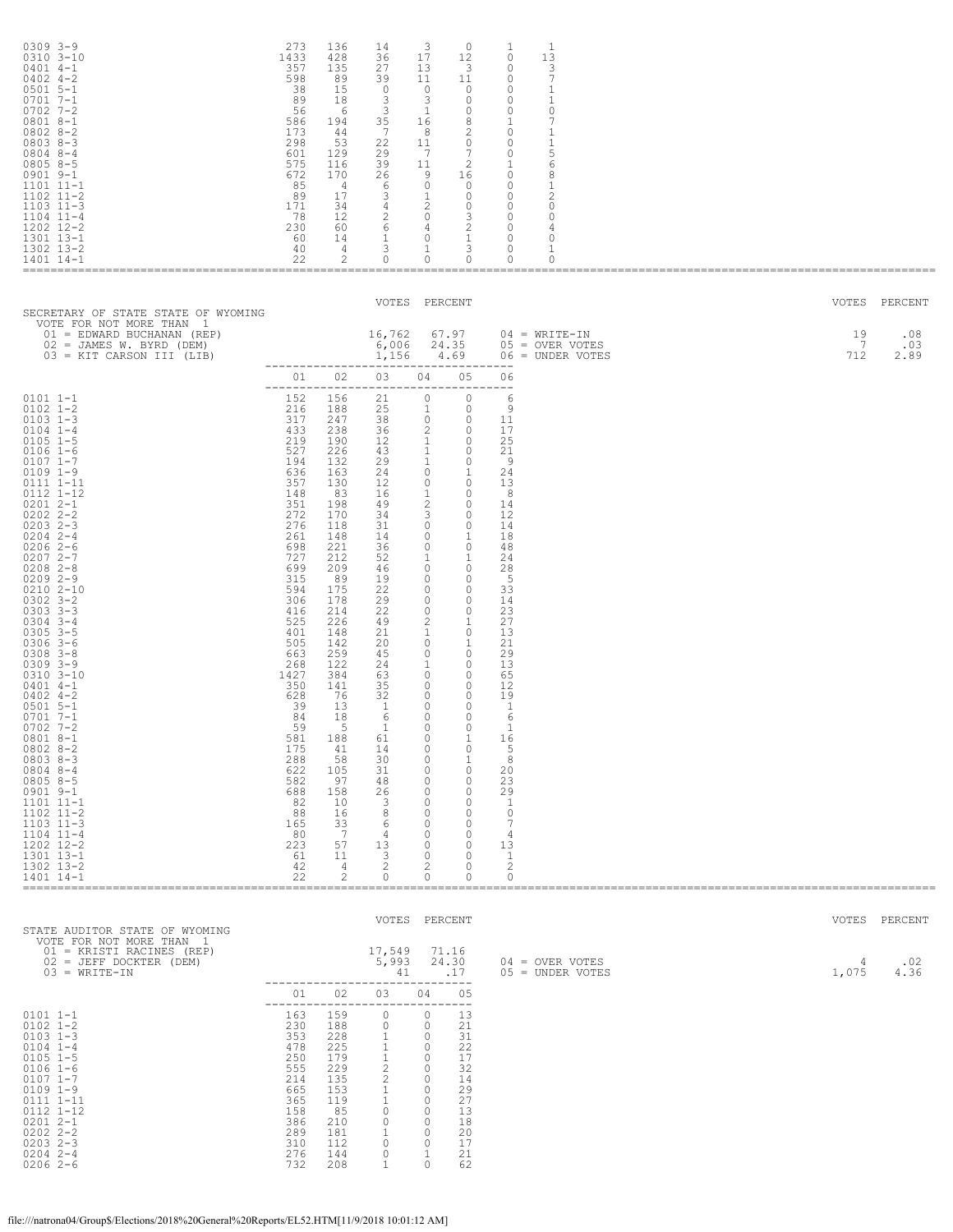| $0309$ $3 - 9$<br>0310 3-10<br>$0401$ 4-1<br>$0402$ 4-2<br>$0501$ 5-1<br>$07017 - -1$<br>$0702$ 7-2<br>$08018 - -1$<br>$08028-2$<br>$08038 - 3$<br>$0804$ 8-4<br>$08058 - 5$<br>$0901$ $9-1$<br>$1101$ $11-1$<br>$1102$ $11-2$<br>$1103$ $11-3$<br>$1104$ $11-4$<br>1202 12-2<br>1301 13-1<br>1302 13-2<br>1401 14-1                                                                                                                                                                                                                                                                                                                                                                                        | 273<br>1433<br>357<br>598<br>38<br>89<br>56<br>586<br>173<br>298<br>601<br>575<br>672<br>85<br>89<br>171<br>- 78<br>230<br>60<br>40<br>22                                                                                                                                                                              | 136<br>428<br>135<br>89<br>15<br>18<br>- 6<br>194<br>44<br>53<br>129<br>116<br>170<br>$\frac{4}{3}$<br>17<br>34<br>12<br>60<br>14<br>4<br>2                                                                                                                                                                | 14<br>36<br>27<br>39<br>$\circ$<br>3<br>3<br>35<br>7<br>22<br>29<br>39<br>26<br>6<br>3<br>4<br>$\begin{matrix} 2 & \hspace{1.5cm} 0 \\ 6 & \hspace{1.5cm} 4 \end{matrix}$<br>$\mathbf{1}$<br>3<br>0                                                                                              | 3<br>17<br>13<br>11<br>$\circ$<br>3<br>$\overline{1}$<br>16<br>- 8<br>11<br>$\overline{7}$<br>11<br>9<br>$\circ$<br>$\overline{1}$<br>$\overline{\phantom{a}}$<br>$\overline{0}$<br>$\mathbf{1}$<br>$\circ$                                                                                                                                                                                                                                                                                                                                    | $\circ$<br>12<br>$\overline{\mathbf{3}}$<br>11<br>$\overline{0}$<br>$\Omega$<br>$\circ$<br>8<br>2<br>$\circ$<br>$\overline{7}$<br>2<br>16<br>$\overline{0}$<br>$\circ$<br>$\circ$<br>$\begin{array}{c} 3 \\ 2 \\ 1 \\ 3 \end{array}$<br>$\circ$                                                                                                                                                                                                                                                                                                                                   | 1<br>$\circ$<br>0<br>$\circ$<br>0<br>$\circ$<br>$\circ$<br>$\mathbf{1}$<br>$\circ$<br>$\circ$<br>$\circ$<br>$\mathbf{1}$<br>$\circ$<br>$\circ$<br>$\circ$<br>$\circ$<br>$\circ$<br>$\circ$<br>$\circ$<br>$\circ$<br>$\circ$                                                 | 1<br>13<br>3<br>$7\phantom{.0}$<br>1<br>1<br>0<br>7<br>1<br>1<br>5<br>6<br>8<br>1<br>2<br>0<br>0<br>4<br>0<br>1<br>$\circ$ |  |                |                    |
|-------------------------------------------------------------------------------------------------------------------------------------------------------------------------------------------------------------------------------------------------------------------------------------------------------------------------------------------------------------------------------------------------------------------------------------------------------------------------------------------------------------------------------------------------------------------------------------------------------------------------------------------------------------------------------------------------------------|------------------------------------------------------------------------------------------------------------------------------------------------------------------------------------------------------------------------------------------------------------------------------------------------------------------------|------------------------------------------------------------------------------------------------------------------------------------------------------------------------------------------------------------------------------------------------------------------------------------------------------------|--------------------------------------------------------------------------------------------------------------------------------------------------------------------------------------------------------------------------------------------------------------------------------------------------|------------------------------------------------------------------------------------------------------------------------------------------------------------------------------------------------------------------------------------------------------------------------------------------------------------------------------------------------------------------------------------------------------------------------------------------------------------------------------------------------------------------------------------------------|-----------------------------------------------------------------------------------------------------------------------------------------------------------------------------------------------------------------------------------------------------------------------------------------------------------------------------------------------------------------------------------------------------------------------------------------------------------------------------------------------------------------------------------------------------------------------------------|-----------------------------------------------------------------------------------------------------------------------------------------------------------------------------------------------------------------------------------------------------------------------------|----------------------------------------------------------------------------------------------------------------------------|--|----------------|--------------------|
| SECRETARY OF STATE STATE OF WYOMING                                                                                                                                                                                                                                                                                                                                                                                                                                                                                                                                                                                                                                                                         |                                                                                                                                                                                                                                                                                                                        |                                                                                                                                                                                                                                                                                                            | VOTES PERCENT                                                                                                                                                                                                                                                                                    |                                                                                                                                                                                                                                                                                                                                                                                                                                                                                                                                                |                                                                                                                                                                                                                                                                                                                                                                                                                                                                                                                                                                                   |                                                                                                                                                                                                                                                                             |                                                                                                                            |  |                | VOTES PERCENT      |
| VOTE FOR NOT MORE THAN 1<br>01 = EDWARD BUCHANAN (REP)<br>02 = JAMES W. BYRD (DEM)<br>03 = KIT CARSON III (LIB)                                                                                                                                                                                                                                                                                                                                                                                                                                                                                                                                                                                             |                                                                                                                                                                                                                                                                                                                        |                                                                                                                                                                                                                                                                                                            | 16,762<br>6,006<br>1,156                                                                                                                                                                                                                                                                         | 24.35                                                                                                                                                                                                                                                                                                                                                                                                                                                                                                                                          | 67.97<br>4.69                                                                                                                                                                                                                                                                                                                                                                                                                                                                                                                                                                     |                                                                                                                                                                                                                                                                             | $04 = WRITE-IN$<br>05 = OVER VOTES<br>$06 =$ UNDER VOTES                                                                   |  | 19<br>7<br>712 | .08<br>.03<br>2.89 |
|                                                                                                                                                                                                                                                                                                                                                                                                                                                                                                                                                                                                                                                                                                             | 01 01                                                                                                                                                                                                                                                                                                                  | 02                                                                                                                                                                                                                                                                                                         | ______________________________________<br>03<br>-------------------------------------                                                                                                                                                                                                            | 04                                                                                                                                                                                                                                                                                                                                                                                                                                                                                                                                             | 05                                                                                                                                                                                                                                                                                                                                                                                                                                                                                                                                                                                | 06                                                                                                                                                                                                                                                                          |                                                                                                                            |  |                |                    |
| $0101 1 - 1$<br>$0102$ $1 - 2$<br>$0103$ 1-3<br>$0104$ $1-4$<br>$0105$ 1-5<br>$0106$ 1-6<br>$0107$ $1 - 7$<br>$0109$ $1-9$<br>0111 1-11<br>0112 1-12<br>$02012 - -1$<br>$0202$ $2 - 2$<br>$0203$ 2-3<br>$0204$ 2-4<br>$02062-6$<br>$02072 - -7$<br>$0208$ 2-8<br>$02092 - -9$<br>$02102 - 10$<br>$0302$ $3 - 2$<br>$0303$ $3-3$<br>$0304$ 3-4<br>$0305$ 3-5<br>$0306$ 3-6<br>$0308$ $3 - 8$<br>$0309$ $3 - 9$<br>$0310$ $3 - 10$<br>$0401$ 4-1<br>$0402$ 4-2<br>$0501$ 5-1<br>$0701$ 7-1<br>$0702$ 7-2<br>0801 8-1<br>$08028-2$<br>$08038 - 3$<br>$0804$ 8-4<br>$08058 - 5$<br>$0901$ $9-1$<br>1101 11-1<br>1102 11-2<br>$1103$ $11-3$<br>$1104$ $11-4$<br>1202 12-2<br>1301 13-1<br>1302 13-2<br>1401 14-1 | 152<br>216<br>317<br>433<br>219<br>527<br>194<br>636<br>357<br>148<br>351<br>272<br>276<br>261<br>698<br>727<br>699<br>315<br>594<br>306<br>416<br>525<br>401<br>505<br>663<br>268<br>1427<br>350<br>628<br>39<br>84<br>59<br>581<br>175<br>288<br>622<br>582<br>688<br>82<br>88<br>165<br>80<br>223<br>61<br>42<br>22 | 156<br>188<br>247<br>238<br>190<br>226<br>132<br>163<br>130<br>83<br>198<br>170<br>118<br>148<br>221<br>212<br>209<br>89<br>175<br>178<br>214<br>226<br>148<br>142<br>259<br>122<br>384<br>141<br>76<br>13<br>18<br>-5<br>188<br>41<br>58<br>105<br>97<br>158<br>10<br>16<br>33<br>7<br>57<br>11<br>4<br>2 | 21<br>25<br>38<br>36<br>12<br>43<br>29<br>24<br>12<br>16<br>49<br>34<br>31<br>14<br>36<br>52<br>46<br>19<br>22<br>29<br>22<br>49<br>21<br>20<br>45<br>24<br>63<br>35<br>32<br>$\overline{1}$<br>6<br><b>T</b><br>61<br>14<br>30<br>31<br>48<br>26<br>3<br>8<br>6<br>4<br>13<br>3<br>2<br>$\circ$ | $\circ$<br>$\overline{1}$<br>$\begin{array}{ccc} & & 0 & & 0 \end{array}$<br>$\overline{c}$<br>$\mathbf{1}$<br>$\overline{1}$<br>$\overline{1}$<br>$\circ$<br>$\circ$<br>$\mathbf{1}$<br>$\overline{c}$<br>$\mathbf{3}$<br>$\overline{\phantom{0}}$<br>$\circ$<br>$\circ$<br>$\mathbf{1}$<br>$\circ$<br>$\circ$<br>$\circ$<br>$\circ$<br>$\circ$<br>2<br>1<br>$\circ$<br>$\circ$<br>1<br>$\overline{\phantom{0}}$<br>$\circ$<br>$\circ$<br>$\circ$<br>$\circ$<br>0<br>0<br>0<br>0<br>0<br>0<br>0<br>$\circ$<br>0<br>0<br>0<br>0<br>0<br>2<br>0 | $\circ$<br>$\circ$<br>$\overline{0}$<br>$\overline{0}$<br>$\overline{0}$<br>$\circ$<br><sup>1</sup><br>$\overline{0}$<br>$\overline{0}$<br>$\overline{0}$<br>$\overline{0}$<br>$\circ$<br>$\overline{1}$<br>$\circ$<br>$\overline{1}$<br>$\overline{0}$<br>$\circ$<br>$\overline{0}$<br>$\overline{0}$<br>$\circ$<br>1<br>$\circ$<br>$\mathbf{1}$<br>$\overline{0}$<br>$\overline{0}$<br>$\overline{0}$<br>$\overline{0}$<br>$\circ$<br>$\Omega$<br>$\circ$<br>1<br>$\circ$<br>1<br>$\circ$<br>$\circ$<br>$\circ$<br>$\circ$<br>$\circ$<br>$\circ$<br>0<br>$\circ$<br>0<br>0<br>0 | 6<br>9<br>11<br>17<br>25<br>21<br>- 9<br>24<br>13<br>- 8<br>14<br>12<br>14<br>18<br>48<br>24<br>28<br>$-5$<br>33<br>14<br>23<br>27<br>13<br>21<br>29<br>13<br>65<br>12<br>19<br>- 1<br>6<br>- 1<br>16<br>5<br>8<br>20<br>23<br>29<br>-1<br>0<br>7<br>4<br>13<br>1<br>2<br>0 |                                                                                                                            |  |                |                    |
| STATE AUDITOR STATE OF WYOMING                                                                                                                                                                                                                                                                                                                                                                                                                                                                                                                                                                                                                                                                              |                                                                                                                                                                                                                                                                                                                        |                                                                                                                                                                                                                                                                                                            | VOTES PERCENT                                                                                                                                                                                                                                                                                    |                                                                                                                                                                                                                                                                                                                                                                                                                                                                                                                                                |                                                                                                                                                                                                                                                                                                                                                                                                                                                                                                                                                                                   |                                                                                                                                                                                                                                                                             |                                                                                                                            |  |                | VOTES PERCENT      |

| STATE AUDITOR STATE OF WYOMING                                                                                                                           |                                                                    |                                                                   |                         | VVIIIV LIINVIIVI                                            |                                                          |                                         | VVIIIV LIIVVIIV |             |
|----------------------------------------------------------------------------------------------------------------------------------------------------------|--------------------------------------------------------------------|-------------------------------------------------------------------|-------------------------|-------------------------------------------------------------|----------------------------------------------------------|-----------------------------------------|-----------------|-------------|
| VOTE FOR NOT MORE THAN 1<br>01 = KRISTI RACINES (REP)<br>02 = JEFF DOCKTER (DEM)<br>$03 = WRITE-IN$                                                      |                                                                    |                                                                   | 17,549<br>5,993<br>41   |                                                             | 71.16<br>24.30<br>.17                                    | $04 =$ OVER VOTES<br>$05 =$ UNDER VOTES | 4<br>1,075      | .02<br>4.36 |
|                                                                                                                                                          | 01                                                                 | 02                                                                | 03                      | 04                                                          | 05                                                       |                                         |                 |             |
| $0101 1 - 1$<br>$0102$ $1 - 2$<br>$0103$ $1-3$<br>$0104$ $1-4$<br>$0105$ 1-5<br>$0106$ 1-6<br>$0107$ $1-7$<br>$0109$ $1-9$<br>0111 1-11<br>$0112$ $1-12$ | 163<br>230<br>353<br>478<br>250<br>555<br>214<br>665<br>365<br>158 | 159<br>188<br>228<br>225<br>179<br>229<br>135<br>153<br>119<br>85 | 0<br>2<br>$\mathcal{D}$ | 0<br>0<br>0<br>$\circ$<br>$\circ$<br>0<br>0<br>0<br>$\circ$ | 13<br>21<br>31<br>22<br>17<br>32<br>14<br>29<br>27<br>13 |                                         |                 |             |
| $02012 - 1$<br>$0202$ $2 - 2$<br>$02032 - 3$<br>$02042 - -4$<br>$02062-6$                                                                                | 386<br>289<br>310<br>276<br>732                                    | 210<br>181<br>112<br>144<br>208                                   | $\circ$<br>0            | $\circ$<br>0<br>0                                           | 18<br>20<br>17<br>21<br>62                               |                                         |                 |             |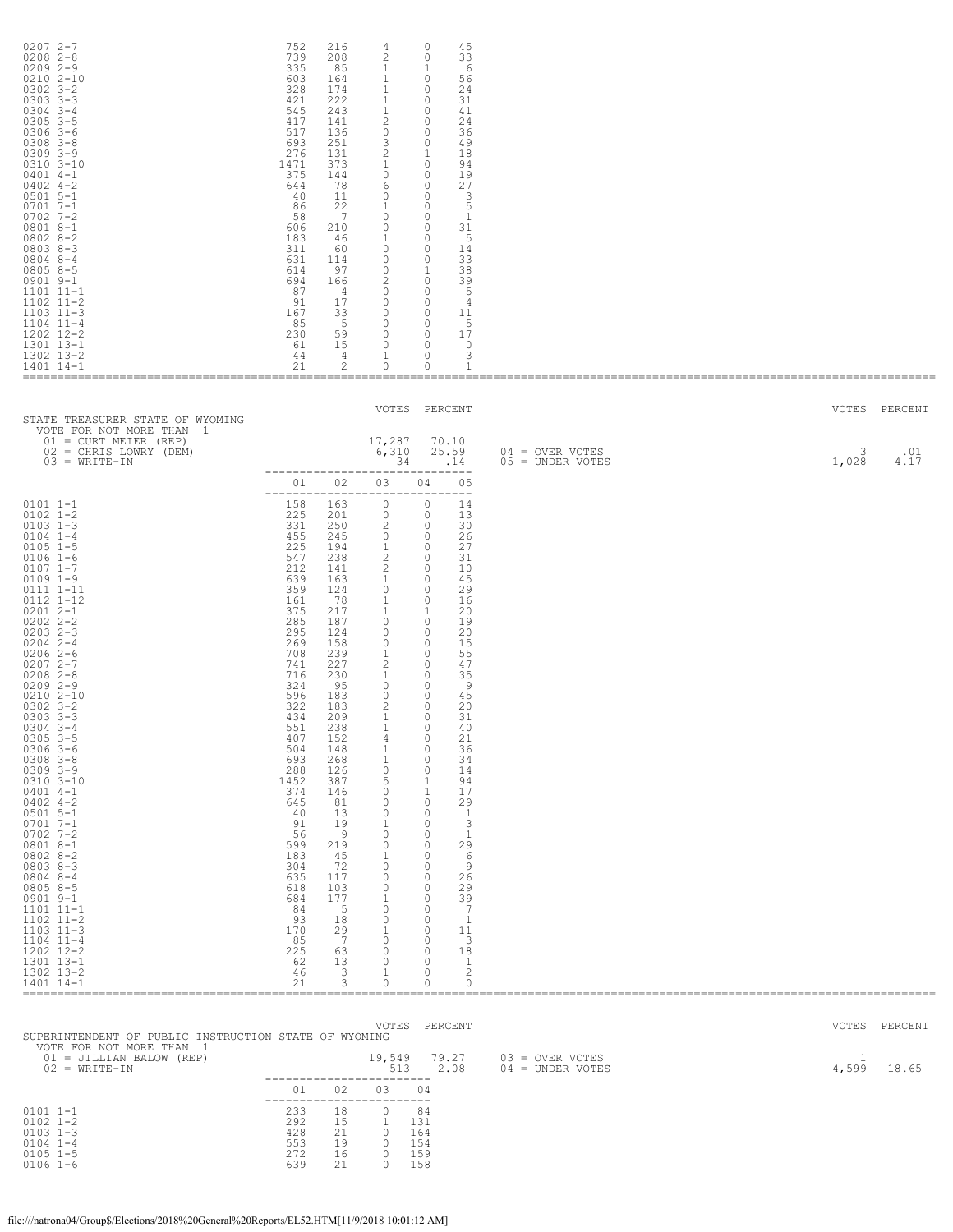| $02072 - -7$<br>$0208$ $2 - 8$<br>$02092 - -9$<br>$0210$ $2 - 10$<br>$0302$ $3 - 2$<br>$0303$ $3-3$<br>$0304$ 3-4<br>$0305$ 3-5<br>$0306$ 3-6<br>$0308$ $3 - 8$<br>$0309$ $3 - 9$<br>0310 3-10<br>$0401$ 4-1<br>$0402$ 4-2<br>$0501$ 5-1<br>$0701 7 - 1$<br>$0702$ 7-2<br>$08018 - -1$<br>$0802 8 - 2$<br>$08038-3$<br>$0804$ 8-4<br>$08058 - 5$<br>$0901$ $9-1$<br>$1101$ $11-1$<br>1102 11-2<br>$1103$ $11-3$<br>$1104$ $11-4$<br>1202 12-2<br>1301 13-1<br>1302 13-2<br>1401 14-1                                                                                                                                                                                                                              | 752<br>739<br>335<br>603<br>328<br>421<br>545<br>417<br>517<br>693<br>276<br>1471<br>375<br>644<br>-40<br>86<br>58<br>606<br>183<br>311<br>631<br>614<br>694<br>87<br>91<br>167<br>85<br>230<br>61<br>44<br>21                                                                                                             | 216<br>208<br>85<br>164<br>174<br>222<br>243<br>141<br>136<br>251<br>131<br>373<br>144<br>78<br>11<br>22<br>$\overline{7}$<br>210<br>- 46<br>60<br>114<br>97<br>166<br>4<br>17<br>33<br>$-5$<br>59<br>15<br>$\frac{4}{3}$<br>2                                                                                                                         | 4<br>$\mathbf{2}$<br>$\mathbf{1}$<br>$\mathbf{1}$<br>$\,$ 1 $\,$<br>$\mathbf{1}$<br>1<br>$\overline{c}$<br>$\circ$<br>$\mathcal{S}$<br>$\overline{c}$<br>$\mathbf{1}$<br>$\overline{0}$<br>6<br>$\circ$<br><sup>1</sup><br>$\circ$<br>$\overline{0}$<br>$\overline{0}$<br>$1 \qquad 0$<br>$\circ$<br>$\circ$<br>$\circ$<br>$2 \qquad 0$<br>$\circ$<br>$\overline{0}$<br>$\overline{0}$<br>$\overline{0}$<br>$\overline{0}$<br>$\overline{0}$<br>$\mathbf{1}$<br>$\circ$                                                                                                                                                                                                  | $\circ$<br>$\circ$<br>1<br>$\circ$<br>$\circ$<br>$\circ$<br>$\circ$<br>$\circ$<br>$\circ$<br>$\circ$<br>1<br>$\overline{0}$<br>$\circ$<br>$\circ$<br>$\circ$<br>$\overline{\phantom{0}}$<br>$\circ$<br>$\overline{0}$<br>$\overline{\phantom{0}}$<br>$\overline{1}$<br>$\circ$<br>$\circ$<br>$\circ$<br>$\circ$<br>$\overline{0}$<br>$\circ$<br>$\circ$<br>$\circ$                                                                                                                                            | 45<br>33<br>- 6<br>56<br>24<br>31<br>41<br>24<br>36<br>49<br>18<br>94<br>19<br>27<br>$\overline{\phantom{a}}$<br>5<br>1<br>31<br>- 5<br>14<br>33<br>38<br>39<br>- 5<br>- 4<br>11<br>-5<br>17<br>$\overline{\phantom{0}}$<br>3<br>1                                                                                                      |                                       |            |                        |
|-------------------------------------------------------------------------------------------------------------------------------------------------------------------------------------------------------------------------------------------------------------------------------------------------------------------------------------------------------------------------------------------------------------------------------------------------------------------------------------------------------------------------------------------------------------------------------------------------------------------------------------------------------------------------------------------------------------------|----------------------------------------------------------------------------------------------------------------------------------------------------------------------------------------------------------------------------------------------------------------------------------------------------------------------------|--------------------------------------------------------------------------------------------------------------------------------------------------------------------------------------------------------------------------------------------------------------------------------------------------------------------------------------------------------|--------------------------------------------------------------------------------------------------------------------------------------------------------------------------------------------------------------------------------------------------------------------------------------------------------------------------------------------------------------------------------------------------------------------------------------------------------------------------------------------------------------------------------------------------------------------------------------------------------------------------------------------------------------------------|---------------------------------------------------------------------------------------------------------------------------------------------------------------------------------------------------------------------------------------------------------------------------------------------------------------------------------------------------------------------------------------------------------------------------------------------------------------------------------------------------------------|-----------------------------------------------------------------------------------------------------------------------------------------------------------------------------------------------------------------------------------------------------------------------------------------------------------------------------------------|---------------------------------------|------------|------------------------|
| STATE TREASURER STATE OF WYOMING                                                                                                                                                                                                                                                                                                                                                                                                                                                                                                                                                                                                                                                                                  |                                                                                                                                                                                                                                                                                                                            |                                                                                                                                                                                                                                                                                                                                                        | VOTES PERCENT                                                                                                                                                                                                                                                                                                                                                                                                                                                                                                                                                                                                                                                            |                                                                                                                                                                                                                                                                                                                                                                                                                                                                                                               |                                                                                                                                                                                                                                                                                                                                         |                                       |            | VOTES PERCENT          |
| VOTE FOR NOT MORE THAN 1<br>$01 = CURT MEIER (REF)$<br>02 = CHRIS LOWRY (DEM)<br>$03 = WRTTE-TN$                                                                                                                                                                                                                                                                                                                                                                                                                                                                                                                                                                                                                  |                                                                                                                                                                                                                                                                                                                            |                                                                                                                                                                                                                                                                                                                                                        | 17,287<br>6,310<br>34<br>-------------------------------                                                                                                                                                                                                                                                                                                                                                                                                                                                                                                                                                                                                                 |                                                                                                                                                                                                                                                                                                                                                                                                                                                                                                               | 70.10<br>25.59<br>.14                                                                                                                                                                                                                                                                                                                   | 04 = OVER VOTES<br>$05 =$ UNDER VOTES | 3<br>1,028 | .01<br>4.17            |
| $0101$ $1-1$<br>$0102$ $1 - 2$<br>$0103$ $1-3$<br>$0104$ $1-4$<br>$0105$ 1-5<br>$0106$ 1-6<br>$0107$ $1 - 7$<br>$0109$ $1-9$<br>0111 1-11<br>0112 1-12<br>$02012 - -1$<br>$0202$ $2 - 2$<br>$0203$ 2-3<br>$0204$ 2-4<br>$02062-6$<br>$02072 - -7$<br>$0208$ 2-8<br>$02092 - -9$<br>0210 2-10<br>$0302$ $3 - 2$<br>$0303$ $3-3$<br>$0304$ 3-4<br>$0305$ 3-5<br>$0306$ 3-6<br>$0308$ $3 - 8$<br>$0309$ $3 - 9$<br>0310 3-10<br>$0401$ 4-1<br>$0402$ 4-2<br>$0501$ 5-1<br>$0701 7 - 1$<br>$0702$ 7-2<br>0801 8-1<br>$0802$ $8-2$<br>$08038 - 3$<br>$0804$ 8-4<br>$08058 - 5$<br>$0901$ $9-1$<br>$1101$ $11-1$<br>$1102$ $11-2$<br>$1103$ $11-3$<br>$1104$ $11-4$<br>1202 12-2<br>1301 13-1<br>1302 13-2<br>1401 14-1 | 158 163<br>225<br>331<br>455<br>225<br>547<br>212<br>639<br>359<br>161<br>375<br>285<br>295<br>269<br>708<br>741<br>716<br>324<br>596<br>322<br>434<br>551<br>407<br>504<br>693<br>288<br>1452<br>374<br>645<br>40<br>91<br>56<br>599<br>183<br>304<br>635<br>618<br>684<br>84<br>93<br>170<br>85<br>225<br>62<br>46<br>21 | 201<br>250<br>245<br>194<br>238<br>141<br>163<br>124<br>- 78<br>217<br>187<br>124<br>158<br>239<br>227<br>230<br>95<br>183<br>183<br>209<br>238<br>152<br>148<br>268<br>126<br>387<br>146<br>81<br>13<br>19<br>$\overline{9}$<br>219<br>45<br>72<br>117<br>103<br>177<br>- 5<br>18<br>29<br>$7\phantom{0}$<br>63<br>13<br>$\overline{\mathbf{3}}$<br>3 | 01 02 03<br>________________________________<br>$\overline{0}$<br>$\begin{matrix}0&0\end{matrix}$<br>$2 \t 0$<br>$0\qquad 0$<br>$1 \qquad 0$<br>$\overline{2}$<br>$\mathbf{2}$<br>1<br>$\circ$<br>$\mathbf{1}$<br>$\mathbf{1}$<br>$\circ$<br>$\circ$<br>$\circ$<br>1<br>$\overline{c}$<br>$\mathbf{1}$<br>$\overline{0}$<br>$\overline{0}$<br>2<br>$\mathbf{1}$<br>- 11<br>4<br>1<br>$\mathbf{1}$<br>$\overline{0}$<br>5<br>$\circ$<br>$\circ$<br>$\circ$<br>$\mathbf{1}$<br>$\overline{0}$<br>$\circ$<br>$\mathbf{1}$<br>$\circ$<br>$\circ$<br>$\circ$<br>1<br>$\overline{0}$<br>$\overline{0}$<br>$\mathbf{1}$<br>$\circ$<br>$\overline{0}$<br>$\circ$<br>1<br>$\circ$ | 04<br>$\circ$<br>$\circ$<br>$\circ$<br>$\overline{\phantom{0}}$<br>$\circ$<br>$\overline{0}$<br>$\mathbf{1}$<br>$\overline{\phantom{0}}$<br>$\circ$<br>$\circ$<br>$\circ$<br>$\circ$<br>$\circ$<br>$\circ$<br>$\circ$<br>$\circ$<br>$\Omega$<br>$\circ$<br>0<br>$\circ$<br>$\circ$<br>$\circ$<br>1<br>1<br>$\circ$<br>$\circ$<br>$\circ$<br>$\circ$<br>$\circ$<br>$\circ$<br>$\circ$<br>$\circ$<br>$\circ$<br>$\circ$<br>$\circ$<br>$\circ$<br>$\circ$<br>$\circ$<br>$\circ$<br>$\circ$<br>$\circ$<br>$\circ$ | 05<br>14<br>13<br>30<br>26<br>27<br>31<br>10<br>45<br>29<br>16<br>20<br>19<br>20<br>15<br>55<br>47<br>35<br>- 9<br>45<br>20<br>31<br>40<br>21<br>36<br>34<br>14<br>94<br>17<br>29<br>- 1<br>3<br>$\overline{1}$<br>29<br>- 6<br>- 9<br>26<br>29<br>39<br>$\overline{7}$<br>$\overline{1}$<br>11<br>-3<br>18<br>$\overline{1}$<br>2<br>0 |                                       |            |                        |
| SUPERINTENDENT OF PUBLIC INSTRUCTION STATE OF WYOMING<br>VOTE FOR NOT MORE THAN 1<br>01 = JILLIAN BALOW (REP)<br>$02 = WRITE-TN$                                                                                                                                                                                                                                                                                                                                                                                                                                                                                                                                                                                  |                                                                                                                                                                                                                                                                                                                            |                                                                                                                                                                                                                                                                                                                                                        | VOTES PERCENT<br>19,549 79.27<br>513 2.08                                                                                                                                                                                                                                                                                                                                                                                                                                                                                                                                                                                                                                |                                                                                                                                                                                                                                                                                                                                                                                                                                                                                                               |                                                                                                                                                                                                                                                                                                                                         | 03 = OVER VOTES<br>04 = UNDER VOTES   | 1<br>4,599 | VOTES PERCENT<br>18.65 |
| $0101 1 - 1$<br>$0102$ $1 - 2$<br>$0103$ $1-3$<br>$0104$ $1-4$<br>$0105$ 1-5<br>$0106$ 1-6                                                                                                                                                                                                                                                                                                                                                                                                                                                                                                                                                                                                                        | 233<br>292<br>428<br>553<br>272<br>639                                                                                                                                                                                                                                                                                     | 01 02<br>18<br>15<br>21<br>19<br>16<br>21                                                                                                                                                                                                                                                                                                              | ------------------------<br>03<br>------------------------<br>$\circ$<br>$\mathbf{1}$<br>$\overline{0}$<br>$\overline{0}$<br>$\overline{0}$<br>$\circ$                                                                                                                                                                                                                                                                                                                                                                                                                                                                                                                   | 04<br>84<br>131<br>164<br>154<br>159<br>158                                                                                                                                                                                                                                                                                                                                                                                                                                                                   |                                                                                                                                                                                                                                                                                                                                         |                                       |            |                        |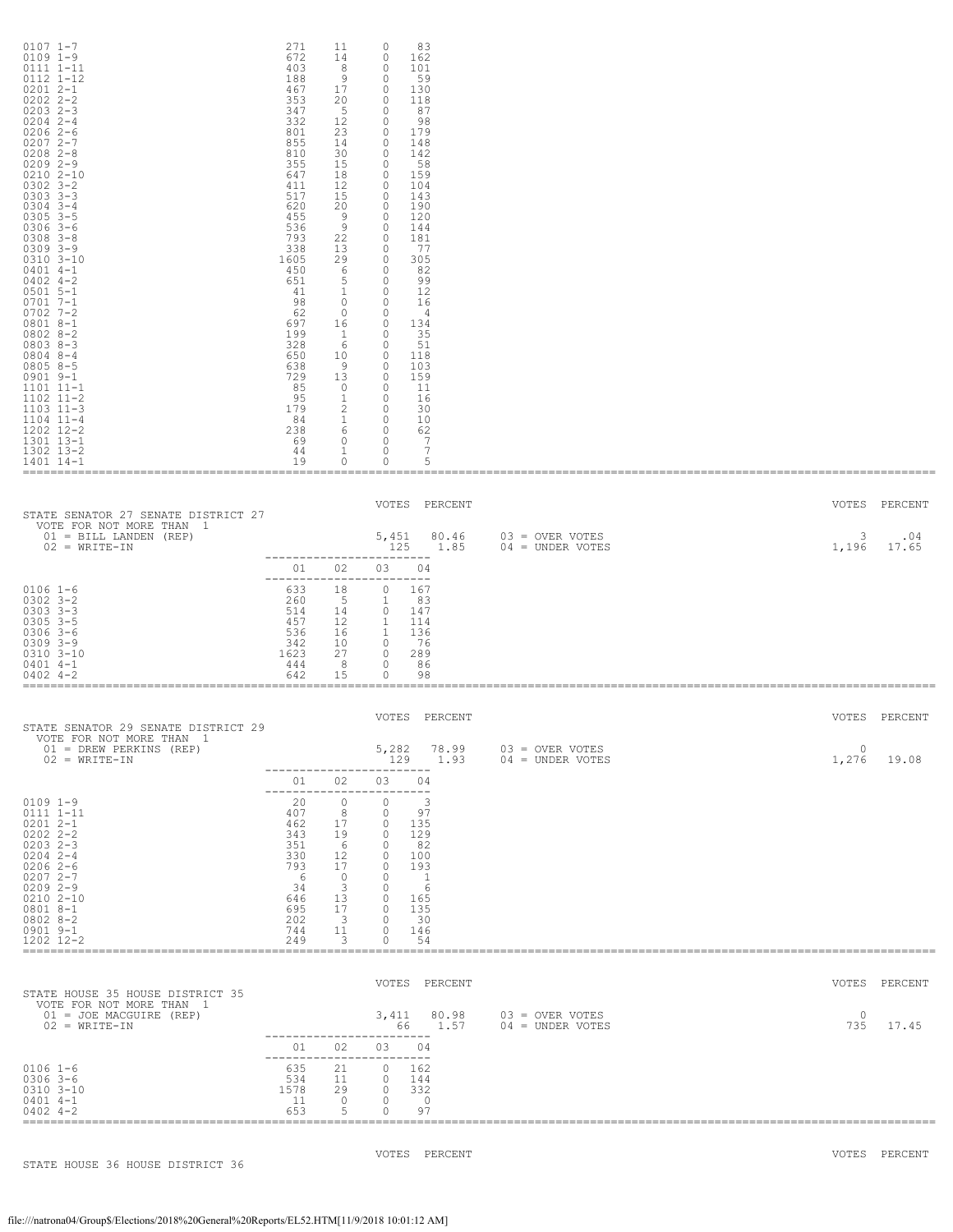| $0107$ 1-7<br>$0109$ $1-9$<br>0111 1-11<br>0112 1-12<br>$02012 - -1$<br>$0202$ $2 - 2$<br>$0203$ $2-3$<br>$0204$ 2-4<br>$02062-6$<br>$02072 - -7$<br>$0208$ $2 - 8$<br>$02092 - -9$<br>$0210$ $2 - 10$<br>$0302$ $3 - 2$<br>$0303$ $3 - 3$<br>$0304$ 3-4<br>$0305$ $3-5$<br>$0306$ 3-6<br>$0308$ $3 - 8$<br>$0309$ $3 - 9$<br>$0310$ $3 - 10$<br>$0401$ 4-1<br>$0402$ 4-2<br>$0501$ 5-1<br>$07017 - -1$<br>$0702$ 7-2<br>$08018 - -1$<br>$08028 - 2$<br>$08038 - 3$<br>$08048 - -4$<br>$08058 - 5$<br>$0901$ $9-1$<br>1101 11-1<br>$1102$ $11-2$<br>$1103$ $11-3$<br>$1104$ $11-4$<br>1202 12-2<br>1301 13-1<br>1302 13-2<br>1401 14-1 | 271<br>672<br>403<br>188<br>467<br>353<br>347<br>332<br>801<br>855<br>810<br>355<br>647<br>411<br>517<br>620<br>455<br>536<br>793<br>338<br>1605<br>450<br>651<br>41<br>98<br>62<br>697<br>199<br>328<br>650<br>638<br>729<br>85<br>95<br>179<br>84<br>238<br>69<br>44<br>19 | 11<br>14<br>- 8<br>- 9<br>17<br>20<br>5<br>12<br>23<br>14<br>30<br>15<br>18<br>12<br>15<br>20<br>- 9<br>- 9<br>22<br>13<br>29<br>6<br>5 <sup>5</sup><br>$\mathbf{1}$<br>$\overline{0}$<br>$\overline{0}$<br>16<br>$\mathbf{1}$<br>6<br>10<br>- 9<br>13<br>$\overline{0}$<br>$\mathbf{1}$<br>$\begin{matrix}2\\1\end{matrix}$<br>6 0<br>$\overline{0}$<br>$\mathbf{1}$<br>$\circ$ | 0<br>83<br>0<br>162<br>0<br>101<br>$\circ$<br>59<br>130<br>0<br>$\circ$<br>118<br>$\circ$<br>87<br>98<br>0<br>179<br>$\circ$<br>148<br>$\circ$<br>$\circ$<br>142<br>$\circ$<br>- 58<br>$\circ$<br>159<br>$\circ$<br>104<br>$\circ$<br>143<br>$\circ$<br>190<br>120<br>0<br>$\overline{0}$<br>144<br>181<br>$\overline{\phantom{0}}$<br>$\circ$<br>- 77<br>$\circ$<br>305<br>$\circ$<br>82<br>99<br>$\overline{0}$<br>12<br>$\overline{0}$<br>$\overline{\phantom{0}}$<br>16<br>$\overline{0}$<br>- 4<br>$\circ$<br>134<br>35<br>$\circ$<br>0<br>- 51<br>$\circ$<br>118<br>$\circ$<br>103<br>$\overline{0}$<br>159<br>$\overline{\phantom{0}}$<br>-11<br>$\circ$<br>16<br>30<br>$\overline{0}$<br>$\overline{0}$<br>10<br>62<br>$\overline{0}$<br>$\overline{7}$<br>$\overline{7}$<br>$\overline{\phantom{0}}$<br>0<br>5 |                                       |                   |                               |
|----------------------------------------------------------------------------------------------------------------------------------------------------------------------------------------------------------------------------------------------------------------------------------------------------------------------------------------------------------------------------------------------------------------------------------------------------------------------------------------------------------------------------------------------------------------------------------------------------------------------------------------|------------------------------------------------------------------------------------------------------------------------------------------------------------------------------------------------------------------------------------------------------------------------------|----------------------------------------------------------------------------------------------------------------------------------------------------------------------------------------------------------------------------------------------------------------------------------------------------------------------------------------------------------------------------------|-------------------------------------------------------------------------------------------------------------------------------------------------------------------------------------------------------------------------------------------------------------------------------------------------------------------------------------------------------------------------------------------------------------------------------------------------------------------------------------------------------------------------------------------------------------------------------------------------------------------------------------------------------------------------------------------------------------------------------------------------------------------------------------------------------------------------|---------------------------------------|-------------------|-------------------------------|
| STATE SENATOR 27 SENATE DISTRICT 27<br>VOTE FOR NOT MORE THAN 1<br>$01 = \text{BILL}$ LANDEN (REP)<br>$02 = WRITE-IN$                                                                                                                                                                                                                                                                                                                                                                                                                                                                                                                  |                                                                                                                                                                                                                                                                              |                                                                                                                                                                                                                                                                                                                                                                                  | VOTES PERCENT<br>5,451 80.46<br>125 1.85<br>------------------------<br>01 02 03 04                                                                                                                                                                                                                                                                                                                                                                                                                                                                                                                                                                                                                                                                                                                                     | 03 = OVER VOTES<br>$04 = UNDER VOTES$ | 3<br>1,196        | VOTES PERCENT<br>.04<br>17.65 |
| $0106$ 1-6<br>$0302$ $3 - 2$<br>$0303$ $3-3$<br>$0305$ $3-5$<br>$0306$ 3-6<br>$0309$ $3 - 9$<br>$0310$ $3 - 10$<br>$0401$ 4-1<br>$0402$ 4-2                                                                                                                                                                                                                                                                                                                                                                                                                                                                                            | 633<br>260<br>514<br>457<br>536<br>342<br>1623<br>444<br>642                                                                                                                                                                                                                 | 18<br>5 1<br>14<br>12<br>16<br>10<br>27<br>- 8<br>15                                                                                                                                                                                                                                                                                                                             | -------------------------<br>$\circ$<br>167<br>83<br>147<br>$\overline{\phantom{0}}$<br>$\overline{1}$<br>114<br>$\sim$ 1<br>136<br>$\overline{\phantom{0}}$<br>76<br>$\overline{0}$<br>289<br>$\overline{0}$<br>86<br>0<br>98                                                                                                                                                                                                                                                                                                                                                                                                                                                                                                                                                                                          |                                       |                   |                               |
| STATE SENATOR 29 SENATE DISTRICT 29<br>VOTE FOR NOT MORE THAN 1                                                                                                                                                                                                                                                                                                                                                                                                                                                                                                                                                                        |                                                                                                                                                                                                                                                                              |                                                                                                                                                                                                                                                                                                                                                                                  | VOTES PERCENT                                                                                                                                                                                                                                                                                                                                                                                                                                                                                                                                                                                                                                                                                                                                                                                                           |                                       |                   | VOTES PERCENT                 |
| 01 = DREW PERKINS (REP)<br>$02 = WRITE-IN$                                                                                                                                                                                                                                                                                                                                                                                                                                                                                                                                                                                             | 01                                                                                                                                                                                                                                                                           | 02                                                                                                                                                                                                                                                                                                                                                                               | 5,282<br>78.99<br>129<br>1.93<br>-----------------<br>03<br>04                                                                                                                                                                                                                                                                                                                                                                                                                                                                                                                                                                                                                                                                                                                                                          | 03 = OVER VOTES<br>$04 =$ UNDER VOTES | $\Omega$<br>1,276 | 19.08                         |
| $0109$ $1-9$<br>0111 1-11<br>$02012 - -1$<br>$0202$ $2 - 2$<br>$0203$ 2-3<br>$0204$ 2-4<br>$02062-6$<br>$02072 - -7$<br>$02092 - -9$<br>$02102 - 10$<br>$08018 - -1$<br>$08028 - 2$<br>$0901$ $9-1$<br>1202 12-2                                                                                                                                                                                                                                                                                                                                                                                                                       | 20<br>407<br>462<br>343<br>351<br>330<br>793<br>- 6<br>34<br>646<br>695<br>202<br>744<br>249                                                                                                                                                                                 | $\circ$<br>8<br>17<br>19<br>6<br>12<br>17<br>$\overline{0}$<br>$\mathbf{3}$<br>13<br>17<br>$\overline{\mathbf{3}}$<br>11<br>3                                                                                                                                                                                                                                                    | -------------------------<br>$\Omega$<br>$\overline{\phantom{a}}$<br>$\circ$<br>97<br>$\Omega$<br>135<br>$\circ$<br>129<br>$\Omega$<br>- 82<br>$\circ$<br>100<br>$\Omega$<br>193<br>$\Omega$<br>$\overline{1}$<br>$\circ$<br>-6<br>$\circ$<br>165<br>$\circ$<br>135<br>30<br>$\Omega$<br>$\circ$<br>146<br>$\Omega$<br>54                                                                                                                                                                                                                                                                                                                                                                                                                                                                                               |                                       |                   |                               |
| STATE HOUSE 35 HOUSE DISTRICT 35                                                                                                                                                                                                                                                                                                                                                                                                                                                                                                                                                                                                       |                                                                                                                                                                                                                                                                              |                                                                                                                                                                                                                                                                                                                                                                                  | VOTES PERCENT                                                                                                                                                                                                                                                                                                                                                                                                                                                                                                                                                                                                                                                                                                                                                                                                           |                                       |                   | VOTES PERCENT                 |
| VOTE FOR NOT MORE THAN 1<br>01 = JOE MACGUIRE (REP)<br>$02 = WRTTE-TN$                                                                                                                                                                                                                                                                                                                                                                                                                                                                                                                                                                 |                                                                                                                                                                                                                                                                              |                                                                                                                                                                                                                                                                                                                                                                                  | 3,411<br>80.98<br>66 —<br>1.57                                                                                                                                                                                                                                                                                                                                                                                                                                                                                                                                                                                                                                                                                                                                                                                          | 03 = OVER VOTES<br>$04 =$ UNDER VOTES | $\circ$<br>735    | 17.45                         |
| $0106$ 1-6<br>$0306$ 3-6<br>0310 3-10<br>$0401$ 4-1<br>$0402$ 4-2                                                                                                                                                                                                                                                                                                                                                                                                                                                                                                                                                                      | 01<br>635<br>534<br>1578<br>11<br>653                                                                                                                                                                                                                                        | 02<br>21<br>11<br>29<br>$\circ$<br>5                                                                                                                                                                                                                                                                                                                                             | 03<br>04<br>-------------------------<br>$\circ$<br>162<br>$\circ$<br>144<br>$\Omega$<br>332<br>$\circ$<br>$\overline{\phantom{0}}$<br>$\circ$<br>97                                                                                                                                                                                                                                                                                                                                                                                                                                                                                                                                                                                                                                                                    |                                       |                   |                               |
| STATE HOUSE 36 HOUSE DISTRICT 36                                                                                                                                                                                                                                                                                                                                                                                                                                                                                                                                                                                                       |                                                                                                                                                                                                                                                                              |                                                                                                                                                                                                                                                                                                                                                                                  | VOTES PERCENT                                                                                                                                                                                                                                                                                                                                                                                                                                                                                                                                                                                                                                                                                                                                                                                                           |                                       |                   | VOTES PERCENT                 |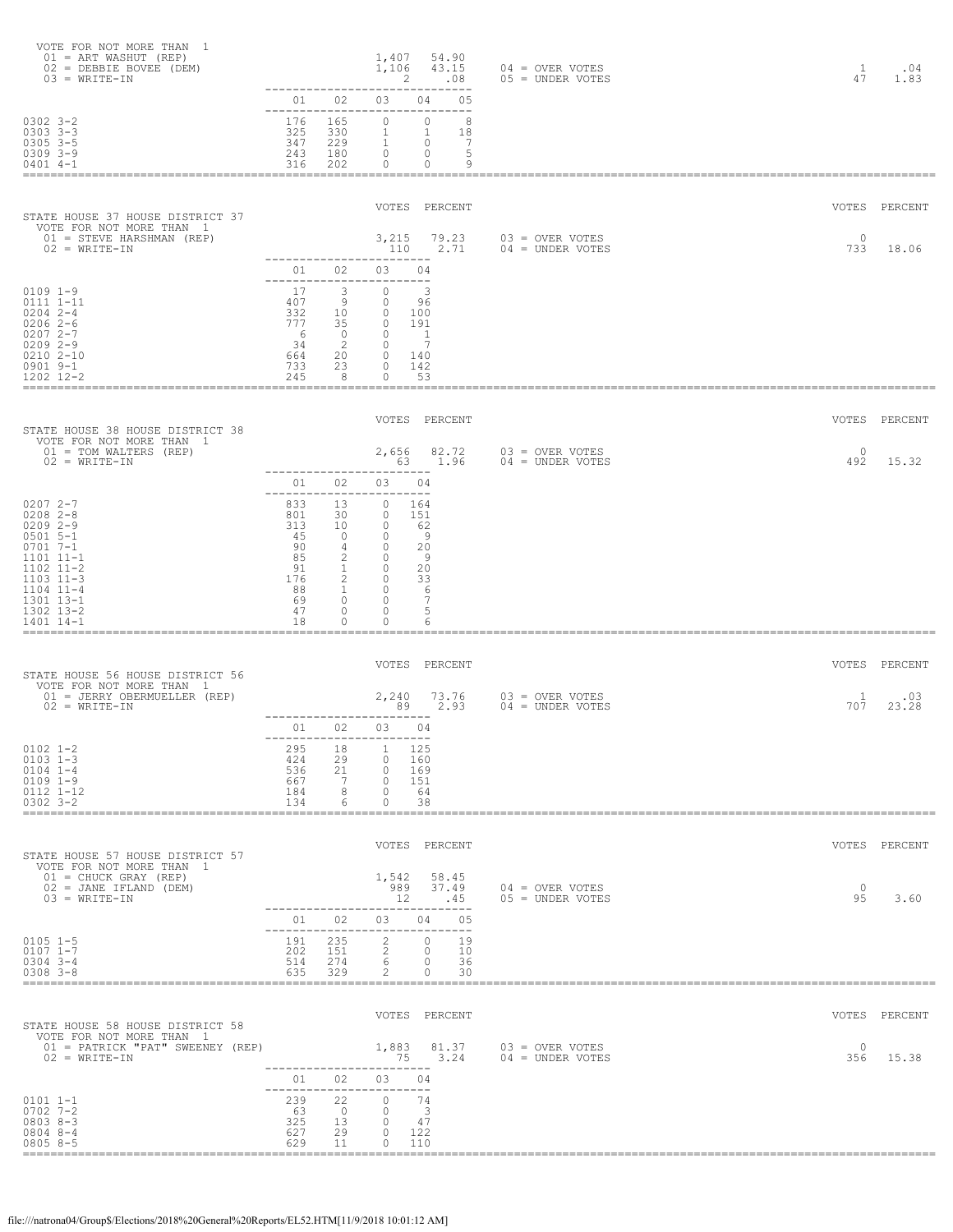| VOTE FOR NOT MORE THAN<br>-1<br>$01 = ART WASHUT (REF)$<br>02 = DEBBIE BOVEE (DEM)<br>$03 = WRITE-IN$                                                                         |                                                                                               |                                                                                                                 | 1,407<br>54.90<br>1,106<br>43.15<br>.08<br>2<br>$- - - -$                                                                                                                                                                        | $04 =$ OVER VOTES<br>05 = UNDER VOTES   | $\mathbf{1}$<br>47 | .04<br>1.83   |
|-------------------------------------------------------------------------------------------------------------------------------------------------------------------------------|-----------------------------------------------------------------------------------------------|-----------------------------------------------------------------------------------------------------------------|----------------------------------------------------------------------------------------------------------------------------------------------------------------------------------------------------------------------------------|-----------------------------------------|--------------------|---------------|
| $0302$ $3 - 2$<br>$0303$ $3 - 3$<br>$0305$ $3-5$<br>$0309$ $3 - 9$<br>$0401$ 4-1                                                                                              | 01<br>176<br>325<br>347<br>243<br>316                                                         | 02<br>--------------------<br>165<br>330<br>229<br>180<br>202                                                   | 03<br>04<br>05<br>$---$<br>$\circ$<br>$\circ$<br>8<br>$\mathbf{1}$<br>$\mathbf{1}$<br>18<br>$\mathbf{1}$<br>$\overline{7}$<br>$\circ$<br>5<br>$\circ$<br>$\circ$<br>$\circ$<br>9<br>0                                            |                                         |                    |               |
| STATE HOUSE 37 HOUSE DISTRICT 37                                                                                                                                              |                                                                                               |                                                                                                                 | VOTES PERCENT                                                                                                                                                                                                                    |                                         |                    | VOTES PERCENT |
| VOTE FOR NOT MORE THAN 1<br>01 = STEVE HARSHMAN (REP)<br>$02 = WRITE-IN$                                                                                                      |                                                                                               | -------------                                                                                                   | 3,215<br>79.23<br>2.71<br>110<br>---------                                                                                                                                                                                       | 03 = OVER VOTES<br>$04 =$ UNDER VOTES   | $\circ$<br>733     | 18.06         |
| $0109$ $1-9$<br>0111 1-11<br>$0204$ 2-4<br>$02062-6$<br>$02072 - -7$<br>$02092 - -9$<br>$02102 - 10$<br>$0901$ 9-1<br>1202 12-2                                               | 01<br>17<br>407<br>332<br>777<br>- 6<br>34<br>664<br>733<br>245                               | 02<br>3<br>9<br>10<br>35<br>$\overline{0}$<br>2<br>20<br>23<br>8                                                | 03<br>04<br>----------------------<br>$\Omega$<br>3<br>$\circ$<br>-96<br>$\circ$<br>100<br>$\circ$<br>191<br>$\overline{0}$<br>$\overline{1}$<br>$\overline{7}$<br>$\circ$<br>$\circ$<br>140<br>$\Omega$<br>142<br>$\circ$<br>53 |                                         |                    |               |
| STATE HOUSE 38 HOUSE DISTRICT 38                                                                                                                                              |                                                                                               |                                                                                                                 | VOTES PERCENT                                                                                                                                                                                                                    |                                         |                    | VOTES PERCENT |
| VOTE FOR NOT MORE THAN 1<br>$01 = TOM WALTERS (REF)$<br>$02 = WRITE-TN$                                                                                                       |                                                                                               |                                                                                                                 | 2,656<br>82.72<br>1.96<br>63                                                                                                                                                                                                     | $03 =$ OVER VOTES<br>04 = UNDER VOTES   | $\circ$<br>492     | 15.32         |
| $02072 - -7$<br>$0208$ 2-8<br>$02092 - -9$<br>$0501 5 - 1$<br>$0701 7 - 1$<br>1101 11-1<br>1102 11-2<br>$1103$ $11-3$<br>$1104$ $11-4$<br>1301 13-1<br>1302 13-2<br>1401 14-1 | 01<br>$- - - - -$<br>833<br>801<br>313<br>45<br>90<br>85<br>91<br>176<br>88<br>69<br>47<br>18 | 02<br>13<br>30<br>10<br>$\circ$<br>4<br>2<br>$\mathbf{1}$<br>2<br>$\mathbf{1}$<br>$\circ$<br>$\circ$<br>$\circ$ | 03<br>04<br>0<br>164<br>$\circ$<br>151<br>$\circ$<br>- 62<br>$\circ$<br>- 9<br>20<br>$\circ$<br>- 9<br>$\Omega$<br>$\circ$<br>20<br>0<br>33<br>$\circ$<br>6<br>$\circ$<br>7<br>$\circ$<br>5<br>$\circ$<br>6                      |                                         |                    |               |
| STATE HOUSE 56 HOUSE DISTRICT 56                                                                                                                                              |                                                                                               |                                                                                                                 | VOTES PERCENT                                                                                                                                                                                                                    |                                         |                    | VOTES PERCENT |
| VOTE FOR NOT MORE THAN 1<br>01 = JERRY OBERMUELLER (REP)<br>$02 = WRITE-IN$                                                                                                   |                                                                                               |                                                                                                                 | 73.76<br>2,240<br>89<br>2.93                                                                                                                                                                                                     | $03 =$ OVER VOTES<br>$04 = UNDER VOTES$ | 1<br>707           | .03<br>23.28  |
| $0102$ $1 - 2$<br>$0103$ 1-3<br>$0104$ $1-4$<br>$0109$ $1-9$<br>0112 1-12<br>$0302$ $3 - 2$                                                                                   | 01<br>295<br>424<br>536<br>667<br>184<br>134                                                  | 02<br>18<br>29<br>21<br>-7<br>8<br>6                                                                            | 03<br>04<br>125<br>1<br>$\circ$<br>160<br>$\circ$<br>169<br>$\Omega$<br>151<br>$\circ$<br>64<br>38<br>$\circ$                                                                                                                    |                                         |                    |               |
| STATE HOUSE 57 HOUSE DISTRICT 57                                                                                                                                              |                                                                                               |                                                                                                                 | VOTES PERCENT                                                                                                                                                                                                                    |                                         |                    | VOTES PERCENT |
| VOTE FOR NOT MORE THAN 1<br>$01 = CHUCK GRAY (REF)$<br>02 = JANE IFLAND (DEM)<br>$03 = WRITE-TN$                                                                              |                                                                                               |                                                                                                                 | 1,542<br>58.45<br>989<br>37.49<br>12<br>.45                                                                                                                                                                                      | $04 =$ OVER VOTES<br>05 = UNDER VOTES   | $\circ$<br>95      | 3.60          |
| $0105$ 1-5<br>$0107$ $1 - 7$<br>$0304$ 3-4<br>$0308$ $3 - 8$                                                                                                                  | ------------<br>01<br>191<br>202<br>514<br>635                                                | 02<br>----<br>235<br>151<br>274<br>329                                                                          | 03<br>04<br>05<br>2<br>$\Omega$<br>19<br>2<br>$\circ$<br>10<br>36<br>6<br>$\circ$<br>2<br>30<br>$\Omega$                                                                                                                         |                                         |                    |               |
| STATE HOUSE 58 HOUSE DISTRICT 58                                                                                                                                              |                                                                                               |                                                                                                                 | VOTES PERCENT                                                                                                                                                                                                                    |                                         |                    | VOTES PERCENT |
| VOTE FOR NOT MORE THAN 1<br>01 = PATRICK "PAT" SWEENEY (REP)<br>$02 = WRITE-IN$                                                                                               |                                                                                               |                                                                                                                 | 1,883 81.37<br>75<br>3.24                                                                                                                                                                                                        | $03 =$ OVER VOTES<br>04 = UNDER VOTES   | $\Omega$<br>356    | 15.38         |
| $0101 1 - 1$<br>$0702$ 7-2<br>$08038 - 3$<br>$0804$ 8-4<br>0805 8-5                                                                                                           | 01<br>239<br>63<br>325<br>627<br>629                                                          | 02<br>22<br>$\circ$<br>13<br>29<br>11                                                                           | 03<br>04<br>---------------<br>$\circ$<br>74<br>$\overline{\phantom{a}}$<br>$\circ$<br>47<br>$\circ$<br>$\circ$<br>122<br>$\Omega$<br>110                                                                                        |                                         |                    |               |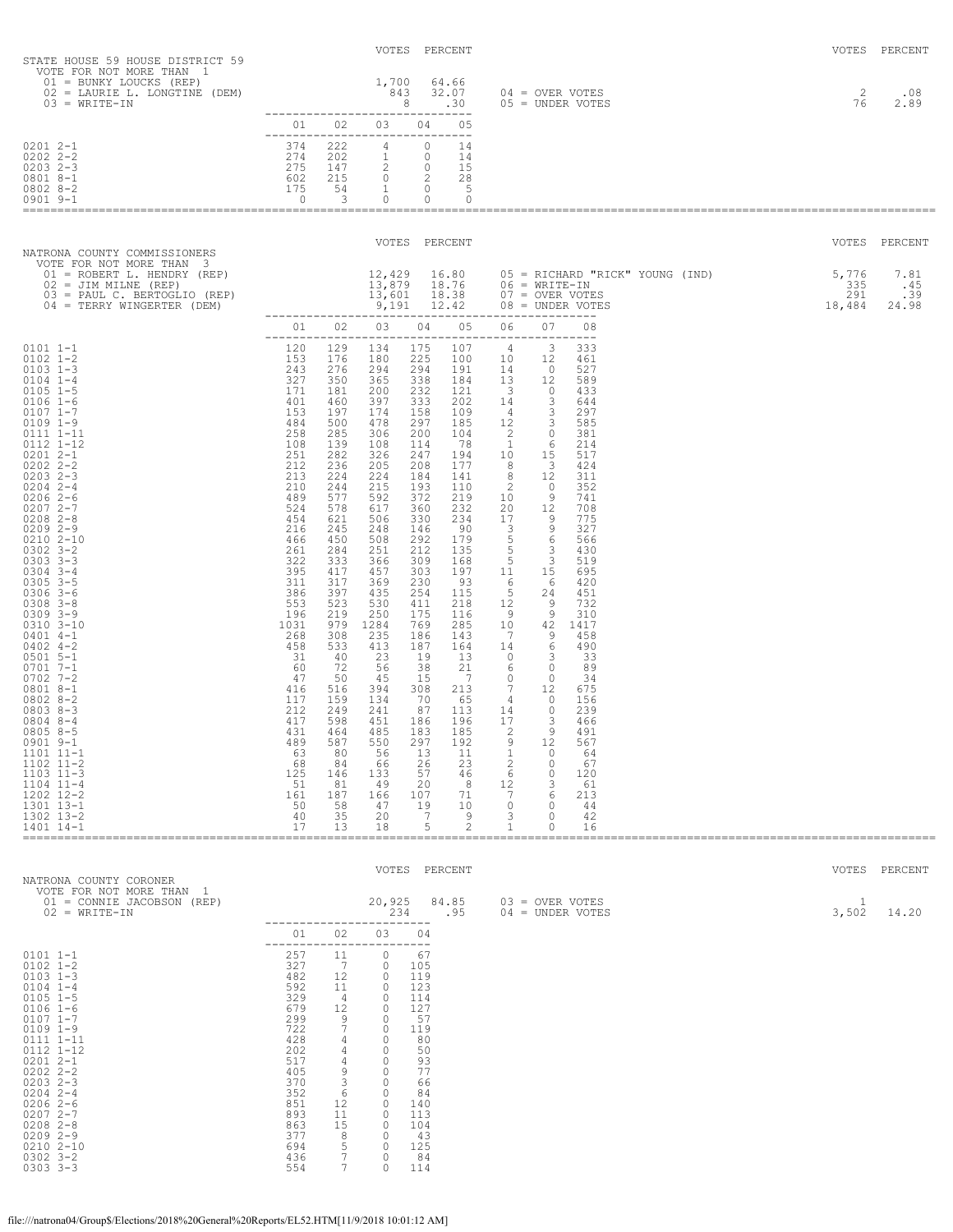| STATE HOUSE 59 HOUSE DISTRICT 59<br>VOTE FOR NOT MORE THAN 1                                                                                                                                                                                                                                                                                                                                                                                                                                                                                                                                                                                                                                                                                                                                                                                                                                                                                                                                                            |                                                                                                                                                                                        |                                                              | VOTES PERCENT                                                                             |                                                     |                                                               |                                                                                                                                                                                                                                                                                                                                                                                                                                                                                                                                               |                                                       |                                                                                                                                                    |                                               | VOTES PERCENT       |
|-------------------------------------------------------------------------------------------------------------------------------------------------------------------------------------------------------------------------------------------------------------------------------------------------------------------------------------------------------------------------------------------------------------------------------------------------------------------------------------------------------------------------------------------------------------------------------------------------------------------------------------------------------------------------------------------------------------------------------------------------------------------------------------------------------------------------------------------------------------------------------------------------------------------------------------------------------------------------------------------------------------------------|----------------------------------------------------------------------------------------------------------------------------------------------------------------------------------------|--------------------------------------------------------------|-------------------------------------------------------------------------------------------|-----------------------------------------------------|---------------------------------------------------------------|-----------------------------------------------------------------------------------------------------------------------------------------------------------------------------------------------------------------------------------------------------------------------------------------------------------------------------------------------------------------------------------------------------------------------------------------------------------------------------------------------------------------------------------------------|-------------------------------------------------------|----------------------------------------------------------------------------------------------------------------------------------------------------|-----------------------------------------------|---------------------|
| 01 = BUNKY LOUCKS (REP)<br>02 = LAURIE L. LONGTINE (DEM)<br>$03 = WRITE-IN$                                                                                                                                                                                                                                                                                                                                                                                                                                                                                                                                                                                                                                                                                                                                                                                                                                                                                                                                             | -------------------------------                                                                                                                                                        |                                                              |                                                                                           |                                                     |                                                               | $\begin{array}{ccc} 1,700 & 64.66 \\ 843 & 32.07 & 04 = \text{OVER VOTES} \\ 8 & .30 & 05 = \text{ UNDER VOTES} \end{array}$                                                                                                                                                                                                                                                                                                                                                                                                                  |                                                       |                                                                                                                                                    | 2<br>76                                       | .08<br>2.89         |
| $02012 - -1$<br>$0202$ $2 - 2$                                                                                                                                                                                                                                                                                                                                                                                                                                                                                                                                                                                                                                                                                                                                                                                                                                                                                                                                                                                          | -------------------------------                                                                                                                                                        |                                                              | 01 02 03 04 05                                                                            |                                                     |                                                               |                                                                                                                                                                                                                                                                                                                                                                                                                                                                                                                                               |                                                       |                                                                                                                                                    |                                               |                     |
| $0203$ 2-3<br>0801 8-1<br>$0802$ $8-2$<br>0901 9-1                                                                                                                                                                                                                                                                                                                                                                                                                                                                                                                                                                                                                                                                                                                                                                                                                                                                                                                                                                      |                                                                                                                                                                                        |                                                              |                                                                                           |                                                     |                                                               |                                                                                                                                                                                                                                                                                                                                                                                                                                                                                                                                               |                                                       |                                                                                                                                                    |                                               |                     |
| NATRONA COUNTY COMMISSIONERS                                                                                                                                                                                                                                                                                                                                                                                                                                                                                                                                                                                                                                                                                                                                                                                                                                                                                                                                                                                            |                                                                                                                                                                                        |                                                              | VOTES PERCENT                                                                             |                                                     |                                                               |                                                                                                                                                                                                                                                                                                                                                                                                                                                                                                                                               |                                                       |                                                                                                                                                    |                                               | VOTES PERCENT       |
| VOTE FOR NOT MORE THAN 3<br>01 = ROBERT L. HENDRY (REP)<br>02 = JIM MILNE (REP)<br>03 = PAUL C. BERTOGLIO (REP)<br>04 = TERRY WINGERTER (DEM)                                                                                                                                                                                                                                                                                                                                                                                                                                                                                                                                                                                                                                                                                                                                                                                                                                                                           |                                                                                                                                                                                        |                                                              |                                                                                           |                                                     |                                                               |                                                                                                                                                                                                                                                                                                                                                                                                                                                                                                                                               |                                                       | 12,429  16.80  05 = RICHARD "RICK" YOUNG (IND)<br>13,879  18.76  06 = WRITE-IN<br>13,601  18.38  07 = OVER VOTES<br>9,191  12.42  08 = UNDER VOTES | 5,776 7.81<br>$335$<br>291<br>$291$<br>18,484 | .45<br>.39<br>24.98 |
|                                                                                                                                                                                                                                                                                                                                                                                                                                                                                                                                                                                                                                                                                                                                                                                                                                                                                                                                                                                                                         |                                                                                                                                                                                        |                                                              |                                                                                           |                                                     |                                                               | 01  02  03  04  05  06  07  08                                                                                                                                                                                                                                                                                                                                                                                                                                                                                                                |                                                       |                                                                                                                                                    |                                               |                     |
| $0101 1 - 1$<br>$0102$ $1 - 2$<br>$0103$ $1-3$<br>$243$<br>$327$<br>$171$<br>$463$<br>$484$<br>$258$<br>$251$<br>$212$<br>$213$<br>$210$<br>$489$<br>$524$<br>$454$<br>$466$<br>$261$<br>$224$<br>$455$<br>$466$<br>$261$<br>$3925$<br>$311$<br>$386$<br>$456$<br>$261$<br>$3925$<br>$311$<br>$553$<br>$396$<br>$268$<br>$458$<br>$310$<br>$2$<br>$0104$ $1-4$<br>$0105$ 1-5<br>$0106$ 1-6<br>$0107$ $1 - 7$<br>$0109$ $1-9$<br>$0111$ $1-11$<br>0112 1-12<br>$02012 - -1$<br>$0202$ $2 - 2$<br>$02032 - -3$<br>$0204$ 2-4<br>$02062-6$<br>$02072 - -7$<br>$0208$ 2-8<br>$02092 - -9$<br>$02102 - 10$<br>$0302$ $3 - 2$<br>$0303$ $3 - 3$<br>$0304$ 3-4<br>$0305$ 3-5<br>$0306$ 3-6<br>$0308$ $3 - 8$<br>$0309$ $3 - 9$<br>0310 3-10<br>$0401$ 4-1<br>$0402$ 4-2<br>$0501$ 5-1<br>$0701$ 7-1<br>$0702$ 7-2<br>0801 8-1<br>$08028-2$<br>$08038 - 3$<br>$0804$ 8-4<br>$08058 - 5$<br>$0901$ $9-1$<br>$1101$ $11-1$<br>$1102$ $11-2$<br>$1103$ $11-3$<br>$1104$ $11-4$<br>1202 12-2<br>1301 13-1<br>1302 13-2<br>1401 14-1 | 120 129<br>153 176<br>243 276<br>327 350<br>171<br>401 460<br>212<br>213<br>489<br>524<br>216<br>466<br>261<br>417<br>431 464<br>489<br>63<br>68<br>125<br>51<br>161<br>50<br>40<br>17 | 181<br>587<br>80<br>84<br>146<br>81<br>187<br>58<br>35<br>13 | 134<br>180<br>294<br>365<br>200<br>550<br>56<br>66<br>133<br>-49<br>166<br>47<br>20<br>18 | 297<br>13<br>26<br>57<br>20<br>107<br>19<br>-7<br>5 | 192<br>11<br>23<br>46<br>8<br>71<br>10<br>9<br>$\overline{c}$ | 175 107 4 3 333<br>$\begin{array}{cccccc} 1/25 & 100 & 10 & 12 & 461 \\ 294 & 191 & 14 & 0 & 527 \\ 338 & 184 & 13 & 12 & 589 \\ 232 & 121 & 3 & 0 & 433 \\ \end{array}$<br>$\begin{array}{cccccccc} 350& 338& 184& 13& 12& 589\\ 181& 200& 232& 124& 3& 463\\ 460& 397& 333& 202& 14& 3& 297\\ 197& 174& 158& 109& 4& 3& 297\\ 298& 306& 200& 104& 2& 0& 381\\ 299& 108& 200& 104& 2& 0& 321\\ 139& 108& 114& 78& 1& 6& 517\\ $<br>12<br>0<br>1<br>2<br>0<br>6<br>0<br>12<br>3<br>7<br>6<br>$\mathbf{0}$<br>0<br>3<br><sup>0</sup><br>1<br>0 | 567<br>64<br>67<br>120<br>61<br>213<br>44<br>42<br>16 |                                                                                                                                                    |                                               |                     |
| NATRONA COUNTY CORONER                                                                                                                                                                                                                                                                                                                                                                                                                                                                                                                                                                                                                                                                                                                                                                                                                                                                                                                                                                                                  |                                                                                                                                                                                        |                                                              | VOTES PERCENT                                                                             |                                                     |                                                               |                                                                                                                                                                                                                                                                                                                                                                                                                                                                                                                                               |                                                       |                                                                                                                                                    |                                               | VOTES PERCENT       |
| VOTE FOR NOT MORE THAN 1<br>$01 =$ CONNIE JACOBSON (REP)<br>$02 = WRITE-IN$                                                                                                                                                                                                                                                                                                                                                                                                                                                                                                                                                                                                                                                                                                                                                                                                                                                                                                                                             |                                                                                                                                                                                        |                                                              | 20,925<br>234                                                                             |                                                     | 84.85<br>.95                                                  | $03 =$ OVER VOTES<br>04 = UNDER VOTES                                                                                                                                                                                                                                                                                                                                                                                                                                                                                                         |                                                       |                                                                                                                                                    | 1<br>3,502                                    | 14.20               |
|                                                                                                                                                                                                                                                                                                                                                                                                                                                                                                                                                                                                                                                                                                                                                                                                                                                                                                                                                                                                                         | 01<br>----                                                                                                                                                                             | 02<br>----                                                   | 03                                                                                        | 04<br>$-- - -$                                      |                                                               |                                                                                                                                                                                                                                                                                                                                                                                                                                                                                                                                               |                                                       |                                                                                                                                                    |                                               |                     |
| $0101 1 - 1$<br>$0102$ $1 - 2$<br>$0103$ $1-3$<br>$0104$ $1-4$<br>$0105 - 1 - 5$                                                                                                                                                                                                                                                                                                                                                                                                                                                                                                                                                                                                                                                                                                                                                                                                                                                                                                                                        | 257<br>327<br>482<br>592<br>300                                                                                                                                                        | 11<br>-7<br>12<br>11                                         | 0<br>0<br>$\circ$<br>$\Omega$                                                             | 67<br>105<br>119<br>123<br>111                      |                                                               |                                                                                                                                                                                                                                                                                                                                                                                                                                                                                                                                               |                                                       |                                                                                                                                                    |                                               |                     |

| UIUJ ITJ         | 40Z | ⊥∠             | v | エエフ |
|------------------|-----|----------------|---|-----|
| $0104$ $1-4$     | 592 | 11             | 0 | 123 |
| $0105$ 1-5       | 329 | 4              | 0 | 114 |
| $0106$ $1-6$     | 679 | 12             | 0 | 127 |
| $0107$ $1 - 7$   | 299 | 9              | 0 | 57  |
| $0109$ $1-9$     | 722 | 7              | 0 | 119 |
| 0111 1-11        | 428 | 4              | 0 | 80  |
| $0112$ $1-12$    | 202 | $\overline{4}$ | 0 | 50  |
| $02012 - -1$     | 517 | 4              | 0 | 93  |
| $02022 - 2 - 2$  | 405 | 9              | 0 | 77  |
| $02032 - 3$      | 370 | 3              | 0 | 66  |
| $02042 - -4$     | 352 | 6              | 0 | 84  |
| $02062-6$        | 851 | 12             | 0 | 140 |
| $02072 - -7$     | 893 | 11             | 0 | 113 |
| 0208<br>$2 - 8$  | 863 | 15             | 0 | 104 |
| $02092 - -9$     | 377 | 8              | 0 | 43  |
| 0210<br>$2 - 10$ | 694 | 5              | 0 | 125 |
| $0302$ $3 - 2$   | 436 | 7              | 0 | 84  |
| $0303$ $3 - 3$   | 554 | 7              | 0 | 114 |
|                  |     |                |   |     |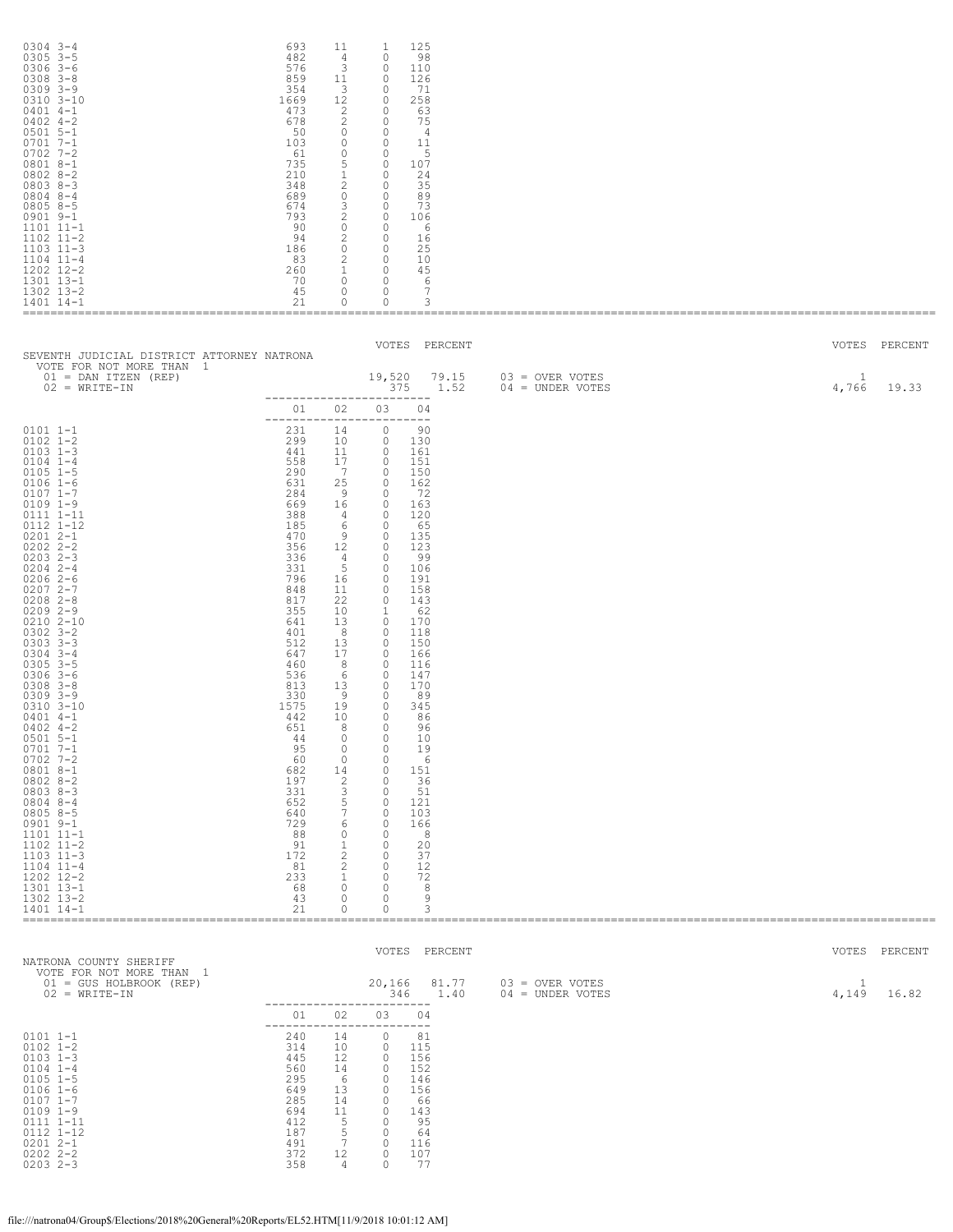| $0304$ 3-4<br>$0305$ $3-5$<br>$0306$ 3-6<br>$0308$ $3 - 8$<br>$0309$ $3 - 9$<br>$0310$ $3 - 10$<br>$0401$ 4-1<br>$0402$ 4-2<br>$0501$ 5-1<br>$0701$ $7-1$<br>$0702$ 7-2<br>0801 8-1<br>$08028-2$<br>$08038 - 3$<br>$0804$ 8-4<br>$08058 - 5$<br>$0901$ $9-1$<br>1101 11-1<br>1102 11-2<br>$1103$ $11-3$<br>$1104$ $11-4$<br>1202 12-2<br>1301 13-1<br>1302 13-2<br>1401 14-1                                                                                                                                                                                                                                                                                                                       | 693<br>482<br>576<br>859<br>354<br>1669<br>473<br>678<br>50<br>103<br>61<br>735<br>210<br>348<br>689<br>674<br>793<br>90<br>94<br>186<br>83<br>260<br>70<br>45<br>21                                                                                                                                                               | 11<br>$\sim$ 4<br>3<br>11<br>$\overline{\mathbf{3}}$<br>12 <sup>°</sup><br>2<br>2<br>$\overline{0}$<br>$\overline{0}$<br>$\overline{0}$<br>$5 -$<br>$1 -$<br>$\overline{c}$<br>$\overline{0}$<br>3 <sup>7</sup><br>$\overline{c}$<br>$\overline{0}$<br>$\overline{\phantom{0}}$<br>$\overline{c}$<br>$\sim$ 1<br>$\overline{0}$<br>$\circ$<br>$\circ$                            | 125<br>1<br>$\circ$<br>98<br>$\circ$<br>110<br>$\overline{0}$<br>126<br>$\overline{0}$<br>- 71<br>$\overline{0}$<br>258<br>$\Omega$<br>63<br>$\overline{0}$<br>75<br>$\overline{0}$<br>- 4<br>$\overline{0}$<br>11<br>$\overline{0}$<br>$-5$<br>$\overline{0}$<br>107<br>$\overline{0}$<br>-24<br>$\Omega$<br>35<br>$\overline{0}$<br>89<br>$\overline{0}$<br>73<br>$\overline{0}$<br>106<br>$\overline{0}$<br>6<br>$\overline{0}$<br>16<br>$0\qquad 0$<br>25<br>$\overline{0}$<br>10<br>$\overline{0}$<br>45<br>$\overline{0}$<br>6<br>7<br>$\overline{\phantom{0}}$<br>$\circ$<br>3                                                                                                                                                                                                                                                                                                                                                                                                                                                                                            |                                       |       |              |                        |
|----------------------------------------------------------------------------------------------------------------------------------------------------------------------------------------------------------------------------------------------------------------------------------------------------------------------------------------------------------------------------------------------------------------------------------------------------------------------------------------------------------------------------------------------------------------------------------------------------------------------------------------------------------------------------------------------------|------------------------------------------------------------------------------------------------------------------------------------------------------------------------------------------------------------------------------------------------------------------------------------------------------------------------------------|----------------------------------------------------------------------------------------------------------------------------------------------------------------------------------------------------------------------------------------------------------------------------------------------------------------------------------------------------------------------------------|----------------------------------------------------------------------------------------------------------------------------------------------------------------------------------------------------------------------------------------------------------------------------------------------------------------------------------------------------------------------------------------------------------------------------------------------------------------------------------------------------------------------------------------------------------------------------------------------------------------------------------------------------------------------------------------------------------------------------------------------------------------------------------------------------------------------------------------------------------------------------------------------------------------------------------------------------------------------------------------------------------------------------------------------------------------------------------|---------------------------------------|-------|--------------|------------------------|
| SEVENTH JUDICIAL DISTRICT ATTORNEY NATRONA<br>VOTE FOR NOT MORE THAN 1<br>$01 =$ DAN ITZEN (REP)<br>$02 = WRITE-IN$                                                                                                                                                                                                                                                                                                                                                                                                                                                                                                                                                                                |                                                                                                                                                                                                                                                                                                                                    |                                                                                                                                                                                                                                                                                                                                                                                  | VOTES PERCENT<br>19,520 79.15<br>375 1.52<br>_________________________                                                                                                                                                                                                                                                                                                                                                                                                                                                                                                                                                                                                                                                                                                                                                                                                                                                                                                                                                                                                           | 03 = OVER VOTES<br>$04 =$ UNDER VOTES | 4,766 | 1            | VOTES PERCENT<br>19.33 |
| $0101 1 - 1$<br>$0102 1 - 2$<br>$0103$ 1-3<br>$0104$ $1-4$<br>$0105$ 1-5<br>$0106 1 - 6$<br>$0107$ 1-7<br>$0109$ $1-9$<br>0111 1-11<br>0112 1-12<br>$02012 - -1$<br>$0202$ $2 - 2$<br>$0203$ 2-3<br>$0204$ 2-4<br>$02062-6$<br>$02072 - -7$<br>$0208$ 2-8<br>$02092 - -9$<br>0210 2-10<br>$0302$ $3 - 2$<br>$0303$ $3-3$<br>$0304$ 3-4<br>$0305$ 3-5<br>$0306$ 3-6<br>$0308$ $3 - 8$<br>$0309$ $3 - 9$<br>$0310$ $3 - 10$<br>$0401$ 4-1<br>$0402$ 4-2<br>$0501$ 5-1<br>$0701$ 7-1<br>$0702$ 7-2<br>0801 8-1<br>$08028-2$<br>$08038-3$<br>$0804$ 8-4<br>$08058 - 5$<br>$0901$ $9-1$<br>1101 11-1<br>1102 11-2<br>$1103$ $11-3$<br>$1104$ $11-4$<br>1202 12-2<br>1301 13-1<br>1302 13-2<br>1401 14-1 | 01 02 03<br>231<br>299<br>441<br>558<br>290<br>631<br>284<br>669<br>388<br>185<br>470<br>356<br>336<br>331<br>796<br>848<br>817<br>355<br>641<br>401<br>512<br>647<br>460<br>536<br>813<br>330<br>1575<br>442<br>651<br>44<br>95<br>60<br>682<br>197<br>331<br>652<br>640<br>729<br>88<br>91<br>172<br>81<br>233<br>68<br>43<br>21 | 14<br>10<br>11<br>17<br>$\overline{7}$<br>25<br>- 9<br>16<br>4<br>6<br>9<br>4 <sup>1</sup><br>5<br>16<br>11<br>22<br>10<br>13<br>- 8<br>13<br>17<br>8<br>- 6<br>13<br>- 9<br>19<br>10<br>8<br>0<br>$\circ$<br>$\overline{0}$<br>14<br>2<br>3<br>5<br>$7\phantom{.0}$<br>6<br>$\overline{0}$<br>$\mathbf{1}$<br>$2^{\circ}$<br>2<br>$\mathbf{1}$<br>$\circ$<br>$\circ$<br>$\circ$ | 04<br>-------------------------<br>$\circ$<br>90<br>$\overline{0}$<br>130<br>$\bigcirc$<br>161<br>$\overline{0}$<br>151<br>$\overline{0}$<br>150<br>$\overline{0}$<br>162<br>$\overline{0}$<br>- 72<br>$\overline{0}$<br>163<br>$\overline{0}$<br>120<br>$\bigcirc$<br>65<br>$\overline{0}$<br>- 135<br>12 0<br>123<br>$\overline{0}$<br>- 99<br>$\circ$<br>106<br>$\overline{0}$<br>191<br>$\overline{\phantom{0}}$<br>158<br>$\overline{0}$<br>143<br>$\overline{1}$<br>62<br>$\overline{0}$<br>170<br>$\overline{0}$<br>118<br>$\overline{0}$<br>150<br>$\overline{0}$<br>166<br>$\overline{0}$<br>116<br>$\overline{0}$<br>147<br>$\overline{0}$<br>170<br>$\overline{0}$<br>89<br>$\circ$<br>345<br>$\Omega$<br>86<br>$\circ$<br>96<br>0<br>10<br>$\circ$<br>19<br>$\Omega$<br>6<br>$\circ$<br>151<br>$\circ$<br>36<br>$\Omega$<br>- 51<br>$\circ$<br>121<br>$\circ$<br>103<br>$\circ$<br>166<br>$\Omega$<br>8 <sup>8</sup><br>$\overline{0}$<br>20<br>$\overline{0}$<br>37<br>$\overline{0}$<br>12<br>$\overline{0}$<br>72<br>$\circ$<br>8<br>$\circ$<br>9<br>$\circ$<br>3 |                                       |       |              |                        |
| NATRONA COUNTY SHERIFF<br>VOTE FOR NOT MORE THAN 1<br>01 = GUS HOLBROOK (REP)<br>$02 = WRITE-TN$                                                                                                                                                                                                                                                                                                                                                                                                                                                                                                                                                                                                   |                                                                                                                                                                                                                                                                                                                                    |                                                                                                                                                                                                                                                                                                                                                                                  | VOTES PERCENT<br>20,166<br>81.77<br>346 1.40                                                                                                                                                                                                                                                                                                                                                                                                                                                                                                                                                                                                                                                                                                                                                                                                                                                                                                                                                                                                                                     | 03 = OVER VOTES<br>04 = UNDER VOTES   | 4,149 | $\mathbf{1}$ | VOTES PERCENT<br>16.82 |
| $0101$ $1-1$<br>$0102 1 - 2$<br>$0103$ $1-3$<br>$0104$ $1-4$<br>$0105$ 1-5<br>$0106 1 - 6$<br>$0107$ 1-7<br>$0109$ $1-9$<br>0111 1-11<br>0112 1-12<br>$02012 - -1$<br>$0202$ $2 - 2$<br>$0203$ $2-3$                                                                                                                                                                                                                                                                                                                                                                                                                                                                                               | 01<br>240<br>314<br>445<br>560<br>295<br>649<br>285<br>694<br>412<br>187<br>491<br>372<br>358                                                                                                                                                                                                                                      | 02<br>14<br>10<br>12<br>14<br>- 6<br>13<br>14<br>11<br>$5^{\circ}$<br>5<br>$7\phantom{.0}$<br>12<br>4                                                                                                                                                                                                                                                                            | ------------------------<br>03<br>04<br>------------------------<br>$\circ$<br>81<br>$\circ$<br>115<br>$\Omega$<br>156<br>$\overline{0}$<br>152<br>$\circ$<br>146<br>$\circ$<br>156<br>$\Omega$<br>- 66<br>$\circ$<br>143<br>$\circ$<br>95<br>$\Omega$<br>64<br>$\circ$<br>116<br>$\circ$<br>107<br>$\circ$<br>- 77                                                                                                                                                                                                                                                                                                                                                                                                                                                                                                                                                                                                                                                                                                                                                              |                                       |       |              |                        |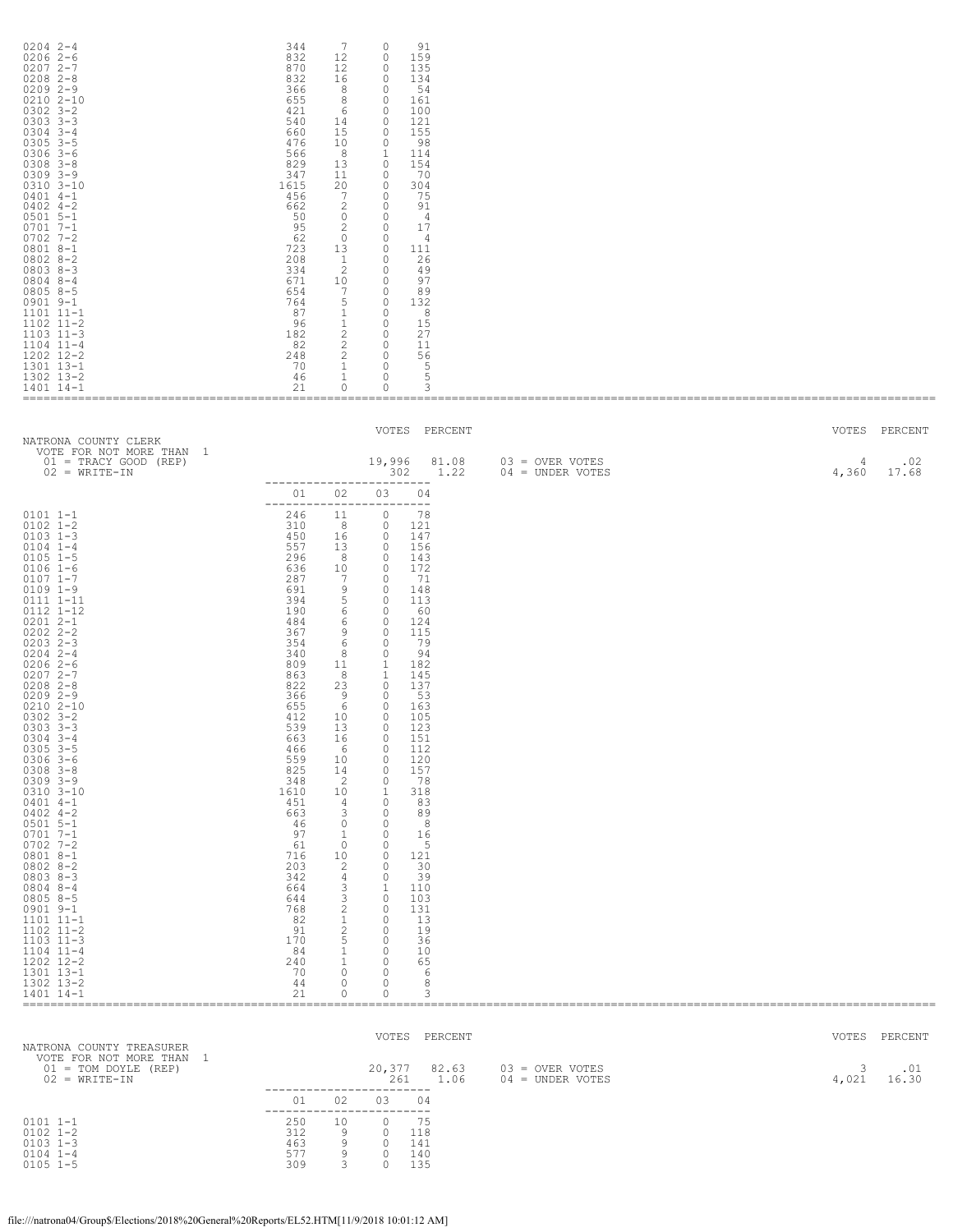| $0204$ 2-4<br>$02062-6$<br>$02072 - -7$<br>$0208$ 2-8<br>$02092 - -9$<br>$0210$ $2 - 10$<br>$0302$ $3 - 2$<br>$0303$ $3-3$<br>$0304$ 3-4<br>$0305$ $3-5$<br>$0306$ 3-6<br>$0308$ $3 - 8$<br>$0309$ $3 - 9$<br>$0310$ $3 - 10$<br>$0401$ 4-1<br>$0402$ 4-2<br>$0501$ 5-1<br>$0701$ $7 - 1$<br>$0702$ 7-2<br>$08018 - -1$<br>$08028 - 2$<br>$08038 - 3$<br>$0804$ 8-4<br>$08058 - 5$<br>$0901$ $9-1$<br>1101 11-1<br>$1102$ $11-2$<br>$1103$ $11-3$<br>$1104$ $11-4$<br>1202 12-2<br>1301 13-1<br>1302 13-2<br>1401 14-1                                                                                                                                                                                                             | 344<br>832<br>870<br>832<br>366<br>655<br>421<br>540<br>660<br>476<br>566<br>829<br>347<br>1615<br>456<br>662<br>50<br>95<br>62<br>723<br>208<br>334<br>671<br>654<br>764<br>87<br>96<br>182<br>82<br>248<br>70<br>46<br>21                                                                                                        | 7<br>12<br>12<br>16<br>8<br>8<br>- 6<br>14<br>15<br>10<br>8 <sup>1</sup><br>13<br>11<br>20<br>$7\phantom{.0}$<br>$\overline{2}$<br>$\overline{0}$<br>2<br>$\overline{0}$<br>13<br>$\mathbf{1}$<br>2<br>10<br>$7\overline{ }$<br>5<br>1<br>$\mathbf{1}$<br>$2^{\circ}$<br>$2^{\circ}$<br>$\overline{2}$<br>$\mathbf{1}$<br>$\mathbf{1}$<br>$\circ$     | 91<br>$\circ$<br>159<br>$\circ$<br>$\circ$<br>135<br>$\bigcirc$<br>134<br>$\overline{0}$<br>54<br>$\circ$<br>161<br>$\circ$<br>100<br>$\circ$<br>121<br>$\circ$<br>155<br>$\circ$<br>- 98<br><sup>1</sup><br>114<br>$\overline{0}$<br>154<br>$\overline{0}$<br>70<br>$\circ$<br>304<br>$\circ$<br>75<br>$\overline{0}$<br>- 91<br>$\overline{0}$<br>4<br>$\overline{0}$<br>17<br>$\overline{0}$<br>- 4<br>$0 \t 111$<br>$\overline{0}$<br>26<br>$\circ$<br>- 49<br>97<br>$\overline{0}$<br>$\circ$<br>89<br>$\overline{0}$<br>132<br>$\overline{0}$<br>8<br>$\overline{0}$<br>15<br>$\overline{0}$<br>27<br>$\overline{0}$<br>11<br>$\circ$<br>56<br>$\overline{0}$<br>5<br>5<br>$\circ$<br>$\circ$<br>3                                                                                                                                                |                                       |            |               |
|------------------------------------------------------------------------------------------------------------------------------------------------------------------------------------------------------------------------------------------------------------------------------------------------------------------------------------------------------------------------------------------------------------------------------------------------------------------------------------------------------------------------------------------------------------------------------------------------------------------------------------------------------------------------------------------------------------------------------------|------------------------------------------------------------------------------------------------------------------------------------------------------------------------------------------------------------------------------------------------------------------------------------------------------------------------------------|-------------------------------------------------------------------------------------------------------------------------------------------------------------------------------------------------------------------------------------------------------------------------------------------------------------------------------------------------------|---------------------------------------------------------------------------------------------------------------------------------------------------------------------------------------------------------------------------------------------------------------------------------------------------------------------------------------------------------------------------------------------------------------------------------------------------------------------------------------------------------------------------------------------------------------------------------------------------------------------------------------------------------------------------------------------------------------------------------------------------------------------------------------------------------------------------------------------------------|---------------------------------------|------------|---------------|
| NATRONA COUNTY CLERK                                                                                                                                                                                                                                                                                                                                                                                                                                                                                                                                                                                                                                                                                                               |                                                                                                                                                                                                                                                                                                                                    |                                                                                                                                                                                                                                                                                                                                                       | VOTES PERCENT                                                                                                                                                                                                                                                                                                                                                                                                                                                                                                                                                                                                                                                                                                                                                                                                                                           |                                       |            | VOTES PERCENT |
| VOTE FOR NOT MORE THAN 1<br>$01 = TRACY GOD (REF)$<br>$02 = WRITE-IN$                                                                                                                                                                                                                                                                                                                                                                                                                                                                                                                                                                                                                                                              |                                                                                                                                                                                                                                                                                                                                    |                                                                                                                                                                                                                                                                                                                                                       | 19,996 81.08<br>302 1.22<br>-------------------------                                                                                                                                                                                                                                                                                                                                                                                                                                                                                                                                                                                                                                                                                                                                                                                                   | 03 = OVER VOTES<br>$04 =$ UNDER VOTES | 4<br>4,360 | .02<br>17.68  |
| $0101 1 - 1$<br>$0102$ $1 - 2$<br>$0103$ $1-3$<br>$0104$ $1-4$<br>$0105$ 1-5<br>$0106$ 1-6<br>$0107$ $1 - 7$<br>$0109$ $1-9$<br>0111 1-11<br>0112 1-12<br>$0201$ 2-1<br>$0202$ $2 - 2$<br>$0203$ 2-3<br>$0204$ 2-4<br>$02062-6$<br>$02072 - -7$<br>$0208$ $2 - 8$<br>$02092 - -9$<br>$0210$ $2 - 10$<br>$0302$ $3 - 2$<br>$0303$ $3 - 3$<br>$0304$ 3-4<br>$0305$ $3-5$<br>$0306$ 3-6<br>$0308$ $3 - 8$<br>$0309$ $3 - 9$<br>$0310$ $3 - 10$<br>$0401$ 4-1<br>$0402$ 4-2<br>$0501 5 - 1$<br>$0701$ $7-1$<br>$0702$ 7-2<br>$08018 - -1$<br>$08028-2$<br>$08038 - 3$<br>$0804$ 8-4<br>$08058 - 5$<br>$0901$ $9-1$<br>1101 11-1<br>$1102$ $11-2$<br>$1103$ $11-3$<br>$1104$ $11-4$<br>1202 12-2<br>1301 13-1<br>1302 13-2<br>1401 14-1 | 01 02 03<br>246<br>310<br>450<br>557<br>296<br>636<br>287<br>691<br>394<br>190<br>484<br>367<br>354<br>340<br>809<br>863<br>822<br>366<br>655<br>412<br>539<br>663<br>466<br>559<br>825<br>348<br>1610<br>451<br>663<br>46<br>97<br>61<br>716<br>203<br>342<br>664<br>644<br>768<br>82<br>91<br>170<br>84<br>240<br>70<br>44<br>21 | 11<br>8 <sup>1</sup><br>16<br>13<br>8 <sup>8</sup><br>10<br>$7\overline{ }$<br>- 9<br>5 <sup>5</sup><br>6<br>6<br>9<br>6<br>8<br>11<br>8 <sup>1</sup><br>23<br>- 9<br>6<br>10 <sub>1</sub><br>13<br>16<br>- 6<br>10<br>14<br>2<br>10<br>4<br>3<br>0<br>1<br>$\circ$<br>10<br>2<br>4<br>3<br>3<br>2<br>1<br>$\mathbf{2}$<br>5<br>1<br>1<br>0<br>0<br>0 | 04<br>------------------------<br>$\circ$<br>78<br>$\circ$<br>121<br>$\overline{0}$<br>147<br>$\overline{0}$<br>156<br>$\circ$<br>143<br>$\circ$<br>172<br>$\overline{0}$<br>- 71<br>$\circ$<br>148<br>$\overline{0}$<br>113<br>$\overline{0}$<br>60<br>$\overline{\phantom{0}}$<br>124<br>$\overline{0}$<br>115<br>$\overline{0}$<br>79<br>$\overline{0}$<br>94<br>$\mathbf{1}$<br>182<br>$\mathbf{1}$<br>145<br>$\overline{0}$<br>137<br>$\overline{0}$<br>53<br>$\circ$<br>163<br>$\circ$<br>105<br>0<br>123<br>0<br>151<br>$\circ$<br>112<br>$\circ$<br>120<br>$\circ$<br>157<br>78<br>0<br>1<br>318<br>$\Omega$<br>83<br>0<br>89<br>8<br>0<br>$\Omega$<br>16<br>$-5$<br>0<br>121<br>0<br>0<br>30<br>$\Omega$<br>39<br>1<br>110<br>103<br>0<br>0<br>131<br>$\circ$<br>13<br>19<br>0<br>0<br>36<br>0<br>10<br>0<br>65<br>0<br>-6<br>8<br>0<br>0<br>3 |                                       |            |               |
| NATRONA COUNTY TREASURER                                                                                                                                                                                                                                                                                                                                                                                                                                                                                                                                                                                                                                                                                                           |                                                                                                                                                                                                                                                                                                                                    |                                                                                                                                                                                                                                                                                                                                                       | VOTES PERCENT                                                                                                                                                                                                                                                                                                                                                                                                                                                                                                                                                                                                                                                                                                                                                                                                                                           |                                       |            | VOTES PERCENT |
| VOTE FOR NOT MORE THAN 1<br>$01 = TOM DoyLE (REF)$<br>$02 = WRTTF-TN$                                                                                                                                                                                                                                                                                                                                                                                                                                                                                                                                                                                                                                                              |                                                                                                                                                                                                                                                                                                                                    |                                                                                                                                                                                                                                                                                                                                                       | 20,377<br>82.63<br>261<br>1.06                                                                                                                                                                                                                                                                                                                                                                                                                                                                                                                                                                                                                                                                                                                                                                                                                          | 03 = OVER VOTES<br>$04 =$ UNDER VOTES | 3<br>4.021 | .01<br>16.30  |

02 = WRITE-IN 261 1.06 04 = UNDER VOTES 4,021 16.30 ------------------------ 01 02 03 04 ------------------------ 0101 1-1 250 10 0 75 0102 1-2 312 9 0 118 0103 1-3 463 9 0 141 0104 1-4 577 9 0 140 0105 1-5 309 3 0 135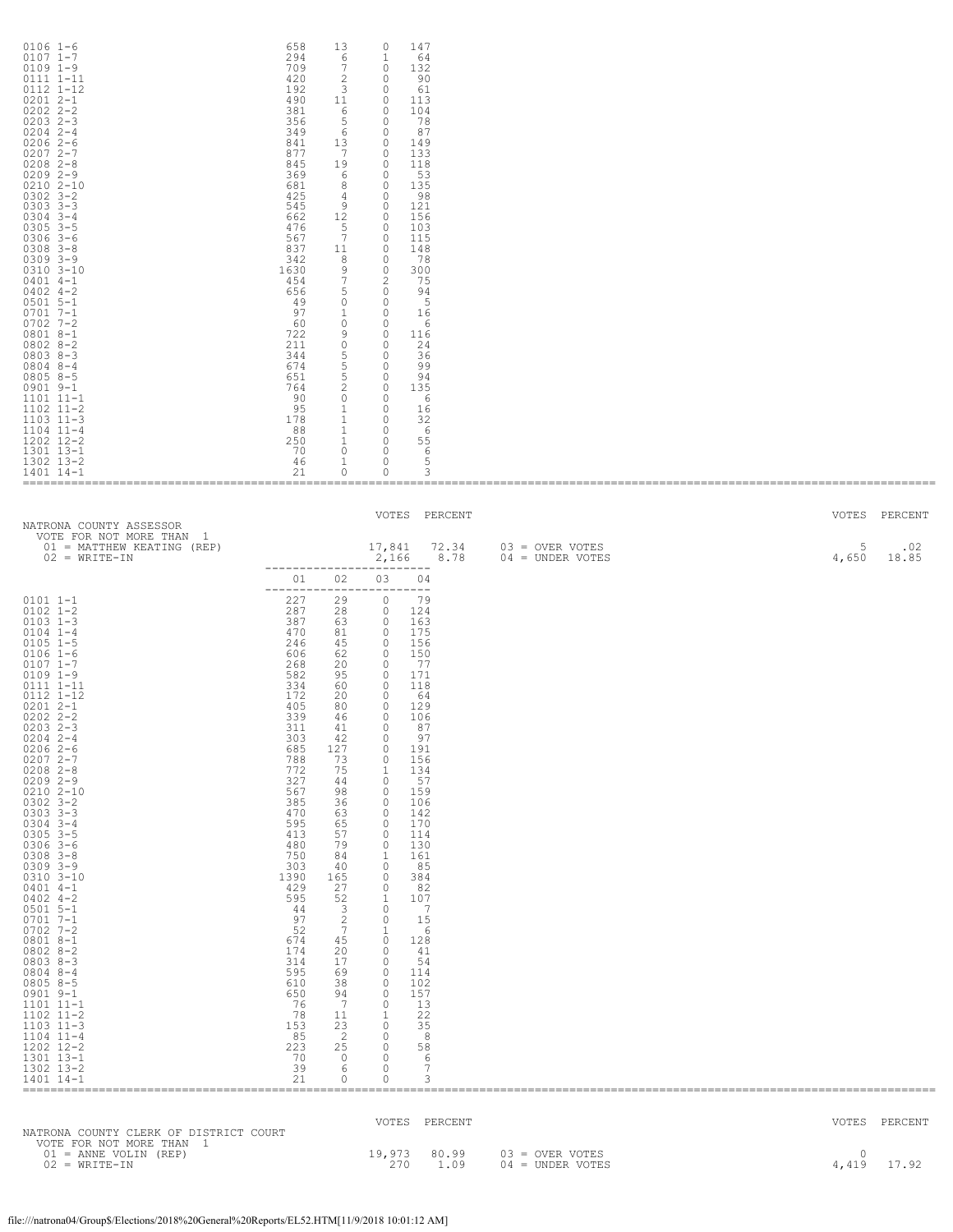| $0106$ $1-6$<br>$0107$ $1 - 7$<br>$0109$ $1-9$<br>$0111$ $1-11$<br>$0112$ $1-12$<br>$02012 - -1$<br>$02022 - 2 - 2$<br>$02032 - 3$<br>$02042 - -4$<br>$02062 - -6$<br>$02072 - -7$<br>$0208$ $2 - 8$<br>$02092 - -9$<br>$02102 - 10$<br>$0302$ $3 - 2$<br>$0303$ $3-3$<br>$0304$ 3-4<br>$0305$ 3-5<br>$0306$ 3-6<br>$0308$ $3 - 8$<br>$0309$ $3 - 9$<br>$0310$ $3 - 10$<br>$0401$ 4-1<br>$0402$ 4-2<br>$0501$ 5-1<br>$07017 - -1$<br>$0702$ 7-2<br>$08018 - -1$<br>$08028 - 2$<br>$08038 - 3$<br>$08048 - -4$<br>$08058 - 5$<br>$0901$ $9-1$<br>$1101$ $11-1$<br>$1102$ $11-2$<br>$1103$ $11-3$<br>$1104$ $11-4$<br>1202 12-2<br>1301 13-1<br>1302 13-2<br>$1401$ $14-1$ | 658<br>13<br>147<br>$\Omega$<br>294<br>6<br>1<br>64<br>709<br>7<br>132<br>$\circ$<br>420<br>2<br>90<br>$\circ$<br>192<br>3<br>$\circ$<br>61<br>490<br>11<br>113<br>$\circ$<br>381<br>6<br>104<br>$\circ$<br>356<br>5<br>78<br>0<br>349<br>6<br>87<br>$\circ$<br>841<br>13<br>149<br>$\circ$<br>877<br>7<br>$\Omega$<br>133<br>845<br>19<br>118<br>$\Omega$<br>369<br>53<br>6<br>$\circ$<br>681<br>135<br>8<br>$\circ$<br>425<br>98<br>4<br>$\circ$<br>545<br>9<br>121<br>$\circ$<br>662<br>12<br>156<br>$\Omega$<br>476<br>103<br>5<br>$\Omega$<br>7<br>567<br>115<br>$\circ$<br>837<br>148<br>11<br>$\circ$<br>342<br>8<br>78<br>$\circ$<br>1630<br>9<br>0<br>300<br>454<br>7<br>2<br>75<br>656<br>5<br>94<br>0<br>- 5<br>49<br>0<br>$\circ$<br>97<br>1<br>16<br>0<br>60<br>$\circ$<br>6<br>$\circ$<br>722<br>9<br>$\circ$<br>116<br>211<br>$\mathbb O$<br>24<br>0<br>344<br>5<br>36<br>0<br>5<br>674<br>99<br>0<br>651<br>5<br>0<br>94<br>764<br>$\overline{c}$<br>135<br>0<br>90<br>$\circ$<br>$\circ$<br>-6<br>95<br>1<br>16<br>$\circ$<br>$1\,$<br>178<br>32<br>0<br>88<br>1<br>0<br>6<br>250<br>55<br>1<br>$\circ$<br>70<br>$\Omega$<br>6<br>$\circ$<br>46<br>5<br>$\circ$<br>21<br>$\Omega$<br>0<br>3 |                   |
|--------------------------------------------------------------------------------------------------------------------------------------------------------------------------------------------------------------------------------------------------------------------------------------------------------------------------------------------------------------------------------------------------------------------------------------------------------------------------------------------------------------------------------------------------------------------------------------------------------------------------------------------------------------------------|--------------------------------------------------------------------------------------------------------------------------------------------------------------------------------------------------------------------------------------------------------------------------------------------------------------------------------------------------------------------------------------------------------------------------------------------------------------------------------------------------------------------------------------------------------------------------------------------------------------------------------------------------------------------------------------------------------------------------------------------------------------------------------------------------------------------------------------------------------------------------------------------------------------------------------------------------------------------------------------------------------------------------------------------------------------------------------------------------------------------------------------------------------------------------------------------------------------|-------------------|
|                                                                                                                                                                                                                                                                                                                                                                                                                                                                                                                                                                                                                                                                          | $U \cap T \cap T$                                                                                                                                                                                                                                                                                                                                                                                                                                                                                                                                                                                                                                                                                                                                                                                                                                                                                                                                                                                                                                                                                                                                                                                            | $U \cap T \cap T$ |

| NATRONA COUNTY ASSESSOR                                                                                                                                                                                                                                                                                                                                                                                                                                                                                                                                                                                                                                                                                                    |                                                                                                                                                                                                                                                                                                                        |                                                                                                                                                                                                                                                                                                                                                                    | VOTES                                                                                                                                                                                                                                                                                                                                                                                                                                                                                                                                                                                                                                                           | PERCENT                                                                                                                                                                                                                                                                                                                                      |                                       | VOTES           | PERCENT       |
|----------------------------------------------------------------------------------------------------------------------------------------------------------------------------------------------------------------------------------------------------------------------------------------------------------------------------------------------------------------------------------------------------------------------------------------------------------------------------------------------------------------------------------------------------------------------------------------------------------------------------------------------------------------------------------------------------------------------------|------------------------------------------------------------------------------------------------------------------------------------------------------------------------------------------------------------------------------------------------------------------------------------------------------------------------|--------------------------------------------------------------------------------------------------------------------------------------------------------------------------------------------------------------------------------------------------------------------------------------------------------------------------------------------------------------------|-----------------------------------------------------------------------------------------------------------------------------------------------------------------------------------------------------------------------------------------------------------------------------------------------------------------------------------------------------------------------------------------------------------------------------------------------------------------------------------------------------------------------------------------------------------------------------------------------------------------------------------------------------------------|----------------------------------------------------------------------------------------------------------------------------------------------------------------------------------------------------------------------------------------------------------------------------------------------------------------------------------------------|---------------------------------------|-----------------|---------------|
| VOTE FOR NOT MORE THAN 1<br>01 = MATTHEW KEATING (REP)<br>$02 = WRITE-TN$                                                                                                                                                                                                                                                                                                                                                                                                                                                                                                                                                                                                                                                  |                                                                                                                                                                                                                                                                                                                        |                                                                                                                                                                                                                                                                                                                                                                    | 2,166<br>-------------------------                                                                                                                                                                                                                                                                                                                                                                                                                                                                                                                                                                                                                              | 17,841 72.34<br>8.78                                                                                                                                                                                                                                                                                                                         | $03 =$ OVER VOTES<br>04 = UNDER VOTES | 5<br>4,650      | .02<br>18.85  |
|                                                                                                                                                                                                                                                                                                                                                                                                                                                                                                                                                                                                                                                                                                                            | 01                                                                                                                                                                                                                                                                                                                     | 02                                                                                                                                                                                                                                                                                                                                                                 | 03                                                                                                                                                                                                                                                                                                                                                                                                                                                                                                                                                                                                                                                              | 04                                                                                                                                                                                                                                                                                                                                           |                                       |                 |               |
| $0101 1 - 1$<br>$0102$ $1 - 2$<br>$0103$ $1-3$<br>$0104$ 1-4<br>$0105$ 1-5<br>$0106 1 - 6$<br>$0107$ $1 - 7$<br>$0109$ $1-9$<br>0111 1-11<br>0112 1-12<br>$02012 - -1$<br>$0202$ $2 - 2$<br>$0203$ $2-3$<br>$0204$ 2-4<br>$02062-6$<br>$02072 - -7$<br>$0208$ 2-8<br>$02092 - -9$<br>$0210$ $2 - 10$<br>$0302$ $3 - 2$<br>$0303$ $3-3$<br>$0304$ 3-4<br>$0305$ $3-5$<br>$0306$ 3-6<br>$0308$ $3 - 8$<br>$0309$ $3 - 9$<br>0310 3-10<br>$0401$ 4-1<br>$0402$ 4-2<br>$0501$ 5-1<br>$07017 - -1$<br>$0702$ 7-2<br>$08018 - -1$<br>$08028 - 2$<br>$08038 - 3$<br>$0804$ 8-4<br>$08058 - 5$<br>$0901$ $9-1$<br>1101 11-1<br>$1102$ $11-2$<br>$1103$ $11-3$<br>$1104$ $11-4$<br>1202 12-2<br>1301 13-1<br>1302 13-2<br>1401 14-1 | 227<br>287<br>387<br>470<br>246<br>606<br>268<br>582<br>334<br>172<br>405<br>339<br>311<br>303<br>685<br>788<br>772<br>327<br>567<br>385<br>470<br>595<br>413<br>480<br>750<br>303<br>1390<br>429<br>595<br>44<br>97<br>52<br>674<br>174<br>314<br>595<br>610<br>650<br>76<br>78<br>153<br>85<br>223<br>70<br>39<br>21 | 29<br>28<br>63<br>81<br>45<br>62<br>20<br>95<br>60<br>20<br>80<br>46<br>41<br>42<br>127<br>73<br>75<br>44<br>98<br>36<br>63<br>65<br>57<br>79<br>84<br>40<br>165<br>27<br>52<br>$\overline{\mathbf{3}}$<br>$\frac{2}{7}$<br>45<br>20<br>17<br>69<br>38<br>94<br>$7\phantom{.0}\phantom{.0}7$<br>11<br>23<br>$\overline{2}$<br>25<br>$\overline{0}$<br>6<br>$\circ$ | ------------------------<br>$\circ$<br>$\circ$<br>$\circ$<br>$\bigcirc$<br>$\overline{0}$<br>$\overline{0}$<br>$\overline{0}$<br>$\overline{0}$<br>$\overline{0}$<br>$\overline{0}$<br>$\circ$<br>$\circ$<br>$\overline{0}$<br>$\circ$<br>$\circ$<br>$\circ$<br>$\mathbf{1}$<br>$\circ$<br>$\overline{0}$<br>$\overline{0}$<br>$\overline{0}$<br>$\circ$<br>$\circ$<br>$\circ$<br>1<br>$\circ$<br>$\circ$<br>$\Omega$<br>$\overline{1}$<br>$\overline{0}$<br>$\Omega$<br>1<br>$\bigcirc$<br>$\overline{0}$<br>$\overline{0}$<br>$\circ$<br>$\circ$<br>$\bigcirc$<br>$\bigcirc$<br>1<br>$\circ$<br>$\circ$<br>$\bigcirc$<br>$\overline{0}$<br>$\circ$<br>$\circ$ | 79<br>124<br>163<br>175<br>156<br>150<br>77<br>171<br>118<br>- 64<br>129<br>106<br>87<br>97<br>191<br>156<br>134<br>57<br>159<br>106<br>142<br>170<br>114<br>130<br>161<br>85<br>384<br>82<br>107<br>$\overline{7}$<br>15<br>- 6<br>128<br>41<br>-54<br>114<br>102<br>157<br>13<br>22<br>35<br>$_{\rm 8}$<br>58<br>6<br>$7\phantom{.0}$<br>3 |                                       |                 |               |
|                                                                                                                                                                                                                                                                                                                                                                                                                                                                                                                                                                                                                                                                                                                            |                                                                                                                                                                                                                                                                                                                        |                                                                                                                                                                                                                                                                                                                                                                    |                                                                                                                                                                                                                                                                                                                                                                                                                                                                                                                                                                                                                                                                 | VOTES PERCENT                                                                                                                                                                                                                                                                                                                                |                                       |                 | VOTES PERCENT |
| NATRONA COUNTY CLERK OF DISTRICT COURT<br>VOTE FOR NOT MORE THAN 1                                                                                                                                                                                                                                                                                                                                                                                                                                                                                                                                                                                                                                                         |                                                                                                                                                                                                                                                                                                                        |                                                                                                                                                                                                                                                                                                                                                                    |                                                                                                                                                                                                                                                                                                                                                                                                                                                                                                                                                                                                                                                                 |                                                                                                                                                                                                                                                                                                                                              |                                       |                 |               |
| $01 =$ ANNE VOLIN (REP)<br>$02 = WRITE-TN$                                                                                                                                                                                                                                                                                                                                                                                                                                                                                                                                                                                                                                                                                 |                                                                                                                                                                                                                                                                                                                        |                                                                                                                                                                                                                                                                                                                                                                    | 19,973<br>270                                                                                                                                                                                                                                                                                                                                                                                                                                                                                                                                                                                                                                                   | 80.99<br>1.09                                                                                                                                                                                                                                                                                                                                | 03 = OVER VOTES<br>$04 = UNDER VOTES$ | $\cap$<br>4,419 | 17.92         |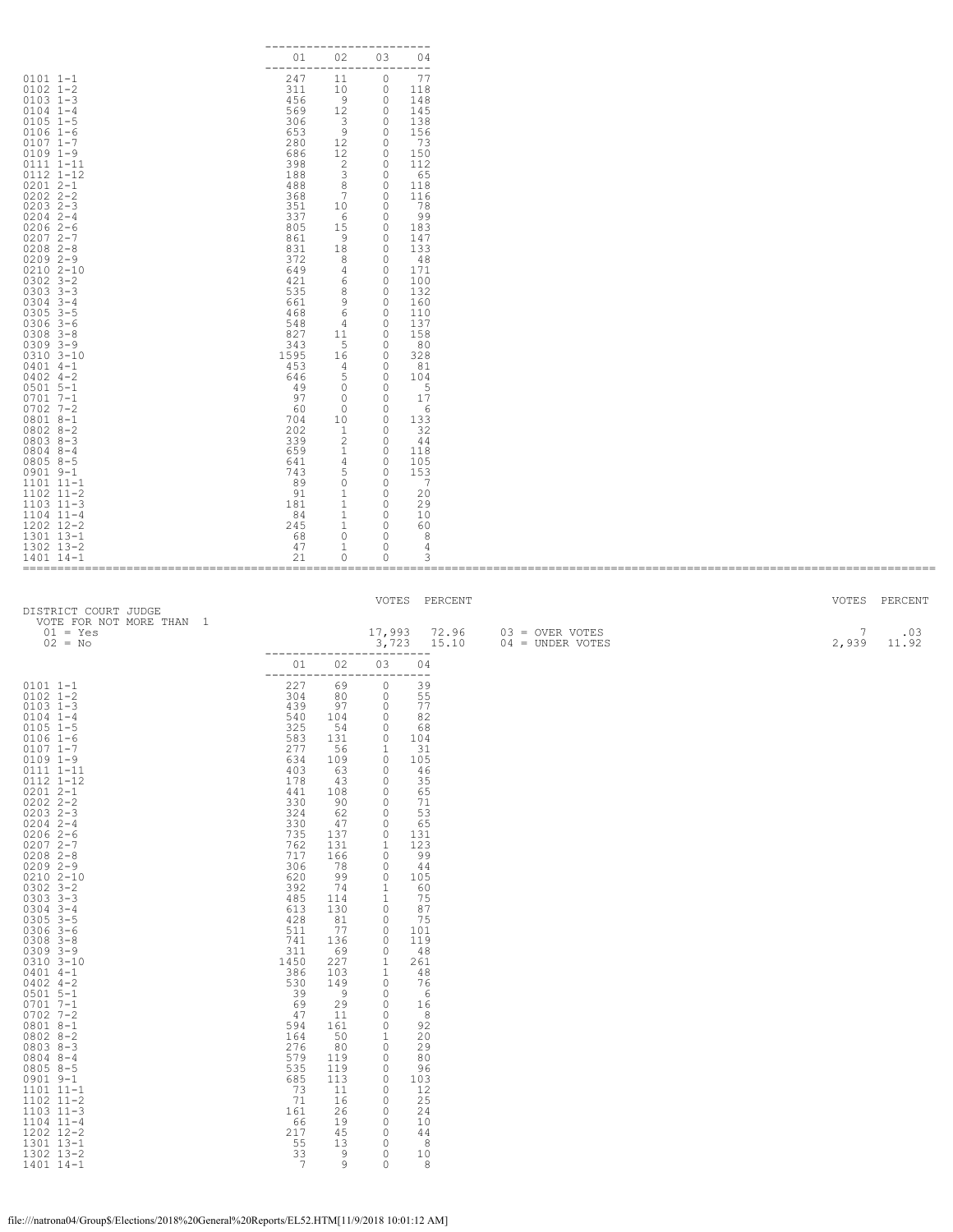| $0101 1 - 1$<br>$0102$ $1 - 2$<br>$0103$ $1-3$<br>$0104$ $1-4$<br>$0105$ 1-5<br>$0106 1 - 6$<br>$0107$ $1-7$<br>$0109$ $1-9$<br>0111 1-11<br>0112 1-12<br>$02012 - -1$<br>$0202$ $2 - 2$<br>$0203$ $2-3$<br>$0204$ 2-4<br>$02062-6$<br>$02072 - -7$<br>$0208$ 2-8<br>$02092 - -9$<br>$0210 2 - 10$<br>$0302$ $3 - 2$<br>$0303$ $3-3$<br>$0304$ 3-4<br>$0305$ 3-5<br>$0306$ 3-6<br>$0308$ $3 - 8$<br>$0309$ $3 - 9$<br>$0310$ $3 - 10$<br>$0401$ 4-1<br>$0402$ 4-2<br>$0501$ 5-1<br>$0701 7 - 1$<br>$0702$ 7-2                                                                                                                                                                                                | 02<br>01<br>------------------------<br>247<br>11<br>311<br>10<br>- 9<br>456<br>569<br>12<br>306<br>$\overline{\phantom{a}}$ 3<br>653<br>280<br>686<br>398<br>$\overline{2}$<br>188<br>$\overline{\mathbf{3}}$<br>488<br>7<br>368<br>351<br>10<br>337<br>15 0<br>805<br>861<br>831<br>18<br>372<br>649<br>421<br>6<br>535<br>661<br>468<br>6<br>548<br>4 <sup>1</sup><br>827<br>11 0<br>343<br>1595<br>453<br>646<br>49<br>97<br>60                                                                                                                                                                                                                                                       | 03<br>04<br>77<br>$\circ$<br>$\begin{matrix} 0& 118\\ 0& 148 \end{matrix}$<br>$\overline{0}$<br>145<br>$\overline{0}$<br>138<br>$\begin{matrix} 9 & 0 \\ 12 & 0 \\ 12 & 0 \end{matrix}$<br>156<br>73<br>150<br>$\overline{0}$<br>112<br>$\overline{0}$<br>65<br>$8 \qquad 0$<br>118<br>$\overline{\phantom{0}}$<br>116<br>$\overline{0}$<br>- 78<br>60<br>- 99<br>183<br>$9 \qquad \qquad 0$<br>147<br>$\overline{\phantom{0}}$<br>133<br>80<br>- 48<br>171<br>4 0<br>$\overline{0}$<br>100<br>80<br>132<br>90<br>160<br>$\begin{matrix} 0 \\ 0 \end{matrix}$<br>110<br>137<br>158<br>$5 \t 0$<br>80<br>$\begin{bmatrix} 16 & 0 \\ 4 & 0 \\ 5 & 0 \\ 0 & 0 \\ 0 & 0 \end{bmatrix}$<br>328<br>81<br>104<br>5<br>17<br>$0\qquad 0$<br>6                                                                                                                                                                                                                                       |                                                                           |                                      |
|--------------------------------------------------------------------------------------------------------------------------------------------------------------------------------------------------------------------------------------------------------------------------------------------------------------------------------------------------------------------------------------------------------------------------------------------------------------------------------------------------------------------------------------------------------------------------------------------------------------------------------------------------------------------------------------------------------------|-------------------------------------------------------------------------------------------------------------------------------------------------------------------------------------------------------------------------------------------------------------------------------------------------------------------------------------------------------------------------------------------------------------------------------------------------------------------------------------------------------------------------------------------------------------------------------------------------------------------------------------------------------------------------------------------|-----------------------------------------------------------------------------------------------------------------------------------------------------------------------------------------------------------------------------------------------------------------------------------------------------------------------------------------------------------------------------------------------------------------------------------------------------------------------------------------------------------------------------------------------------------------------------------------------------------------------------------------------------------------------------------------------------------------------------------------------------------------------------------------------------------------------------------------------------------------------------------------------------------------------------------------------------------------------------|---------------------------------------------------------------------------|--------------------------------------|
| 0801 8-1<br>$0802$ $8-2$<br>$08038-3$<br>0804 8-4<br>$0805$ 8-5<br>0901 9-1<br>$1101$ $11-1$<br>$1102$ $11-2$<br>$1103$ $11-3$<br>$1104$ $11-4$<br>1202 12-2<br>1301 13-1<br>1302 13-2<br>1401 14-1<br>DISTRICT COURT JUDGE                                                                                                                                                                                                                                                                                                                                                                                                                                                                                  | 704<br>202<br>339<br>659<br>641<br>743<br>5 <sub>5</sub><br>89<br>- 91<br>1<br>181<br>1<br>84<br>245<br>- 68<br>47<br>$\mathbf{1}$<br>21<br>$\circ$                                                                                                                                                                                                                                                                                                                                                                                                                                                                                                                                       | 10 0<br>133<br>$\begin{matrix} 1 & 0 \\ 2 & 0 \end{matrix}$<br>32<br>44<br>$\begin{matrix} 1 & & 0 \\ 4 & & 0 \end{matrix}$<br>118<br>105<br>$\overline{0}$<br>153<br>$0\qquad 0$<br>$\overline{7}$<br>$\overline{\phantom{0}}$<br>20<br>$\overline{0}$<br>29<br>$\begin{matrix} 1 & & 0 \\ 1 & & 0 \end{matrix}$<br>10<br>60<br>$0\qquad 0$<br>- 8<br>$\circ$<br>4<br>0<br>3<br>VOTES PERCENT                                                                                                                                                                                                                                                                                                                                                                                                                                                                                                                                                                              |                                                                           | VOTES PERCENT                        |
| VOTE FOR NOT MORE THAN 1<br>$01 = Yes$<br>$02 = No$                                                                                                                                                                                                                                                                                                                                                                                                                                                                                                                                                                                                                                                          | ------------------------<br>01 02                                                                                                                                                                                                                                                                                                                                                                                                                                                                                                                                                                                                                                                         | 03<br>04                                                                                                                                                                                                                                                                                                                                                                                                                                                                                                                                                                                                                                                                                                                                                                                                                                                                                                                                                                    | 17,993 72.96 03 = OVER VOTES<br>$3,723$ $15.10$ $04 = \text{UNDER VOTES}$ | $\overline{7}$<br>.03<br>2,939 11.92 |
| $0101$ $1-1$<br>$0102$ $1-2$<br>$0103$ $1-3$<br>$0104$ $1-4$<br>$0105$ 1-5<br>$0106 1-6$<br>$0107$ $1-7$<br>$0109$ $1-9$<br>$0111$ $1-11$<br>$0112$ $1-12$<br>$0201$ 2-1<br>0202 2-2<br>$0203$ $2-3$<br>$0204$ 2-4<br>$0.2042 - 6$ $0.2072 - 7$ $0.2082 - 8$ $0.2092 - 9$ $0.2102 - 10$<br>$0302$ 3-2<br>0303 3-3<br>$0304$ 3-4<br>$0305$ 3-5<br>$0306$ $3-6$<br>$0308$ $3 - 8$<br>$0309$ $3-9$<br>$0310$ $3-10$<br>$0401$ 4-1<br>$0402$ 4-2<br>$0501$ 5-1<br>$0701$ $7-1$<br>$0702$ 7-2<br>$0801 8 - 1$<br>$0802 8 - 2$<br>$0803$ $8-3$<br>$0804$ $8-4$<br>$0805 8 - 5$<br>$0901$ $9-1$<br>1101 11-1<br>$1102$ $11-2$<br>$1103$ $11-3$<br>$1104$ $11-4$<br>1202 12-2<br>1301 13-1<br>1302 13-2<br>1401 14-1 | ------------------------<br>227<br>69<br>304<br>80<br>439<br>97<br>540<br>104<br>325<br>54<br>131<br>583<br>277<br>56<br>634<br>109<br>403<br>63<br>178<br>43<br>441<br>108<br>330<br>90<br>324<br>62<br>330<br>47<br>735<br>137<br>762<br>131<br>717<br>166<br>306<br>78<br>620<br>99<br>74<br>392<br>485<br>114<br>613<br>130<br>428<br>81<br>511<br>77<br>741<br>136<br>311<br>69<br>1450<br>227<br>386<br>103<br>530<br>39<br>$\begin{array}{c} 149 \\ 9 \end{array}$<br>69<br>29<br>47<br>11<br>594<br>161<br>164<br>50<br>276<br>80<br>579<br>119<br>535<br>119<br>685<br>113<br>73<br>11<br>71<br>16<br>161<br>26<br>66<br>19<br>217<br>45<br>55<br>13<br>$\frac{33}{7}$<br>9<br>9 | $\overline{0}$<br>39<br>$\begin{matrix} 0 \\ 0 \end{matrix}$<br>55<br>77<br>$\overline{0}$<br>82<br>$\overline{0}$<br>68<br>104<br>0<br>$\mathbf{1}$<br>31<br>$\circ$<br>105<br>46<br>$\circ$<br>$\mathbb O$<br>35<br>$\mathbb O$<br>65<br>$\mathbb O$<br>71<br>$\mathbb O$<br>53<br>$\mathbb O$<br>65<br>$\circ$<br>131<br>$\mathbf{1}$<br>123<br>$\mathbb O$<br>99<br>$\mathbb O$<br>44<br>$\mathbb O$<br>105<br>$\begin{smallmatrix}1\\1\\1\end{smallmatrix}$<br>60<br>75<br>$\mathbb O$<br>87<br>75<br>$\circ$<br>$\mathbb O$<br>101<br>$\mathbb O$<br>119<br>$\circ$<br>48<br>$1\,$<br>261<br>$\mathbf 1$<br>48<br>$\mathbb O$<br>76<br>$\circ$<br>- 6<br>$\circ$<br>16<br>$\mathbb O$<br>8<br>$\mathbb O$<br>92<br>$1\,$<br>20<br>$\mathbb O$<br>29<br>$\mathbb O$<br>80<br>$\mathbb O$<br>96<br>$\mathbb O$<br>103<br>$\mathbb O$<br>12<br>$\circ$<br>25<br>$\circ$<br>24<br>$\mathbb O$<br>10<br>$\mathbb O$<br>44<br>$\circ$<br>8<br>$\circ$<br>10<br>$\circ$<br>8 |                                                                           |                                      |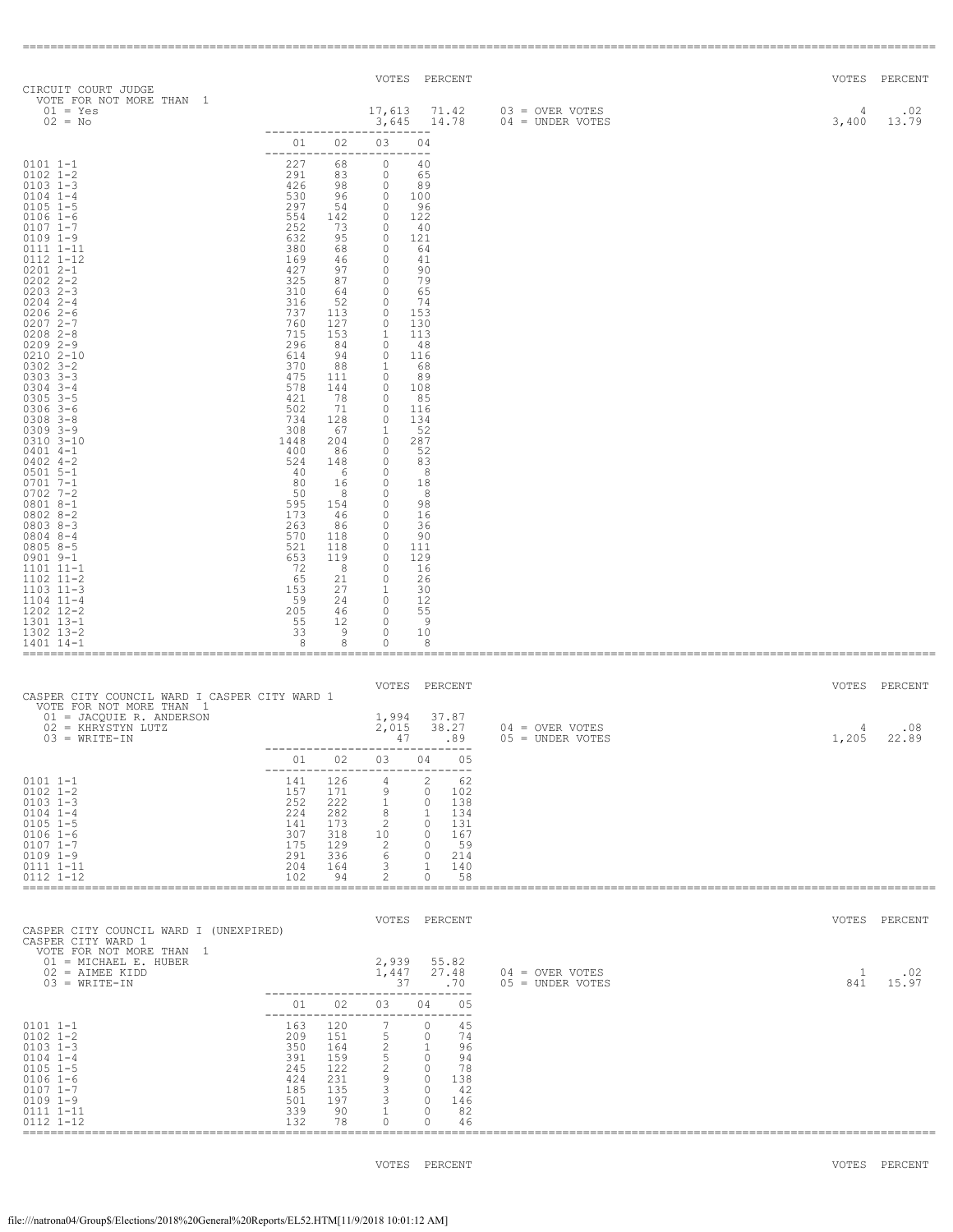| CIRCUIT COURT JUDGE                                                                                                                                                                                                                                                                                                                                                                                                                                                                                                                                                                                                                     |                                                                              |                                                                                                                                                                                                                                                                                                                                                                                                                                                                                                                                |                                                                                                                                                                                                                                                                                        | VOTES PERCENT                                                                                                                                                                                                                                                                                                              |                                                                                       |            | VOTES PERCENT |
|-----------------------------------------------------------------------------------------------------------------------------------------------------------------------------------------------------------------------------------------------------------------------------------------------------------------------------------------------------------------------------------------------------------------------------------------------------------------------------------------------------------------------------------------------------------------------------------------------------------------------------------------|------------------------------------------------------------------------------|--------------------------------------------------------------------------------------------------------------------------------------------------------------------------------------------------------------------------------------------------------------------------------------------------------------------------------------------------------------------------------------------------------------------------------------------------------------------------------------------------------------------------------|----------------------------------------------------------------------------------------------------------------------------------------------------------------------------------------------------------------------------------------------------------------------------------------|----------------------------------------------------------------------------------------------------------------------------------------------------------------------------------------------------------------------------------------------------------------------------------------------------------------------------|---------------------------------------------------------------------------------------|------------|---------------|
| VOTE FOR NOT MORE THAN 1<br>$01 = Yes$<br>$02 = No$                                                                                                                                                                                                                                                                                                                                                                                                                                                                                                                                                                                     |                                                                              |                                                                                                                                                                                                                                                                                                                                                                                                                                                                                                                                |                                                                                                                                                                                                                                                                                        | $3,645$ 14.78                                                                                                                                                                                                                                                                                                              | 17,613 71.42 03 = OVER VOTES<br>3,645 14.78 04 = UNDER VOTES                          | 4<br>3,400 | .02<br>13.79  |
|                                                                                                                                                                                                                                                                                                                                                                                                                                                                                                                                                                                                                                         |                                                                              | 01 02 03                                                                                                                                                                                                                                                                                                                                                                                                                                                                                                                       | ----------                                                                                                                                                                                                                                                                             | 04                                                                                                                                                                                                                                                                                                                         |                                                                                       |            |               |
| $0101 1 - 1$<br>$0102$ $1-2$<br>$0103$ $1-3$<br>$0104$ $1-4$<br>$0105$ 1-5<br>$0106$ $1-6$<br>$0107$ 1-7<br>$0109$ $1-9$<br>0111 1-11<br>0112 1-12<br>$02012 - -1$<br>$0202$ $2 - 2$<br>$0203$ 2-3<br>$0204$ 2-4<br>$02062-6$<br>$02072 - -7$<br>$0208$ 2-8<br>$02092 - -9$<br>$0210 2 - 10$<br>$0302$ $3 - 2$<br>$0303$ $3-3$<br>$0304$ 3-4<br>$0305$ 3-5<br>$0306$ 3-6<br>$0308$ $3 - 8$<br>$0309$ $3 - 9$<br>$0310$ $3 - 10$<br>$0401$ 4-1<br>$0402$ 4-2<br>$0501$ 5-1<br>$0701$ $7-1$<br>$0702$ 7-2<br>0801 8-1<br>$08028-2$<br>$08038-3$<br>$0804$ 8-4<br>$08058-5$<br>$0901$ $9-1$<br>1101 11-1<br>$1102$ $11-2$<br>$1103$ $11-3$ | $\begin{array}{c} 227 \\ 291 \\ 426 \\ 530 \\ 297 \\ \end{array}$<br>734 128 | 68<br>$\begin{matrix} 83 & 0 \\ 98 & 0 \end{matrix}$<br>73 0<br>95   0<br>68   0<br>46 0<br>52 0<br>737 113 0<br>760 127 0<br>84 0<br>$\begin{array}{ccc} 94 & & 0 \\ 88 & & 1 \end{array}$<br>475 111 0<br>71 0<br>$\begin{matrix} &67&&&1\\ 204&&&0 \end{matrix}$<br>86 0<br>148 0<br>6<br>16<br>$8 \qquad 0$<br>595 154 0<br>173 46 0<br>86 0<br>570 118 0<br>$\begin{array}{cc} 118 & 0 \\ 119 & 0 \end{array}$<br>$8 \t 0$<br>$\begin{array}{cccc} 65 & 21 & 0 & 26 \\ 153 & 27 & 1 & 30 \\ 59 & 24 & 0 & 12 \end{array}$ | ------------------------<br>$\circ$<br>$\begin{array}{cccc} 96 & 0 & 100 \\ 54 & 0 & 96 \\ 142 & 0 & 122 \end{array}$<br>97 0 90<br>87 0 79<br>64 0 65<br>153 1 113<br>578  144  0  108<br>421  78  0  85<br>$\overline{0}$<br>$\begin{array}{c} 0 \\ 0 \end{array}$<br>$\overline{0}$ | 40<br>65<br>89<br>40<br>121<br>64<br>41<br>74<br>153<br>130<br>48<br>116<br>68<br>89<br>116<br>134<br>52<br>287<br>52<br>83<br>8<br>18<br>- 8<br>98<br>16<br>36<br>90<br>111<br>129<br>16                                                                                                                                  |                                                                                       |            |               |
| $1104$ $11-4$<br>1202 12-2<br>1301 13-1<br>1302 13-2<br>1401 14-1                                                                                                                                                                                                                                                                                                                                                                                                                                                                                                                                                                       | $_{\circ}$ 8                                                                 | 8 <sup>8</sup>                                                                                                                                                                                                                                                                                                                                                                                                                                                                                                                 | 205 46 0 55<br>55 12 0 9<br>33 9 0 10<br>$\circ$                                                                                                                                                                                                                                       | 8                                                                                                                                                                                                                                                                                                                          |                                                                                       |            |               |
|                                                                                                                                                                                                                                                                                                                                                                                                                                                                                                                                                                                                                                         |                                                                              |                                                                                                                                                                                                                                                                                                                                                                                                                                                                                                                                |                                                                                                                                                                                                                                                                                        | VOTES PERCENT                                                                                                                                                                                                                                                                                                              |                                                                                       |            | VOTES PERCENT |
| CASPER CITY COUNCIL WARD I CASPER CITY WARD 1                                                                                                                                                                                                                                                                                                                                                                                                                                                                                                                                                                                           |                                                                              |                                                                                                                                                                                                                                                                                                                                                                                                                                                                                                                                |                                                                                                                                                                                                                                                                                        |                                                                                                                                                                                                                                                                                                                            |                                                                                       | 4<br>1,205 | .08<br>22.89  |
|                                                                                                                                                                                                                                                                                                                                                                                                                                                                                                                                                                                                                                         |                                                                              |                                                                                                                                                                                                                                                                                                                                                                                                                                                                                                                                |                                                                                                                                                                                                                                                                                        | 01 02 03 04 05<br>-------------------------------                                                                                                                                                                                                                                                                          | 04 = OVER VOTES<br>05 = UNDER VOTES                                                   |            |               |
| $0101 1 - 1$<br>$0102$ $1-2$<br>$0103$ $1-3$<br>$0104$ 1-4<br>$0105$ 1-5<br>$0106$ $1-6$<br>$0107$ $1 - 7$                                                                                                                                                                                                                                                                                                                                                                                                                                                                                                                              | 307                                                                          |                                                                                                                                                                                                                                                                                                                                                                                                                                                                                                                                |                                                                                                                                                                                                                                                                                        | $\begin{array}{cccc} 141 & 126 & 4 & 2 & 62 \\ 157 & 171 & 9 & 0 & 102 \\ 252 & 222 & 1 & 0 & 138 \\ 224 & 282 & 8 & 1 & 134 \\ 141 & 173 & 2 & 0 & 131 \\ 142 & 173 & 2 & 0 & 131 \\ 143 & 2 & 0 & 131 \\ 25 & 2 & 0 & 131 \\ 27 & 2 & 0 & 132 \\ 28 & 2 & 0 & 132 \\ 29 & 20 & 2 & 132 \\ 20 & 20 & 2 &$<br>318 10 0 167 |                                                                                       |            |               |
| $0109$ $1-9$<br>0111 1-11<br>$0112$ $1-12$                                                                                                                                                                                                                                                                                                                                                                                                                                                                                                                                                                                              | 102                                                                          | 94                                                                                                                                                                                                                                                                                                                                                                                                                                                                                                                             | $2 \t 0$                                                                                                                                                                                                                                                                               | $\begin{array}{ccccccccc}\n 175 & 129 & & 2 & & 0 & 59 \\  291 & 336 & & 6 & & 0 & 214 \\  204 & 164 & & 3 & & 1 & 140\n\end{array}$<br>58                                                                                                                                                                                 |                                                                                       |            |               |
| CASPER CITY COUNCIL WARD I (UNEXPIRED)                                                                                                                                                                                                                                                                                                                                                                                                                                                                                                                                                                                                  |                                                                              |                                                                                                                                                                                                                                                                                                                                                                                                                                                                                                                                |                                                                                                                                                                                                                                                                                        | VOTES PERCENT                                                                                                                                                                                                                                                                                                              |                                                                                       |            | VOTES PERCENT |
| CASPER CITY WARD 1<br>VOTE FOR NOT MORE THAN 1<br>01 = MICHAEL E. HUBER<br>02 = AIMEE KIDD<br>$03 = WRITE-IN$                                                                                                                                                                                                                                                                                                                                                                                                                                                                                                                           |                                                                              |                                                                                                                                                                                                                                                                                                                                                                                                                                                                                                                                |                                                                                                                                                                                                                                                                                        | 37 .70                                                                                                                                                                                                                                                                                                                     | $1,447$ $27.48$ $04 = \text{OVER VOTES}$<br>$37$ $37$ $70$ $05 = \text{ UNDER VOTES}$ | 1<br>841   | .02<br>15.97  |
| $0101$ $1-1$                                                                                                                                                                                                                                                                                                                                                                                                                                                                                                                                                                                                                            |                                                                              | 163 120                                                                                                                                                                                                                                                                                                                                                                                                                                                                                                                        |                                                                                                                                                                                                                                                                                        | 01 02 03 04 05<br>-------------------------------<br>7 0 45                                                                                                                                                                                                                                                                |                                                                                       |            |               |
| $0102$ $1-2$<br>$0103$ $1-3$<br>$0104$ $1-4$                                                                                                                                                                                                                                                                                                                                                                                                                                                                                                                                                                                            |                                                                              |                                                                                                                                                                                                                                                                                                                                                                                                                                                                                                                                |                                                                                                                                                                                                                                                                                        |                                                                                                                                                                                                                                                                                                                            |                                                                                       |            |               |
| $0105$ $1-5$<br>$0106$ 1-6<br>$0107$ $1-7$                                                                                                                                                                                                                                                                                                                                                                                                                                                                                                                                                                                              |                                                                              |                                                                                                                                                                                                                                                                                                                                                                                                                                                                                                                                |                                                                                                                                                                                                                                                                                        |                                                                                                                                                                                                                                                                                                                            |                                                                                       |            |               |
| $0109$ $1-9$<br>0111 1-11<br>$0112$ $1-12$                                                                                                                                                                                                                                                                                                                                                                                                                                                                                                                                                                                              |                                                                              |                                                                                                                                                                                                                                                                                                                                                                                                                                                                                                                                |                                                                                                                                                                                                                                                                                        | $\begin{array}{cccccccc} 163 & 120 & 4 & 5 & 0 & 4 & 9 \\ 163 & 120 & 15 & 1 & 5 & 0 & 74 \\ 350 & 164 & 2 & 1 & 96 & 94 \\ 391 & 159 & 5 & 0 & 94 & 94 \\ 424 & 231 & 9 & 0 & 138 \\ 185 & 135 & 3 & 0 & 42 \\ 531 & 90 & 1 & 0 & 182 \\ 339 & 90 & 1 & 0 & 82 \\ 132 & 78 & 0 & 0 & 46 \\ \end{array}$                   |                                                                                       |            |               |

====================================================================================================================================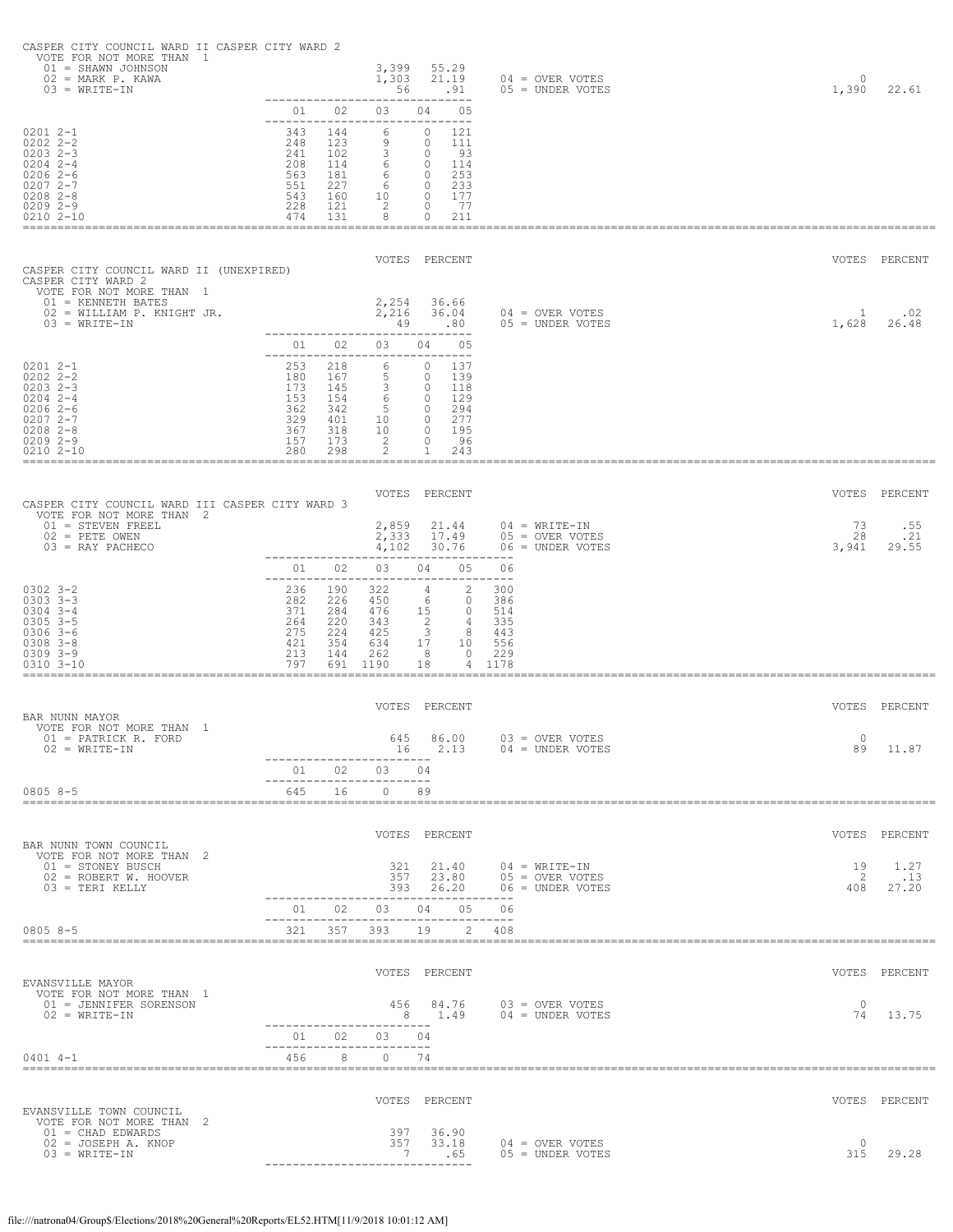|  | CASPER CITY COUNCIL WARD II CASPER CITY WARD 2 |  |  |  |
|--|------------------------------------------------|--|--|--|
|  |                                                |  |  |  |

| VOTE FOR NOT MORE THAN 1<br>$01 = SHANN JOHNSON$<br>$02$ = MARK P. KAWA<br>$03 = WRITE-TN$                             |                          |                          | 3,399<br>1,303<br>56                         | 55.29<br>21.19<br>.91                           | $04 =$ OVER VOTES<br>$05 = UNDER VOTES$                  | $\circ$<br>1,390 | 22.61         |
|------------------------------------------------------------------------------------------------------------------------|--------------------------|--------------------------|----------------------------------------------|-------------------------------------------------|----------------------------------------------------------|------------------|---------------|
| $02012 - 1$                                                                                                            | 01<br>343                | 02<br>144                | 03<br>6                                      | 05<br>04<br>---<br>0<br>121                     |                                                          |                  |               |
| $0202$ $2 - 2$<br>$0203$ $2-3$<br>$0204$ 2-4<br>$02062-6$                                                              | 248<br>241<br>208<br>563 | 123<br>102<br>114<br>181 | 9<br>3<br>6                                  | 0<br>111<br>93<br>0<br>0<br>114<br>253<br>0     |                                                          |                  |               |
| $02072 - -7$<br>$0208$ 2-8<br>$02092 - -9$                                                                             | 551<br>543<br>228        | 227<br>160<br>121        | 6<br>6<br>10<br>2                            | 233<br>0<br>177<br>0<br>-77<br>0                |                                                          |                  |               |
| 0210 2-10                                                                                                              | 474                      | 131                      | 8                                            | 211<br>0                                        |                                                          |                  |               |
| CASPER CITY COUNCIL WARD II (UNEXPIRED)<br>CASPER CITY WARD 2                                                          |                          |                          |                                              | VOTES PERCENT                                   |                                                          |                  | VOTES PERCENT |
| VOTE FOR NOT MORE THAN 1<br>$01$ = KENNETH BATES<br>02 = WILLIAM P. KNIGHT JR.<br>$03 = WRITE-TN$                      |                          |                          | 2,254<br>2,216<br>49                         | 36.66<br>36.04<br>.80                           | $04 =$ OVER VOTES<br>05 = UNDER VOTES                    | 1<br>1,628       | .02<br>26.48  |
|                                                                                                                        | 01<br>$- - - - - -$      | 02                       | 03                                           | 04<br>05<br>---                                 |                                                          |                  |               |
| $02012 - -1$<br>$0202$ $2 - 2$<br>$0203$ 2-3                                                                           | 253<br>180<br>173        | 218<br>167<br>145        | 6<br>5<br>3                                  | $\circ$<br>137<br>0<br>139<br>0<br>118          |                                                          |                  |               |
| $0204$ 2-4<br>$02062-6$<br>$02072 - -7$                                                                                | 153<br>362<br>329        | 154<br>342<br>401        | 6<br>-5<br>10                                | 129<br>$\circ$<br>294<br>0<br>277<br>0          |                                                          |                  |               |
| $0208$ 2-8<br>$02092 - -9$<br>$02102 - 10$                                                                             | 367<br>157<br>280        | 318<br>173<br>298        | 10<br>2<br>2                                 | 195<br>0<br>96<br>0<br>1<br>243                 |                                                          |                  |               |
|                                                                                                                        |                          |                          |                                              | VOTES PERCENT                                   |                                                          | VOTES            | PERCENT       |
| CASPER CITY COUNCIL WARD III CASPER CITY WARD 3<br>VOTE FOR NOT MORE THAN 2<br>$01 =$ STEVEN FREEL<br>$02$ = PETE OWEN |                          |                          | 2,859<br>2,333                               | 21.44<br>17.49                                  | $04$ = WRITE-IN<br>$05 =$ OVER VOTES                     | 73<br>28         | .55<br>.21    |
| $03$ = RAY PACHECO                                                                                                     | 01                       | 02                       | 4,102<br>03                                  | 30.76<br>04<br>05                               | $06 =$ UNDER VOTES<br>06                                 | 3,941            | 29.55         |
| $0302$ $3 - 2$<br>$0303$ $3-3$                                                                                         | 236                      | 190                      | 322                                          | 2<br>4                                          | 300                                                      |                  |               |
| $0304$ 3-4                                                                                                             | 282<br>371               | 226<br>284               | 450<br>476                                   | $\circ$<br>-6<br>15<br>0                        | 386<br>514                                               |                  |               |
| $0305$ $3-5$                                                                                                           | 264                      | 220                      | 343                                          | 2<br>4                                          | 335                                                      |                  |               |
| $0306$ 3-6<br>$0308$ $3 - 8$<br>$0309$ $3 - 9$<br>$0310$ $3 - 10$                                                      | 275<br>421<br>213<br>797 | 224<br>354<br>144<br>691 | 425<br>634<br>262<br>1190                    | 3<br>8<br>17<br>10<br>- 8<br>$\circ$<br>18<br>4 | 443<br>556<br>229<br>1178                                |                  |               |
|                                                                                                                        |                          |                          | VOTES                                        | -----------------------<br>PERCENT              |                                                          |                  | VOTES PERCENT |
| BAR NUNN MAYOR<br>VOTE FOR NOT MORE THAN 1<br>01 = PATRICK R. FORD                                                     |                          |                          | 645                                          | 86.00                                           | 03 = OVER VOTES                                          | $\circ$          |               |
| $02 = WRITE-IN$                                                                                                        |                          |                          | 16<br>-----------------------<br>01 02 03 04 | 2.13                                            | 04 = UNDER VOTES                                         | 89               | 11.87         |
| $08058 - 5$                                                                                                            |                          | 645 16                   | ----------------------<br>$0$ 89             |                                                 |                                                          |                  |               |
| BAR NUNN TOWN COUNCIL                                                                                                  |                          |                          |                                              | VOTES PERCENT                                   |                                                          |                  | VOTES PERCENT |
| VOTE FOR NOT MORE THAN 2<br>01 = STONEY BUSCH<br>02 = ROBERT W. HOOVER                                                 |                          |                          |                                              | 321 21.40                                       | $04$ = WRITE-IN<br>357 23.80 05 = OVER VOTES             | 19<br>- 2        | 1.27<br>.13   |
| $03$ = TERI KELLY                                                                                                      |                          |                          |                                              | 01  02  03  04  05  06                          | 393  26.20  06 = UNDER VOTES                             | 408              | 27.20         |
| $08058 - 5$                                                                                                            |                          |                          |                                              | 321 357 393 19 2 408                            |                                                          |                  |               |
|                                                                                                                        |                          |                          |                                              | VOTES PERCENT                                   |                                                          |                  | VOTES PERCENT |
| EVANSVILLE MAYOR<br>VOTE FOR NOT MORE THAN 1<br>01 = JENNIFER SORENSON<br>$02 = WRTTE-TN$                              |                          |                          | -----------------------                      | 456 84.76                                       | 456  84.76  03 = OVER VOTES<br>8  1.49  04 = UNDER VOTES | $\circ$<br>74    | 13.75         |
|                                                                                                                        |                          |                          | 01  02  03  04<br>-----------------------    |                                                 |                                                          |                  |               |
| $0401$ 4-1                                                                                                             | 456                      |                          | 8 0 74                                       |                                                 |                                                          |                  |               |
| EVANSVILLE TOWN COUNCIL                                                                                                |                          |                          |                                              | VOTES PERCENT                                   |                                                          |                  | VOTES PERCENT |
| VOTE FOR NOT MORE THAN 2<br>$01 = CHAD EDWARDS$<br>$02 = JOSEPH A$ . KNOP<br>$03 = WRITE-TN$                           |                          |                          | 357<br>-7                                    | 397 36.90<br>33.18<br>.65                       | $04 =$ OVER VOTES<br>$05 =$ UNDER VOTES                  | $\circ$<br>315   | 29.28         |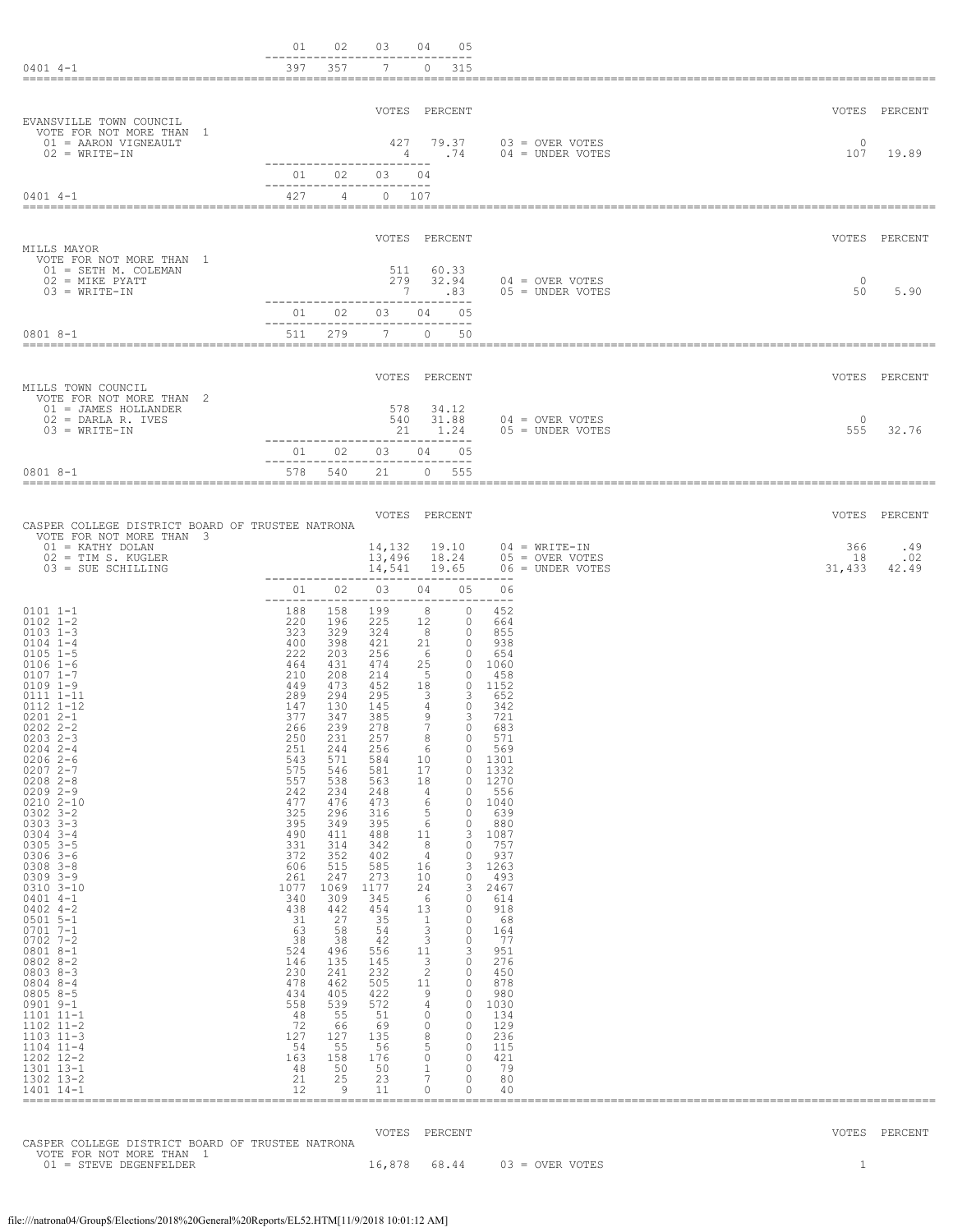| $0401$ 4-1                                                                                                                                                                                                                                                                                                                                                                                                                                                                                                                                                                                                                                                                                                                      | 01<br>397                                                                                                                                                                                                                                                                                                                                | 02<br>357                                                                                                                                                                                                                                                                                                                           | 03<br>$7^{\circ}$                                                                                                                                                                                                                                                                                                            | 04<br>05<br>$\circ$<br>315                                                                                                                                                                                                                                                                                                                                                                                                                                                                                                                                                                                                                                                                                                          |                                                                                                                                                                                                                                                                                                                                                                |                     |                     |
|---------------------------------------------------------------------------------------------------------------------------------------------------------------------------------------------------------------------------------------------------------------------------------------------------------------------------------------------------------------------------------------------------------------------------------------------------------------------------------------------------------------------------------------------------------------------------------------------------------------------------------------------------------------------------------------------------------------------------------|------------------------------------------------------------------------------------------------------------------------------------------------------------------------------------------------------------------------------------------------------------------------------------------------------------------------------------------|-------------------------------------------------------------------------------------------------------------------------------------------------------------------------------------------------------------------------------------------------------------------------------------------------------------------------------------|------------------------------------------------------------------------------------------------------------------------------------------------------------------------------------------------------------------------------------------------------------------------------------------------------------------------------|-------------------------------------------------------------------------------------------------------------------------------------------------------------------------------------------------------------------------------------------------------------------------------------------------------------------------------------------------------------------------------------------------------------------------------------------------------------------------------------------------------------------------------------------------------------------------------------------------------------------------------------------------------------------------------------------------------------------------------------|----------------------------------------------------------------------------------------------------------------------------------------------------------------------------------------------------------------------------------------------------------------------------------------------------------------------------------------------------------------|---------------------|---------------------|
| EVANSVILLE TOWN COUNCIL                                                                                                                                                                                                                                                                                                                                                                                                                                                                                                                                                                                                                                                                                                         |                                                                                                                                                                                                                                                                                                                                          |                                                                                                                                                                                                                                                                                                                                     |                                                                                                                                                                                                                                                                                                                              | VOTES PERCENT                                                                                                                                                                                                                                                                                                                                                                                                                                                                                                                                                                                                                                                                                                                       |                                                                                                                                                                                                                                                                                                                                                                |                     | VOTES PERCENT       |
| VOTE FOR NOT MORE THAN 1<br>01 = AARON VIGNEAULT<br>$02 = WRITE-TN$                                                                                                                                                                                                                                                                                                                                                                                                                                                                                                                                                                                                                                                             |                                                                                                                                                                                                                                                                                                                                          |                                                                                                                                                                                                                                                                                                                                     | 427<br>4<br>--------------------------                                                                                                                                                                                                                                                                                       | 79.37<br>.74                                                                                                                                                                                                                                                                                                                                                                                                                                                                                                                                                                                                                                                                                                                        | 03 = OVER VOTES<br>$04 = UNDER VOTES$                                                                                                                                                                                                                                                                                                                          | $\circ$<br>107      | 19.89               |
| $0401$ 4-1                                                                                                                                                                                                                                                                                                                                                                                                                                                                                                                                                                                                                                                                                                                      | 01<br>427                                                                                                                                                                                                                                                                                                                                | 02<br>4                                                                                                                                                                                                                                                                                                                             | 03<br>----------------------<br>0 107                                                                                                                                                                                                                                                                                        | 04                                                                                                                                                                                                                                                                                                                                                                                                                                                                                                                                                                                                                                                                                                                                  |                                                                                                                                                                                                                                                                                                                                                                |                     |                     |
| MILLS MAYOR                                                                                                                                                                                                                                                                                                                                                                                                                                                                                                                                                                                                                                                                                                                     |                                                                                                                                                                                                                                                                                                                                          |                                                                                                                                                                                                                                                                                                                                     |                                                                                                                                                                                                                                                                                                                              | VOTES PERCENT                                                                                                                                                                                                                                                                                                                                                                                                                                                                                                                                                                                                                                                                                                                       |                                                                                                                                                                                                                                                                                                                                                                |                     | VOTES PERCENT       |
| VOTE FOR NOT MORE THAN 1<br>01 = SETH M. COLEMAN<br>$02$ = MIKE PYATT<br>$03 = WRITE-IN$                                                                                                                                                                                                                                                                                                                                                                                                                                                                                                                                                                                                                                        |                                                                                                                                                                                                                                                                                                                                          |                                                                                                                                                                                                                                                                                                                                     | 511<br>279<br>-7                                                                                                                                                                                                                                                                                                             | 60.33<br>32.94<br>.83                                                                                                                                                                                                                                                                                                                                                                                                                                                                                                                                                                                                                                                                                                               | $04 =$ OVER VOTES<br>$05 =$ UNDER VOTES                                                                                                                                                                                                                                                                                                                        | $\Omega$<br>50      | 5.90                |
| 0801 8-1                                                                                                                                                                                                                                                                                                                                                                                                                                                                                                                                                                                                                                                                                                                        | 01<br>511                                                                                                                                                                                                                                                                                                                                | 02<br>279                                                                                                                                                                                                                                                                                                                           | 03<br>$7^{\circ}$                                                                                                                                                                                                                                                                                                            | 04<br>0.5<br>$\circ$<br>50                                                                                                                                                                                                                                                                                                                                                                                                                                                                                                                                                                                                                                                                                                          |                                                                                                                                                                                                                                                                                                                                                                |                     |                     |
| MILLS TOWN COUNCIL                                                                                                                                                                                                                                                                                                                                                                                                                                                                                                                                                                                                                                                                                                              |                                                                                                                                                                                                                                                                                                                                          |                                                                                                                                                                                                                                                                                                                                     |                                                                                                                                                                                                                                                                                                                              | VOTES PERCENT                                                                                                                                                                                                                                                                                                                                                                                                                                                                                                                                                                                                                                                                                                                       |                                                                                                                                                                                                                                                                                                                                                                |                     | VOTES PERCENT       |
| VOTE FOR NOT MORE THAN 2<br>01 = JAMES HOLLANDER<br>$02 = DARLA R. IVES$<br>$03 = WRITE-TN$                                                                                                                                                                                                                                                                                                                                                                                                                                                                                                                                                                                                                                     |                                                                                                                                                                                                                                                                                                                                          |                                                                                                                                                                                                                                                                                                                                     | 578<br>540<br>21                                                                                                                                                                                                                                                                                                             | 34.12<br>31.88<br>1.24                                                                                                                                                                                                                                                                                                                                                                                                                                                                                                                                                                                                                                                                                                              | $04 = OVER VOTES$<br>$05 =$ UNDER VOTES                                                                                                                                                                                                                                                                                                                        | $\Omega$<br>555     | 32.76               |
| $08018 - -1$                                                                                                                                                                                                                                                                                                                                                                                                                                                                                                                                                                                                                                                                                                                    | 01<br>578                                                                                                                                                                                                                                                                                                                                | 02<br>540                                                                                                                                                                                                                                                                                                                           | 03<br>-------------------<br>21                                                                                                                                                                                                                                                                                              | 04<br>0.5<br>----------<br>$\Omega$<br>555                                                                                                                                                                                                                                                                                                                                                                                                                                                                                                                                                                                                                                                                                          |                                                                                                                                                                                                                                                                                                                                                                |                     |                     |
| CASPER COLLEGE DISTRICT BOARD OF TRUSTEE NATRONA                                                                                                                                                                                                                                                                                                                                                                                                                                                                                                                                                                                                                                                                                |                                                                                                                                                                                                                                                                                                                                          |                                                                                                                                                                                                                                                                                                                                     |                                                                                                                                                                                                                                                                                                                              | VOTES PERCENT                                                                                                                                                                                                                                                                                                                                                                                                                                                                                                                                                                                                                                                                                                                       |                                                                                                                                                                                                                                                                                                                                                                |                     | VOTES PERCENT       |
| VOTE FOR NOT MORE THAN 3<br>$01 = KATHY DOLAN$<br>$02 = TIM S. KUGLER$<br>03 = SUE SCHILLING                                                                                                                                                                                                                                                                                                                                                                                                                                                                                                                                                                                                                                    | ---------------                                                                                                                                                                                                                                                                                                                          |                                                                                                                                                                                                                                                                                                                                     | 14,132<br>13,496<br>14,541                                                                                                                                                                                                                                                                                                   | 19.10<br>18.24<br>19.65<br>----------------------                                                                                                                                                                                                                                                                                                                                                                                                                                                                                                                                                                                                                                                                                   | $04 = WRITE-TN$<br>$05 =$ OVER VOTES<br>$06 =$ UNDER VOTES                                                                                                                                                                                                                                                                                                     | 366<br>18<br>31,433 | .49<br>.02<br>42.49 |
| $0101 1 - 1$<br>$0102$ $1 - 2$<br>$0103$ $1-3$<br>$0104$ $1-4$<br>$0105$ $1-5$<br>$0106 1 - 6$<br>$0107$ $1-7$<br>$0109$ $1-9$<br>0111 1-11<br>0112 1-12<br>$02012 - -1$<br>$0202$ $2 - 2$<br>$0203$ $2-3$<br>$0204$ 2-4<br>$02062 - -6$<br>$02072 - -7$<br>$0208$ $2 - 8$<br>$0209$ 2-9<br>$0210$ $2 - 10$<br>$0302$ $3 - 2$<br>$0303$ $3 - 3$<br>$0304$ 3-4<br>$0305$ 3-5<br>$0306$ 3-6<br>$0308$ $3 - 8$<br>$0309$ $3 - 9$<br>0310 3-10<br>$0401$ 4-1<br>$0402$ 4-2<br>$0501$ 5-1<br>$0701 7 - 1$<br>$0702$ 7-2<br>$08018 - -1$<br>$08028 - 2$<br>$08038 - 3$<br>0804 8-4<br>$08058 - 5$<br>$0901$ $9-1$<br>1101 11-1<br>$1102$ $11-2$<br>$1103$ $11-3$<br>$1104$ $11-4$<br>1202 12-2<br>1301 13-1<br>1302 13-2<br>1401 14-1 | 01<br>--------<br>188<br>220<br>323<br>400<br>222<br>464<br>210<br>449<br>289<br>147<br>377<br>266<br>250<br>251<br>543<br>575<br>557<br>242<br>477<br>325<br>395<br>490<br>331<br>372<br>606<br>261<br>1077<br>340<br>438<br>31<br>63<br>38<br>524<br>146<br>230<br>478<br>434<br>558<br>48<br>72<br>127<br>54<br>163<br>48<br>21<br>12 | 02<br>----<br>158<br>196<br>329<br>398<br>203<br>431<br>208<br>473<br>294<br>130<br>347<br>239<br>231<br>244<br>571<br>546<br>538<br>234<br>476<br>296<br>349<br>411<br>314<br>352<br>515<br>247<br>1069<br>309<br>442<br>27<br>58<br>38<br>496<br>135<br>241<br>462<br>405<br>539<br>55<br>66<br>127<br>55<br>158<br>50<br>25<br>9 | 03<br>199<br>225<br>324<br>421<br>256<br>474<br>214<br>452<br>295<br>145<br>385<br>278<br>257<br>256<br>584<br>581<br>563<br>248<br>473<br>316<br>395<br>488<br>342<br>402<br>585<br>273<br>1177<br>345<br>454<br>35<br>54<br>42<br>556<br>145<br>232<br>505<br>422<br>572<br>51<br>69<br>135<br>56<br>176<br>50<br>23<br>11 | 05<br>04<br>$\Omega$<br>8<br>12<br>$\circ$<br>8<br>$\circ$<br>21<br>$\circ$<br>- 6<br>$\circ$<br>25<br>-5<br>$\circ$<br>18<br>3<br>3<br>4<br>$\circ$<br>9<br>3<br>$7\overline{ }$<br>$\circ$<br>0<br>୪<br>6<br>$\circ$<br>10<br>$\Omega$<br>17<br>$\circ$<br>18<br>$\circ$<br>4<br>0<br>6<br>$\circ$<br>5<br>0<br>6<br>$\circ$<br>3<br>11<br>8<br>0<br>4<br>0<br>3<br>16<br>10<br>$\mathbf{0}$<br>24<br>3<br>-6<br>$\circ$<br>13<br>0<br>1<br>0<br>3<br>0<br>3<br>$\circ$<br>3<br>11<br>3<br>$\circ$<br>$\overline{c}$<br>$\circ$<br>11<br>$\circ$<br>9<br>$\circ$<br>4<br>$\circ$<br>$\circ$<br>$\circ$<br>$\circ$<br>$\circ$<br>8<br>$\circ$<br>5<br>$\circ$<br>$\circ$<br>$\circ$<br>$\mathbf{0}$<br>1<br>7<br>0<br>$\circ$<br>0 | 06<br>$- - -$<br>452<br>664<br>855<br>938<br>654<br>0 1060<br>458<br>$0$ 1152<br>652<br>342<br>721<br>683<br>571<br>569<br>1301<br>1332<br>1270<br>556<br>1040<br>639<br>880<br>1087<br>757<br>937<br>1263<br>493<br>2467<br>614<br>918<br>- 68<br>164<br>-77<br>951<br>276<br>450<br>878<br>980<br>1030<br>134<br>129<br>236<br>115<br>421<br>-79<br>80<br>40 |                     |                     |
|                                                                                                                                                                                                                                                                                                                                                                                                                                                                                                                                                                                                                                                                                                                                 |                                                                                                                                                                                                                                                                                                                                          |                                                                                                                                                                                                                                                                                                                                     |                                                                                                                                                                                                                                                                                                                              |                                                                                                                                                                                                                                                                                                                                                                                                                                                                                                                                                                                                                                                                                                                                     |                                                                                                                                                                                                                                                                                                                                                                |                     |                     |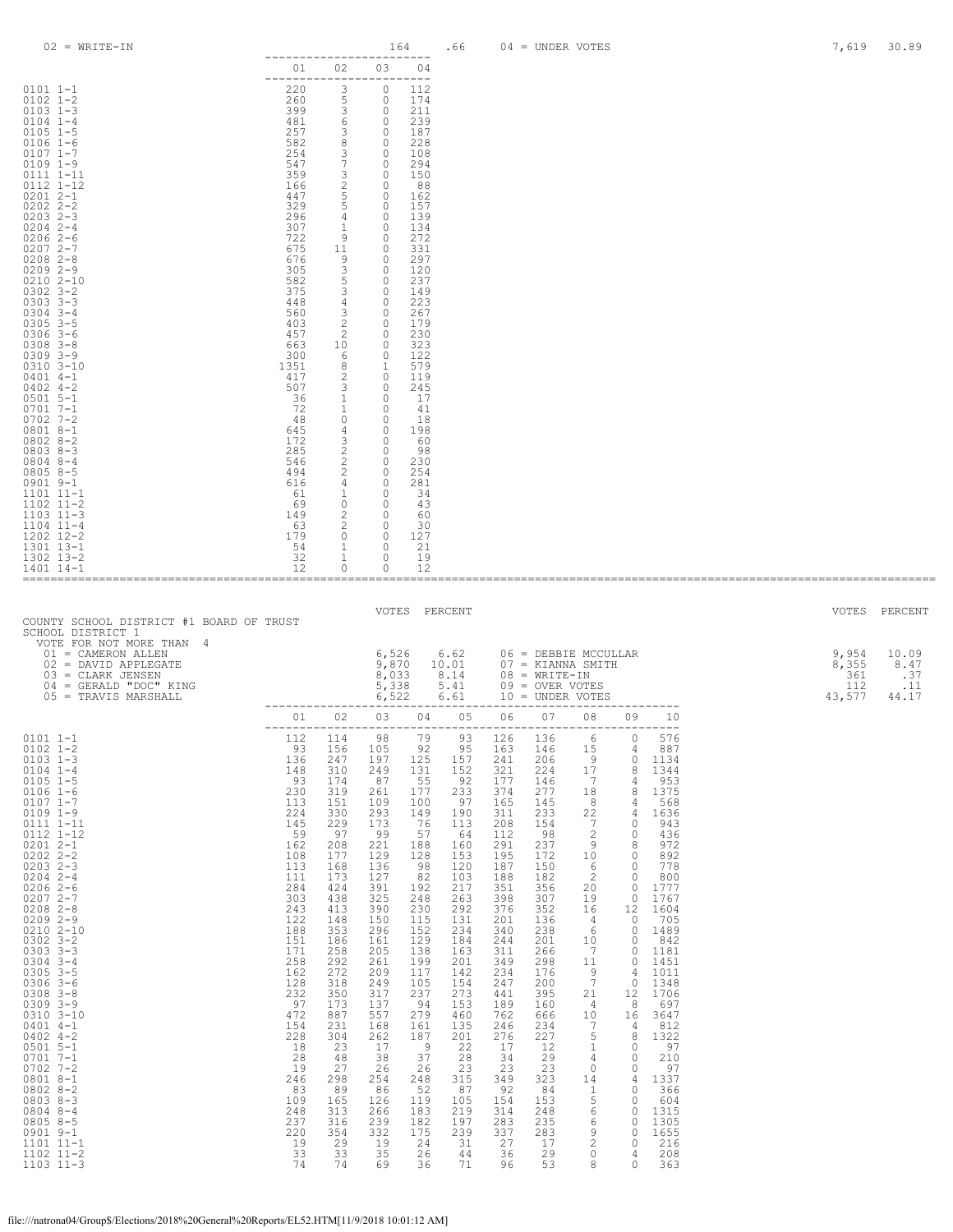| $02 = WRITE-TN$                                                                                                                                                                                                                                                                                                                                                                                                                                                                                                                                                                                                                                                | 164<br>------------------------                                                                                                                                                                                                                                                        |                                                                                                                                                                                                                                                            |                                                                                                                                                                                                                                                           |                                                                                                                                                                                                                                                          | .66                                                                                                                                                                                                                                               |                                                                                                                                                                                                                                                             | $04 =$ UNDER VOTES                                                                                                                                                                                                                                         |                                                                                                                                                                                                                                                                                                                                                                         |                                                                                                                                                                                                                                                                                                        |                                                                                                                                                                                                                                                                                     |  | 7,619 | 30.89         |
|----------------------------------------------------------------------------------------------------------------------------------------------------------------------------------------------------------------------------------------------------------------------------------------------------------------------------------------------------------------------------------------------------------------------------------------------------------------------------------------------------------------------------------------------------------------------------------------------------------------------------------------------------------------|----------------------------------------------------------------------------------------------------------------------------------------------------------------------------------------------------------------------------------------------------------------------------------------|------------------------------------------------------------------------------------------------------------------------------------------------------------------------------------------------------------------------------------------------------------|-----------------------------------------------------------------------------------------------------------------------------------------------------------------------------------------------------------------------------------------------------------|----------------------------------------------------------------------------------------------------------------------------------------------------------------------------------------------------------------------------------------------------------|---------------------------------------------------------------------------------------------------------------------------------------------------------------------------------------------------------------------------------------------------|-------------------------------------------------------------------------------------------------------------------------------------------------------------------------------------------------------------------------------------------------------------|------------------------------------------------------------------------------------------------------------------------------------------------------------------------------------------------------------------------------------------------------------|-------------------------------------------------------------------------------------------------------------------------------------------------------------------------------------------------------------------------------------------------------------------------------------------------------------------------------------------------------------------------|--------------------------------------------------------------------------------------------------------------------------------------------------------------------------------------------------------------------------------------------------------------------------------------------------------|-------------------------------------------------------------------------------------------------------------------------------------------------------------------------------------------------------------------------------------------------------------------------------------|--|-------|---------------|
|                                                                                                                                                                                                                                                                                                                                                                                                                                                                                                                                                                                                                                                                | 01 02 03 04                                                                                                                                                                                                                                                                            |                                                                                                                                                                                                                                                            |                                                                                                                                                                                                                                                           |                                                                                                                                                                                                                                                          |                                                                                                                                                                                                                                                   |                                                                                                                                                                                                                                                             |                                                                                                                                                                                                                                                            |                                                                                                                                                                                                                                                                                                                                                                         |                                                                                                                                                                                                                                                                                                        |                                                                                                                                                                                                                                                                                     |  |       |               |
|                                                                                                                                                                                                                                                                                                                                                                                                                                                                                                                                                                                                                                                                |                                                                                                                                                                                                                                                                                        |                                                                                                                                                                                                                                                            |                                                                                                                                                                                                                                                           |                                                                                                                                                                                                                                                          |                                                                                                                                                                                                                                                   |                                                                                                                                                                                                                                                             |                                                                                                                                                                                                                                                            |                                                                                                                                                                                                                                                                                                                                                                         |                                                                                                                                                                                                                                                                                                        |                                                                                                                                                                                                                                                                                     |  |       |               |
|                                                                                                                                                                                                                                                                                                                                                                                                                                                                                                                                                                                                                                                                |                                                                                                                                                                                                                                                                                        |                                                                                                                                                                                                                                                            |                                                                                                                                                                                                                                                           |                                                                                                                                                                                                                                                          |                                                                                                                                                                                                                                                   |                                                                                                                                                                                                                                                             |                                                                                                                                                                                                                                                            |                                                                                                                                                                                                                                                                                                                                                                         |                                                                                                                                                                                                                                                                                                        |                                                                                                                                                                                                                                                                                     |  |       |               |
| COUNTY SCHOOL DISTRICT #1 BOARD OF TRUST                                                                                                                                                                                                                                                                                                                                                                                                                                                                                                                                                                                                                       |                                                                                                                                                                                                                                                                                        |                                                                                                                                                                                                                                                            |                                                                                                                                                                                                                                                           |                                                                                                                                                                                                                                                          | VOTES PERCENT                                                                                                                                                                                                                                     |                                                                                                                                                                                                                                                             |                                                                                                                                                                                                                                                            |                                                                                                                                                                                                                                                                                                                                                                         |                                                                                                                                                                                                                                                                                                        |                                                                                                                                                                                                                                                                                     |  |       | VOTES PERCENT |
| SCHOOL DISTRICT 1                                                                                                                                                                                                                                                                                                                                                                                                                                                                                                                                                                                                                                              |                                                                                                                                                                                                                                                                                        |                                                                                                                                                                                                                                                            |                                                                                                                                                                                                                                                           |                                                                                                                                                                                                                                                          |                                                                                                                                                                                                                                                   |                                                                                                                                                                                                                                                             |                                                                                                                                                                                                                                                            |                                                                                                                                                                                                                                                                                                                                                                         |                                                                                                                                                                                                                                                                                                        |                                                                                                                                                                                                                                                                                     |  |       |               |
| CHOLD DISTRICT: THE TORREST AND THE TRAVIS MARSHALL CHOLD AND THE SAMERON ALLEN<br>01 = CAMERON ALLEN<br>02 = DENTO APPLEGATE<br>03 = CLARK JENNSEN<br>04 = GERALD "DOC" KING (197 = KIANNA SMITH (198 = MRITE-IN (207 = KIANNA SMITH                                                                                                                                                                                                                                                                                                                                                                                                                          |                                                                                                                                                                                                                                                                                        |                                                                                                                                                                                                                                                            |                                                                                                                                                                                                                                                           |                                                                                                                                                                                                                                                          |                                                                                                                                                                                                                                                   |                                                                                                                                                                                                                                                             |                                                                                                                                                                                                                                                            |                                                                                                                                                                                                                                                                                                                                                                         |                                                                                                                                                                                                                                                                                                        |                                                                                                                                                                                                                                                                                     |  |       |               |
|                                                                                                                                                                                                                                                                                                                                                                                                                                                                                                                                                                                                                                                                | 01  02  03  04  05  06  07  08  09  10                                                                                                                                                                                                                                                 |                                                                                                                                                                                                                                                            |                                                                                                                                                                                                                                                           |                                                                                                                                                                                                                                                          |                                                                                                                                                                                                                                                   |                                                                                                                                                                                                                                                             |                                                                                                                                                                                                                                                            |                                                                                                                                                                                                                                                                                                                                                                         |                                                                                                                                                                                                                                                                                                        |                                                                                                                                                                                                                                                                                     |  |       |               |
| $0101 1 - 1$<br>$0102$ $1 - 2$<br>$0103$ $1-3$<br>$0104$ 1-4<br>$0105 1 - 5$<br>$0106 1 - 6$<br>$0107$ $1-7$<br>$0109 1 - 9$<br>$\begin{array}{rr} 0111 & 1-11 \\ 0112 & 1-12 \end{array}$<br>$0201 2 - 1$<br>$0202$ $2-2$<br>$0203$ 2-3<br>$0204$ $2-4$<br>$0206$ 2-6<br>$0207$ $2-7$<br>$0208$ $2-8$<br>$0209$ $2-9$<br>$0210$ $2-10$<br>$0302$ $3 - 2$<br>$0303$ $3-3$<br>$0304$ 3-4<br>$0305 - 3 - 5$<br>$0306$ $3-6$<br>$0308$ $3 - 8$<br>$0309$ $3 - 9$<br>0310 3-10<br>$0401$ 4-1<br>$0402$ 4-2<br>$0501$ 5-1<br>$0701$ $7-1$<br>$0702$ 7-2<br>$08018 - -1$<br>$0802 8 - 2$<br>$08038-3$<br>0804 8-4<br>$0805 - 8 - 5$<br>$0901$ $9-1$<br>$1101$ $11-1$ | 93<br>136<br>148<br>93<br>230<br>113<br>224<br>145<br>59<br>162<br>108<br>113<br>111<br>$\begin{array}{c} 284 \\ 303 \end{array}$<br>243<br>122<br>188<br>151<br>171<br>258<br>162<br>128<br>232<br>97<br>472<br>154<br>228<br>18<br>28<br>19<br>246<br>83<br>109<br>248<br>237<br>220 | 156<br>247<br>310<br>174<br>319<br>151<br>330<br>229<br>97<br>208<br>177<br>168<br>173<br>424<br>438<br>413<br>148<br>353<br>186<br>258<br>292<br>272<br>318<br>350<br>173<br>887<br>231<br>304<br>23<br>48<br>27<br>298<br>89<br>165<br>313<br>316<br>354 | 105<br>197<br>249<br>87<br>261<br>109<br>293<br>173<br>99<br>221<br>129<br>136<br>127<br>391<br>325<br>390<br>150<br>296<br>161<br>205<br>261<br>209<br>249<br>317<br>137<br>557<br>168<br>262<br>17<br>38<br>26<br>254<br>86<br>126<br>266<br>239<br>332 | 92<br>125<br>131<br>55<br>177<br>100<br>149<br>76<br>57<br>188<br>128<br>-98<br>82<br>192<br>248<br>230<br>115<br>152<br>129<br>138<br>199<br>117<br>105<br>237<br>- 94<br>279<br>161<br>187<br>- 9<br>37<br>26<br>248<br>52<br>119<br>183<br>182<br>175 | 157<br>152<br>92<br>233<br>97<br>190<br>113<br>64<br>160<br>153<br>120<br>103<br>217<br>263<br>292<br>131<br>234<br>184<br>163<br>201<br>142<br>154<br>273<br>153<br>460<br>135<br>201<br>22<br>28<br>23<br>315<br>87<br>105<br>219<br>197<br>239 | 163<br>241<br>321<br>177<br>374<br>165<br>311<br>208<br>112<br>291<br>195<br>187<br>188<br>351<br>398<br>376<br>201<br>340<br>244<br>311<br>349<br>234<br>247<br>441<br>189<br>762<br>246<br>276<br>17<br>34<br>23<br>349<br>92<br>154<br>314<br>283<br>337 | 146<br>206<br>224<br>146<br>277<br>145<br>233<br>154<br>98<br>237<br>172<br>150<br>182<br>356<br>307<br>352<br>136<br>238<br>201<br>266<br>298<br>176<br>200<br>395<br>160<br>666<br>234<br>227<br>12<br>29<br>23<br>323<br>84<br>153<br>248<br>235<br>283 | 15<br>- 9<br>17<br>$7\phantom{.0}$<br>18<br>8<br>22<br>$\overline{7}$<br>$\overline{\phantom{a}}$<br>- 9<br>10<br>6<br>2<br>20<br>19<br>16<br>$\frac{4}{3}$<br>6<br>10<br>7<br>11<br>9<br>$7\phantom{.0}$<br>21<br>$\overline{4}$<br>10<br>7<br>5<br>$\mathbf{1}$<br>$\overline{4}$<br>$\circ$<br>14<br>$\mathbf{1}$<br>$\begin{array}{c} 5 \\ 6 \end{array}$<br>6<br>9 | 0<br>8<br>4<br>8<br>4<br>4<br>$\circ$<br>$\circ$<br>8<br>0<br>$\circ$<br>$\circ$<br>$\circ$<br>$\circ$<br>0<br>$\circ$<br>$\circ$<br>$\circ$<br>$\circ$<br>4<br>$\circ$<br>12<br>8<br>16<br>$\overline{4}$<br>8<br>$\circ$<br>$\circ$<br>0<br>4<br>$\circ$<br>$\circ$<br>$\circ$<br>$\circ$<br>$\circ$ | 887<br>1134<br>1344<br>953<br>1375<br>568<br>1636<br>943<br>436<br>972<br>892<br>778<br>800<br>1777<br>1767<br>12 1604<br>705<br>1489<br>842<br>1181<br>1451<br>1011<br>1348<br>1706<br>697<br>3647<br>812<br>1322<br>97<br>210<br>97<br>1337<br>366<br>604<br>1315<br>1305<br>1655 |  |       |               |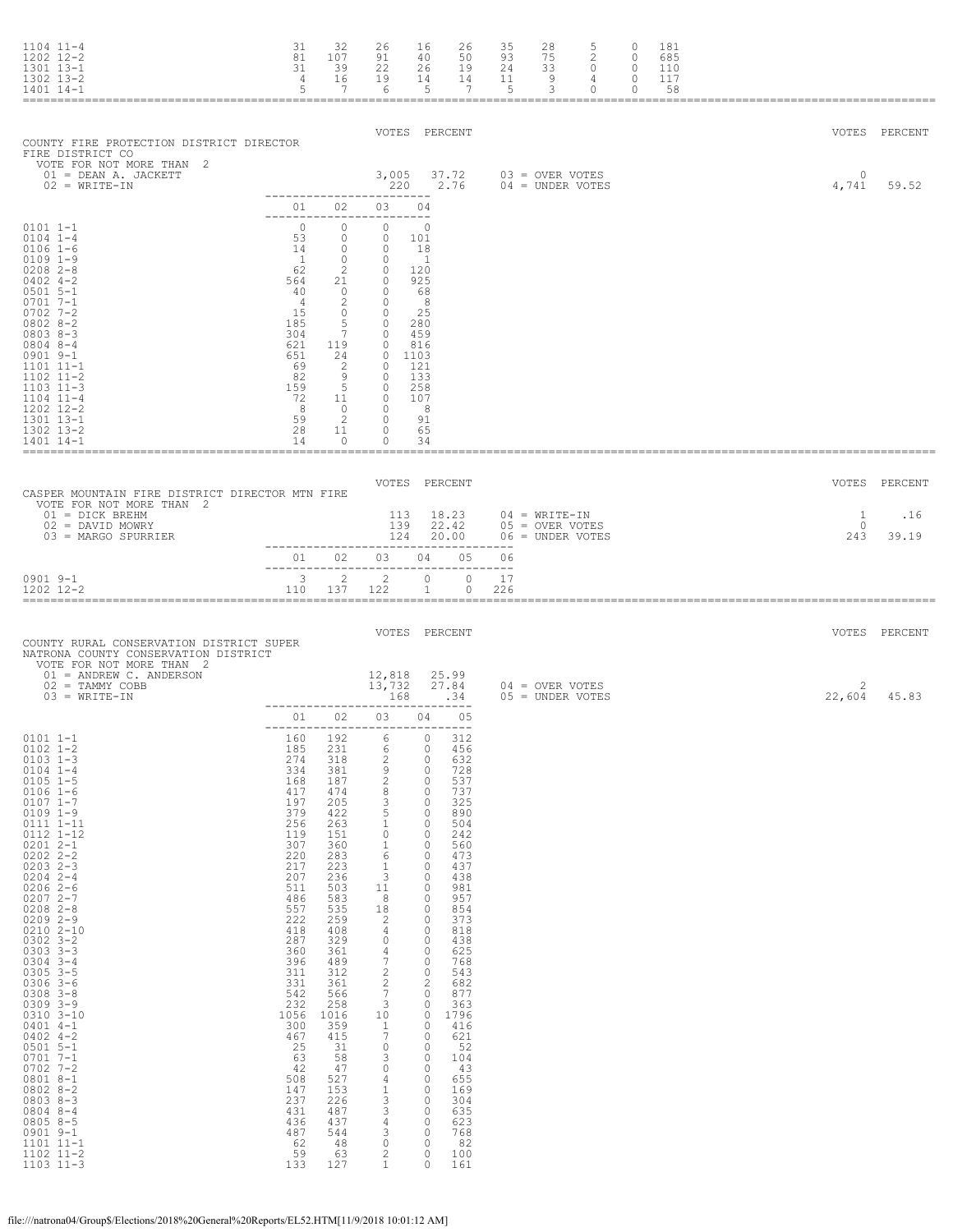| $1104$ $11-4$<br>$1202$ $12-2$<br>1301 13-1<br>1302 13-2<br>1401 14-1                                                                                                                                                                                                                                                                                                                                                                                                                                                                            | 31<br>81<br>31<br>4<br>5                                                                                                                                                                                                                                  | 32<br>107<br>39<br>16<br>$\overline{7}$                                                                                                                                                                                           | 26<br>91<br>22<br>19<br>- 6                                                                                                                                                                                                                                                                                               | 16<br>40<br>26<br>14<br>$5^{\circ}$                                                                                                                                                                                                                                                                          | 26<br>50<br>19<br>14<br>$\overline{7}$                                                                                                                                                                                             | 35<br>93<br>24<br>11<br>$5^{\circ}$ | 28<br>75<br>3300<br>- 9<br>$\overline{\mathbf{3}}$                   | 5<br>$\overline{2}$<br>$\frac{4}{3}$<br>$\circ$ | 0<br>$\circ$<br>$\circ$<br>0<br>0 | 181<br>685<br>110<br>117<br>58 |                            |                               |
|--------------------------------------------------------------------------------------------------------------------------------------------------------------------------------------------------------------------------------------------------------------------------------------------------------------------------------------------------------------------------------------------------------------------------------------------------------------------------------------------------------------------------------------------------|-----------------------------------------------------------------------------------------------------------------------------------------------------------------------------------------------------------------------------------------------------------|-----------------------------------------------------------------------------------------------------------------------------------------------------------------------------------------------------------------------------------|---------------------------------------------------------------------------------------------------------------------------------------------------------------------------------------------------------------------------------------------------------------------------------------------------------------------------|--------------------------------------------------------------------------------------------------------------------------------------------------------------------------------------------------------------------------------------------------------------------------------------------------------------|------------------------------------------------------------------------------------------------------------------------------------------------------------------------------------------------------------------------------------|-------------------------------------|----------------------------------------------------------------------|-------------------------------------------------|-----------------------------------|--------------------------------|----------------------------|-------------------------------|
| COUNTY FIRE PROTECTION DISTRICT DIRECTOR<br>FIRE DISTRICT CO<br>VOTE FOR NOT MORE THAN 2<br>01 = DEAN A. JACKETT<br>$02 = WRITE-IN$                                                                                                                                                                                                                                                                                                                                                                                                              |                                                                                                                                                                                                                                                           |                                                                                                                                                                                                                                   |                                                                                                                                                                                                                                                                                                                           | VOTES PERCENT<br>3,005 37.72<br>220 2.76                                                                                                                                                                                                                                                                     |                                                                                                                                                                                                                                    |                                     | 03 = OVER VOTES<br>$04 =$ UNDER VOTES                                |                                                 |                                   |                                | $\circ$<br>4,741           | VOTES PERCENT<br>59.52        |
|                                                                                                                                                                                                                                                                                                                                                                                                                                                                                                                                                  | 01                                                                                                                                                                                                                                                        | 02                                                                                                                                                                                                                                | ---------<br>03 04                                                                                                                                                                                                                                                                                                        |                                                                                                                                                                                                                                                                                                              |                                                                                                                                                                                                                                    |                                     |                                                                      |                                                 |                                   |                                |                            |                               |
| $0101$ $1-1$<br>$0104$ $1-4$<br>$0106$ 1-6<br>$0109$ $1-9$<br>$0208$ 2-8<br>$0402$ 4-2<br>$0501$ 5-1<br>$0701$ 7-1<br>$0702$ 7-2<br>$08028-2$<br>$08038 - 3$<br>$08048 - -4$<br>$0901$ $9-1$<br>1101 11-1<br>1102 11-2<br>$1103$ $11-3$<br>$1104$ $11-4$<br>1202 12-2<br>1301 13-1<br>1302 13-2<br>1401 14-1                                                                                                                                                                                                                                     | $\circ$<br>53<br>14<br>$\overline{1}$<br>62<br>564<br>40<br>$\overline{4}$<br>15<br>185<br>304<br>621<br>651<br>69<br>82<br>159<br>72<br>$_{\rm 8}$<br>59<br>28<br>14                                                                                     | $\circ$<br>$\circ$<br>$\circ$<br>$\circ$<br>$\overline{2}$<br>21<br>$\bigcirc$<br>2<br>$\circ$<br>5<br>$\overline{7}$<br>119<br>24<br>2<br>5 <sup>5</sup><br>11<br>$\overline{2}$<br>11<br>$\circ$                                | ------------------------<br>$\circ$<br>$\circ$<br>$\circ$<br>$\overline{0}$<br>$\circ$<br>$\circ$<br>$\sim$ 0<br>$\sim$ 0<br>$\overline{0}$<br>$\circ$<br>$\circ$<br>$\circ$<br>$\circ$<br>$\Omega$<br>90<br>$\overline{\phantom{0}}$<br>$\overline{\phantom{0}}$<br>$0\qquad 0$<br>$\overline{0}$<br>$\circ$<br>0        | $\circ$<br>101<br>18<br>$\sqrt{1}$<br>120<br>925<br>68<br>- 8<br>25<br>280<br>459<br>816<br>1103<br>-121<br>133<br>258<br>107<br>8<br>91<br>65<br>34                                                                                                                                                         |                                                                                                                                                                                                                                    |                                     |                                                                      |                                                 |                                   |                                |                            |                               |
|                                                                                                                                                                                                                                                                                                                                                                                                                                                                                                                                                  |                                                                                                                                                                                                                                                           |                                                                                                                                                                                                                                   |                                                                                                                                                                                                                                                                                                                           |                                                                                                                                                                                                                                                                                                              |                                                                                                                                                                                                                                    |                                     |                                                                      |                                                 |                                   |                                |                            |                               |
| CASPER MOUNTAIN FIRE DISTRICT DIRECTOR MTN FIRE<br>VOTE FOR NOT MORE THAN 2<br>01 = DICK BREHM<br>$02 =$ DAVID MOWRY<br>03 = MARGO SPURRIER                                                                                                                                                                                                                                                                                                                                                                                                      |                                                                                                                                                                                                                                                           |                                                                                                                                                                                                                                   |                                                                                                                                                                                                                                                                                                                           | VOTES PERCENT<br>113 18.23<br>139 22.42<br>124 20.00                                                                                                                                                                                                                                                         |                                                                                                                                                                                                                                    |                                     | $04 = \text{WRITE}-\text{IN}$<br>05 = OVER VOTES<br>06 = UNDER VOTES |                                                 |                                   |                                | 1<br>$\overline{0}$<br>243 | VOTES PERCENT<br>.16<br>39.19 |
|                                                                                                                                                                                                                                                                                                                                                                                                                                                                                                                                                  |                                                                                                                                                                                                                                                           |                                                                                                                                                                                                                                   | ------------------------------------<br>01 02 03 04 05                                                                                                                                                                                                                                                                    |                                                                                                                                                                                                                                                                                                              |                                                                                                                                                                                                                                    | 06                                  |                                                                      |                                                 |                                   |                                |                            |                               |
| $0901$ $9-1$<br>1202 12-2                                                                                                                                                                                                                                                                                                                                                                                                                                                                                                                        |                                                                                                                                                                                                                                                           | $3 \t 2$<br>110 137                                                                                                                                                                                                               | $\sim$ 2<br>122                                                                                                                                                                                                                                                                                                           | $\circ$<br>$\mathbf{1}$                                                                                                                                                                                                                                                                                      | $\circ$<br>$\circ$                                                                                                                                                                                                                 | 17<br>226                           |                                                                      |                                                 |                                   |                                |                            |                               |
| COUNTY RURAL CONSERVATION DISTRICT SUPER<br>NATRONA COUNTY CONSERVATION DISTRICT<br>VOTE FOR NOT MORE THAN 2<br>01 = ANDREW C. ANDERSON<br>$02 = TAMMY COBB$<br>$03 = WRITE-IN$                                                                                                                                                                                                                                                                                                                                                                  |                                                                                                                                                                                                                                                           |                                                                                                                                                                                                                                   | 12,818<br>13,732<br>168                                                                                                                                                                                                                                                                                                   | VOTES PERCENT                                                                                                                                                                                                                                                                                                | 25.99<br>27.84<br>.34                                                                                                                                                                                                              |                                     | $04 =$ OVER VOTES<br>$05 =$ UNDER VOTES                              |                                                 |                                   |                                | 2<br>22,604                | VOTES PERCENT<br>45.83        |
|                                                                                                                                                                                                                                                                                                                                                                                                                                                                                                                                                  |                                                                                                                                                                                                                                                           | 01 02                                                                                                                                                                                                                             | 03 04 05                                                                                                                                                                                                                                                                                                                  |                                                                                                                                                                                                                                                                                                              |                                                                                                                                                                                                                                    |                                     |                                                                      |                                                 |                                   |                                |                            |                               |
| $0101 1 - 1$<br>$0102$ 1-2<br>0103 1-3<br>$0104$ 1-4<br>$0105$ $1-5$<br>$0106 1 - 6$<br>$0107$ $1-7$<br>$0109 1 - 9$<br>0111 1-11<br>$0112$ $1-12$<br>$02012 - -1$<br>$0202$ $2-2$<br>$0203$ $2-3$<br>$0204$ $2-4$<br>$0206$ 2-6<br>$0207$ 2-7<br>$0208$ $2-8$<br>$0209$ 2-9<br>0210 2-10<br>$0302$ $3 - 2$<br>$0303$ $3-3$<br>$0304$ 3-4<br>$0305$ $3-5$<br>$0306$ $3-6$<br>$0308$ $3 - 8$<br>$0309$ $3-9$<br>0310 3-10<br>$0401$ 4-1<br>$0402$ 4-2<br>$0501$ 5-1<br>$0701 7 - 1$<br>$0702$ 7-2<br>$08018 - -1$<br>$0802 8 - 2$<br>$0803 8 - 3$ | 160<br>$\frac{185}{274}$<br>334<br>168<br>417<br>197<br>379<br>256<br>119<br>307<br>220<br>217<br>207<br>511<br>486<br>557<br>222<br>$4\,1\,8$<br>287<br>360<br>$396$<br>$311$<br>331<br>542<br>232<br>$\frac{1056}{300}$<br>467<br>25<br>63<br>42<br>508 | 192<br>231<br>318<br>381<br>187<br>474<br>205<br>422<br>263<br>151<br>360<br>283<br>223<br>236<br>503<br>583<br>535<br>259<br>408<br>329<br>361<br>489<br>312<br>361<br>566<br>258<br>1016<br>359<br>415<br>31<br>58<br>47<br>527 | 6<br>6<br>$\overline{\mathbf{c}}$<br>9<br>$\overline{c}$<br>$\,$ 8 $\,$<br>3<br>5<br>$1\,$<br>$\mathbb O$<br>1<br>6<br>$\mathbf{1}$<br>3<br>11<br>8<br>18<br>$\overline{c}$<br>4<br>0<br>4<br>$\overline{7}$<br>$\sqrt{2}$<br>$\frac{2}{7}$<br>$\ensuremath{\mathsf{3}}$<br>10<br>$\frac{1}{7}$<br>$\circ$<br>3<br>0<br>4 | 0<br>0<br>0<br>0<br>$\circ$<br>$\circ$<br>$\circ$<br>$\circ$<br>$\circ$<br>$\circ$<br>$\circ$<br>$\circ$<br>$\circ$<br>$\circ$<br>$\circ$<br>$\circ$<br>0<br>0<br>$\circ$<br>$\circ$<br>$\mathbb O$<br>$\circ$<br>$\circ$<br>$\sqrt{2}$<br>0<br>0<br>$\circ$<br>$\circ$<br>0<br>0<br>$\circ$<br>0<br>$\circ$ | 312<br>456<br>632<br>728<br>537<br>737<br>325<br>890<br>504<br>242<br>560<br>473<br>437<br>438<br>981<br>957<br>854<br>373<br>818<br>438<br>625<br>768<br>543<br>682<br>877<br>363<br>1796<br>416<br>621<br>52<br>104<br>43<br>655 |                                     |                                                                      |                                                 |                                   |                                |                            |                               |